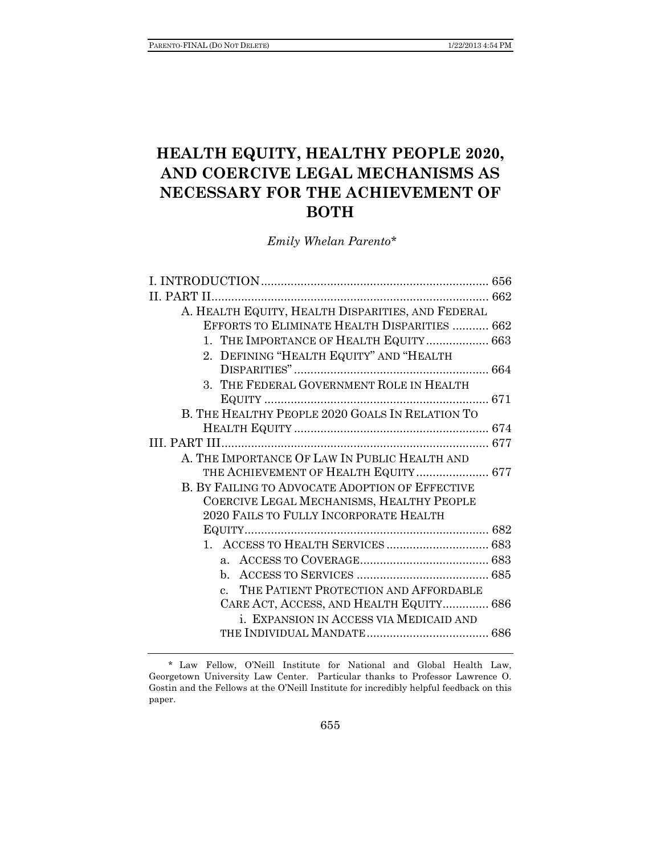# **HEALTH EQUITY, HEALTHY PEOPLE 2020, AND COERCIVE LEGAL MECHANISMS AS NECESSARY FOR THE ACHIEVEMENT OF BOTH**

 *Emily Whelan Parento\** 

| II. PART II.                                            |  |
|---------------------------------------------------------|--|
| A. HEALTH EQUITY, HEALTH DISPARITIES, AND FEDERAL       |  |
| EFFORTS TO ELIMINATE HEALTH DISPARITIES  662            |  |
| 1. THE IMPORTANCE OF HEALTH EQUITY 663                  |  |
| 2. DEFINING "HEALTH EQUITY" AND "HEALTH                 |  |
|                                                         |  |
| 3. THE FEDERAL GOVERNMENT ROLE IN HEALTH                |  |
|                                                         |  |
| B. THE HEALTHY PEOPLE 2020 GOALS IN RELATION TO         |  |
|                                                         |  |
|                                                         |  |
| A. THE IMPORTANCE OF LAW IN PUBLIC HEALTH AND           |  |
| THE ACHIEVEMENT OF HEALTH EQUITY 677                    |  |
| B. BY FAILING TO ADVOCATE ADOPTION OF EFFECTIVE         |  |
| COERCIVE LEGAL MECHANISMS, HEALTHY PEOPLE               |  |
| 2020 FAILS TO FULLY INCORPORATE HEALTH                  |  |
|                                                         |  |
|                                                         |  |
|                                                         |  |
|                                                         |  |
| THE PATIENT PROTECTION AND AFFORDABLE<br>$\mathbf{c}$ . |  |
| CARE ACT, ACCESS, AND HEALTH EQUITY 686                 |  |
| i. EXPANSION IN ACCESS VIA MEDICAID AND                 |  |
|                                                         |  |
|                                                         |  |

 <sup>\*</sup> Law Fellow, O'Neill Institute for National and Global Health Law, Georgetown University Law Center. Particular thanks to Professor Lawrence O. Gostin and the Fellows at the O'Neill Institute for incredibly helpful feedback on this paper.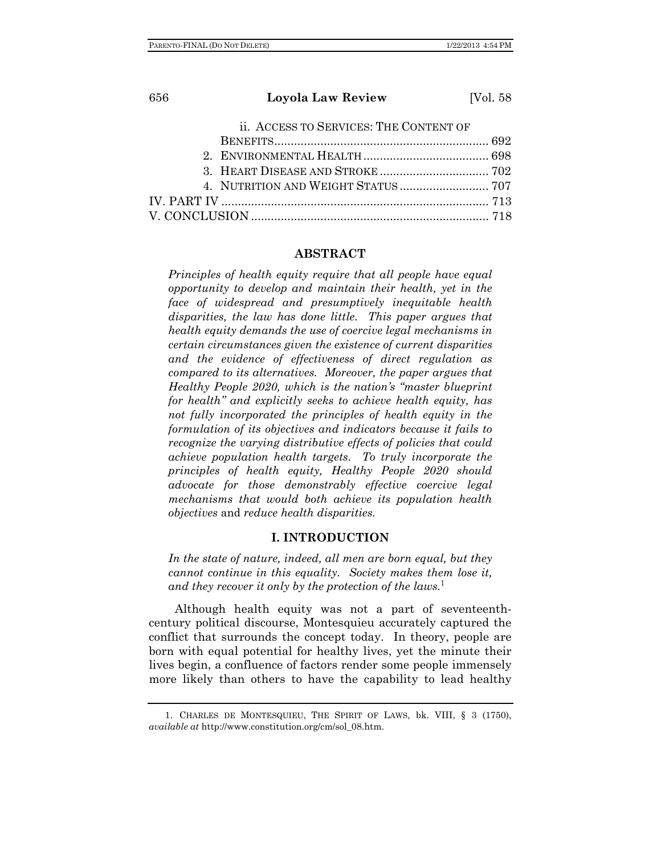| 656 | Loyola Law Review                      | [Vol. 58] |
|-----|----------------------------------------|-----------|
|     | ii. ACCESS TO SERVICES: THE CONTENT OF |           |
|     |                                        |           |

#### **ABSTRACT**

*Principles of health equity require that all people have equal opportunity to develop and maintain their health, yet in the face of widespread and presumptively inequitable health disparities, the law has done little. This paper argues that health equity demands the use of coercive legal mechanisms in certain circumstances given the existence of current disparities and the evidence of effectiveness of direct regulation as compared to its alternatives. Moreover, the paper argues that Healthy People 2020, which is the nation's "master blueprint for health" and explicitly seeks to achieve health equity, has not fully incorporated the principles of health equity in the formulation of its objectives and indicators because it fails to recognize the varying distributive effects of policies that could achieve population health targets. To truly incorporate the principles of health equity, Healthy People 2020 should advocate for those demonstrably effective coercive legal mechanisms that would both achieve its population health objectives* and *reduce health disparities.* 

### **I. INTRODUCTION**

*In the state of nature, indeed, all men are born equal, but they cannot continue in this equality. Society makes them lose it, and they recover it only by the protection of the laws.*<sup>1</sup>

Although health equity was not a part of seventeenthcentury political discourse, Montesquieu accurately captured the conflict that surrounds the concept today. In theory, people are born with equal potential for healthy lives, yet the minute their lives begin, a confluence of factors render some people immensely more likely than others to have the capability to lead healthy

 <sup>1.</sup> CHARLES DE MONTESQUIEU, THE SPIRIT OF LAWS, bk. VIII, § 3 (1750), *available at* http://www.constitution.org/cm/sol\_08.htm.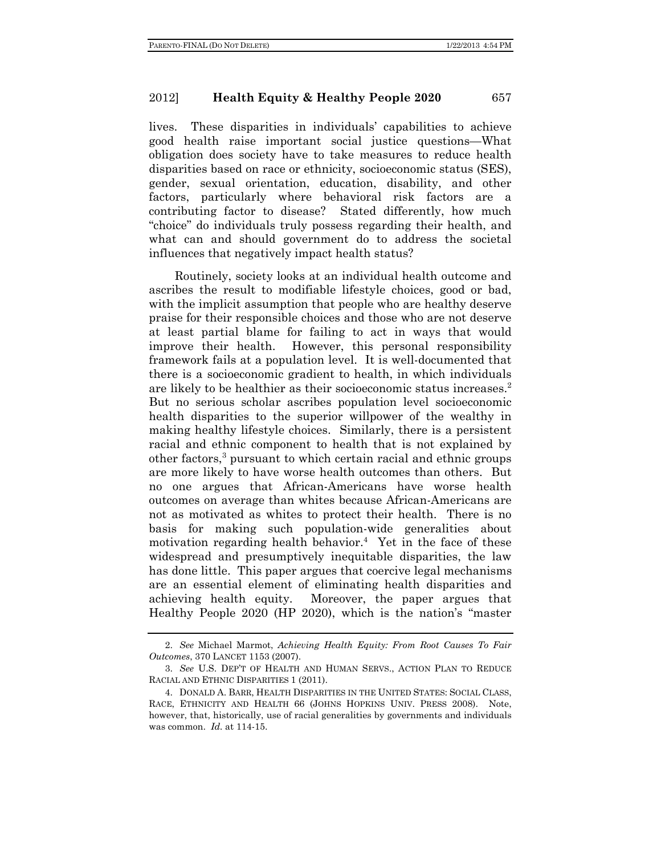lives. These disparities in individuals' capabilities to achieve good health raise important social justice questions—What obligation does society have to take measures to reduce health disparities based on race or ethnicity, socioeconomic status (SES), gender, sexual orientation, education, disability, and other factors, particularly where behavioral risk factors are a contributing factor to disease? Stated differently, how much "choice" do individuals truly possess regarding their health, and what can and should government do to address the societal influences that negatively impact health status?

Routinely, society looks at an individual health outcome and ascribes the result to modifiable lifestyle choices, good or bad, with the implicit assumption that people who are healthy deserve praise for their responsible choices and those who are not deserve at least partial blame for failing to act in ways that would improve their health. However, this personal responsibility framework fails at a population level. It is well-documented that there is a socioeconomic gradient to health, in which individuals are likely to be healthier as their socioeconomic status increases.<sup>2</sup> But no serious scholar ascribes population level socioeconomic health disparities to the superior willpower of the wealthy in making healthy lifestyle choices. Similarly, there is a persistent racial and ethnic component to health that is not explained by other factors,<sup>3</sup> pursuant to which certain racial and ethnic groups are more likely to have worse health outcomes than others. But no one argues that African-Americans have worse health outcomes on average than whites because African-Americans are not as motivated as whites to protect their health. There is no basis for making such population-wide generalities about motivation regarding health behavior.<sup>4</sup> Yet in the face of these widespread and presumptively inequitable disparities, the law has done little. This paper argues that coercive legal mechanisms are an essential element of eliminating health disparities and achieving health equity. Moreover, the paper argues that Healthy People 2020 (HP 2020), which is the nation's "master

 <sup>2.</sup> *See* Michael Marmot, *Achieving Health Equity: From Root Causes To Fair Outcomes*, 370 LANCET 1153 (2007).

 <sup>3.</sup> *See* U.S. DEP'T OF HEALTH AND HUMAN SERVS., ACTION PLAN TO REDUCE RACIAL AND ETHNIC DISPARITIES 1 (2011).

 <sup>4.</sup> DONALD A. BARR, HEALTH DISPARITIES IN THE UNITED STATES: SOCIAL CLASS, RACE, ETHNICITY AND HEALTH 66 (JOHNS HOPKINS UNIV. PRESS 2008). Note, however, that, historically, use of racial generalities by governments and individuals was common. *Id.* at 114-15.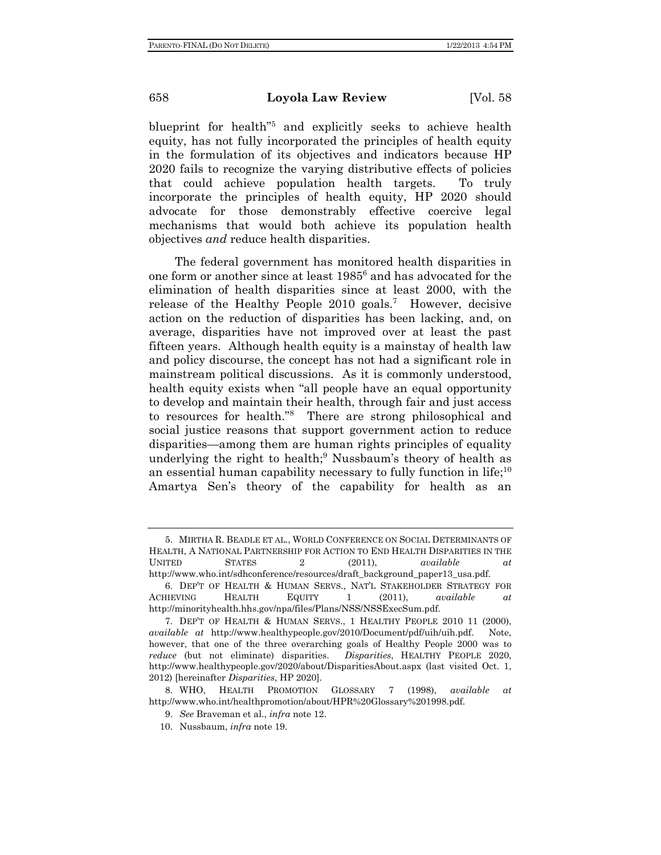blueprint for health"5 and explicitly seeks to achieve health equity, has not fully incorporated the principles of health equity in the formulation of its objectives and indicators because HP 2020 fails to recognize the varying distributive effects of policies that could achieve population health targets. To truly incorporate the principles of health equity, HP 2020 should advocate for those demonstrably effective coercive legal mechanisms that would both achieve its population health objectives *and* reduce health disparities.

The federal government has monitored health disparities in one form or another since at least 1985<sup>6</sup> and has advocated for the elimination of health disparities since at least 2000, with the release of the Healthy People 2010 goals.<sup>7</sup> However, decisive action on the reduction of disparities has been lacking, and, on average, disparities have not improved over at least the past fifteen years. Although health equity is a mainstay of health law and policy discourse, the concept has not had a significant role in mainstream political discussions. As it is commonly understood, health equity exists when "all people have an equal opportunity to develop and maintain their health, through fair and just access to resources for health."8 There are strong philosophical and social justice reasons that support government action to reduce disparities—among them are human rights principles of equality underlying the right to health;<sup>9</sup> Nussbaum's theory of health as an essential human capability necessary to fully function in life;  $10<sup>10</sup>$ Amartya Sen's theory of the capability for health as an

 <sup>5.</sup> MIRTHA R. BEADLE ET AL., WORLD CONFERENCE ON SOCIAL DETERMINANTS OF HEALTH, A NATIONAL PARTNERSHIP FOR ACTION TO END HEALTH DISPARITIES IN THE UNITED STATES 2 (2011), *available at* http://www.who.int/sdhconference/resources/draft\_background\_paper13\_usa.pdf.

 <sup>6.</sup> DEP'T OF HEALTH & HUMAN SERVS., NAT'L STAKEHOLDER STRATEGY FOR ACHIEVING HEALTH EQUITY 1 (2011), *available at* http://minorityhealth.hhs.gov/npa/files/Plans/NSS/NSSExecSum.pdf.

 <sup>7.</sup> DEP'T OF HEALTH & HUMAN SERVS., 1 HEALTHY PEOPLE 2010 11 (2000), *available at* http://www.healthypeople.gov/2010/Document/pdf/uih/uih.pdf. Note, however, that one of the three overarching goals of Healthy People 2000 was to *reduce* (but not eliminate) disparities. *Disparities*, HEALTHY PEOPLE 2020, http://www.healthypeople.gov/2020/about/DisparitiesAbout.aspx (last visited Oct. 1, 2012) [hereinafter *Disparities*, HP 2020].

 <sup>8.</sup> WHO, HEALTH PROMOTION GLOSSARY 7 (1998), *available at* http://www.who.int/healthpromotion/about/HPR%20Glossary%201998.pdf.

 <sup>9.</sup> *See* Braveman et al., *infra* note 12.

 <sup>10.</sup> Nussbaum, *infra* note 19.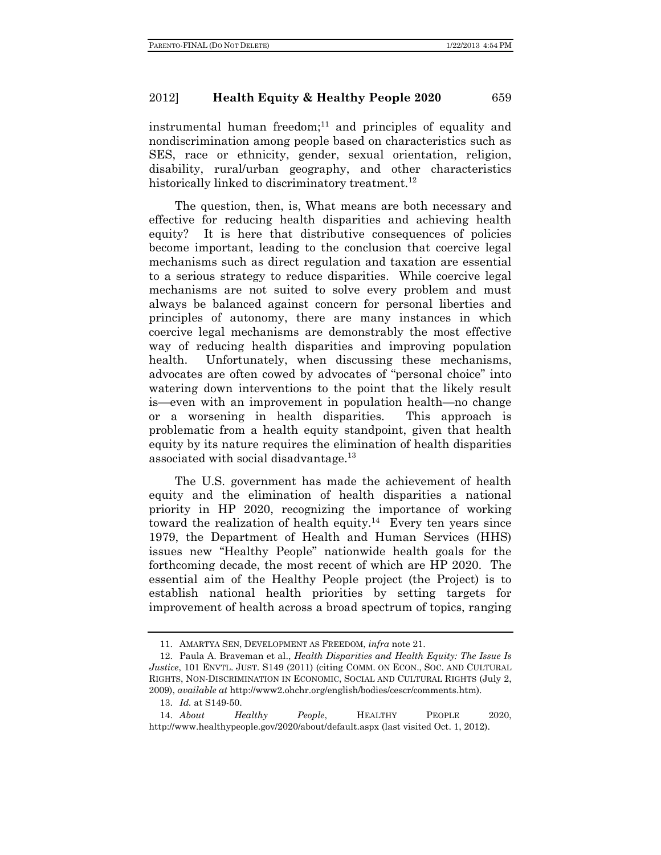instrumental human freedom; $11$  and principles of equality and nondiscrimination among people based on characteristics such as SES, race or ethnicity, gender, sexual orientation, religion, disability, rural/urban geography, and other characteristics historically linked to discriminatory treatment.<sup>12</sup>

The question, then, is, What means are both necessary and effective for reducing health disparities and achieving health equity? It is here that distributive consequences of policies become important, leading to the conclusion that coercive legal mechanisms such as direct regulation and taxation are essential to a serious strategy to reduce disparities. While coercive legal mechanisms are not suited to solve every problem and must always be balanced against concern for personal liberties and principles of autonomy, there are many instances in which coercive legal mechanisms are demonstrably the most effective way of reducing health disparities and improving population health. Unfortunately, when discussing these mechanisms, advocates are often cowed by advocates of "personal choice" into watering down interventions to the point that the likely result is—even with an improvement in population health—no change or a worsening in health disparities. This approach is problematic from a health equity standpoint, given that health equity by its nature requires the elimination of health disparities associated with social disadvantage.<sup>13</sup>

The U.S. government has made the achievement of health equity and the elimination of health disparities a national priority in HP 2020, recognizing the importance of working toward the realization of health equity.<sup>14</sup> Every ten years since 1979, the Department of Health and Human Services (HHS) issues new "Healthy People" nationwide health goals for the forthcoming decade, the most recent of which are HP 2020. The essential aim of the Healthy People project (the Project) is to establish national health priorities by setting targets for improvement of health across a broad spectrum of topics, ranging

 <sup>11.</sup> AMARTYA SEN, DEVELOPMENT AS FREEDOM, *infra* note 21.

 <sup>12.</sup> Paula A. Braveman et al., *Health Disparities and Health Equity: The Issue Is Justice*, 101 ENVTL. JUST. S149 (2011) (citing COMM. ON ECON., SOC. AND CULTURAL RIGHTS, NON-DISCRIMINATION IN ECONOMIC, SOCIAL AND CULTURAL RIGHTS (July 2, 2009), *available at* http://www2.ohchr.org/english/bodies/cescr/comments.htm).

 <sup>13.</sup> *Id.* at S149-50.

 <sup>14.</sup> *About Healthy People*, HEALTHY PEOPLE 2020, http://www.healthypeople.gov/2020/about/default.aspx (last visited Oct. 1, 2012).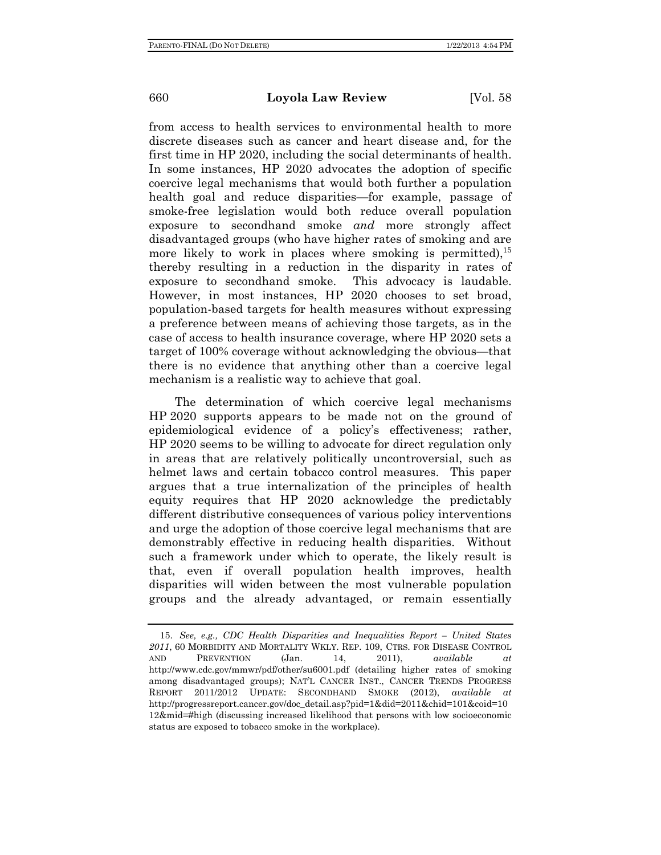from access to health services to environmental health to more discrete diseases such as cancer and heart disease and, for the first time in HP 2020, including the social determinants of health. In some instances, HP 2020 advocates the adoption of specific coercive legal mechanisms that would both further a population health goal and reduce disparities—for example, passage of smoke-free legislation would both reduce overall population exposure to secondhand smoke *and* more strongly affect disadvantaged groups (who have higher rates of smoking and are more likely to work in places where smoking is permitted),  $15$ thereby resulting in a reduction in the disparity in rates of exposure to secondhand smoke. This advocacy is laudable. However, in most instances, HP 2020 chooses to set broad, population-based targets for health measures without expressing a preference between means of achieving those targets, as in the case of access to health insurance coverage, where HP 2020 sets a target of 100% coverage without acknowledging the obvious—that there is no evidence that anything other than a coercive legal mechanism is a realistic way to achieve that goal.

The determination of which coercive legal mechanisms HP 2020 supports appears to be made not on the ground of epidemiological evidence of a policy's effectiveness; rather, HP 2020 seems to be willing to advocate for direct regulation only in areas that are relatively politically uncontroversial, such as helmet laws and certain tobacco control measures. This paper argues that a true internalization of the principles of health equity requires that HP 2020 acknowledge the predictably different distributive consequences of various policy interventions and urge the adoption of those coercive legal mechanisms that are demonstrably effective in reducing health disparities. Without such a framework under which to operate, the likely result is that, even if overall population health improves, health disparities will widen between the most vulnerable population groups and the already advantaged, or remain essentially

 <sup>15.</sup> *See, e.g., CDC Health Disparities and Inequalities Report – United States 2011*, 60 MORBIDITY AND MORTALITY WKLY. REP. 109, CTRS. FOR DISEASE CONTROL AND PREVENTION (Jan. 14, 2011), *available at* http://www.cdc.gov/mmwr/pdf/other/su6001.pdf (detailing higher rates of smoking among disadvantaged groups); NAT'L CANCER INST., CANCER TRENDS PROGRESS REPORT 2011/2012 UPDATE: SECONDHAND SMOKE (2012), *available at*  http://progressreport.cancer.gov/doc\_detail.asp?pid=1&did=2011&chid=101&coid=10 12&mid=#high (discussing increased likelihood that persons with low socioeconomic status are exposed to tobacco smoke in the workplace).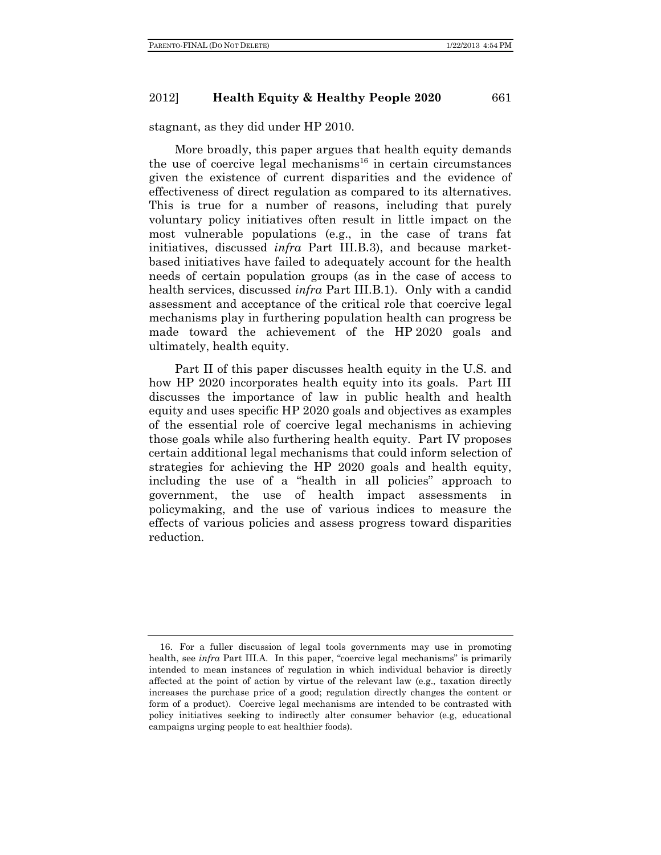stagnant, as they did under HP 2010.

More broadly, this paper argues that health equity demands the use of coercive legal mechanisms<sup>16</sup> in certain circumstances given the existence of current disparities and the evidence of effectiveness of direct regulation as compared to its alternatives. This is true for a number of reasons, including that purely voluntary policy initiatives often result in little impact on the most vulnerable populations (e.g., in the case of trans fat initiatives, discussed *infra* Part III.B.3), and because marketbased initiatives have failed to adequately account for the health needs of certain population groups (as in the case of access to health services, discussed *infra* Part III.B.1). Only with a candid assessment and acceptance of the critical role that coercive legal mechanisms play in furthering population health can progress be made toward the achievement of the HP 2020 goals and ultimately, health equity.

Part II of this paper discusses health equity in the U.S. and how HP 2020 incorporates health equity into its goals. Part III discusses the importance of law in public health and health equity and uses specific HP 2020 goals and objectives as examples of the essential role of coercive legal mechanisms in achieving those goals while also furthering health equity. Part IV proposes certain additional legal mechanisms that could inform selection of strategies for achieving the HP 2020 goals and health equity, including the use of a "health in all policies" approach to government, the use of health impact assessments in policymaking, and the use of various indices to measure the effects of various policies and assess progress toward disparities reduction.

 <sup>16.</sup> For a fuller discussion of legal tools governments may use in promoting health, see *infra* Part III.A. In this paper, "coercive legal mechanisms" is primarily intended to mean instances of regulation in which individual behavior is directly affected at the point of action by virtue of the relevant law (e.g., taxation directly increases the purchase price of a good; regulation directly changes the content or form of a product). Coercive legal mechanisms are intended to be contrasted with policy initiatives seeking to indirectly alter consumer behavior (e.g, educational campaigns urging people to eat healthier foods).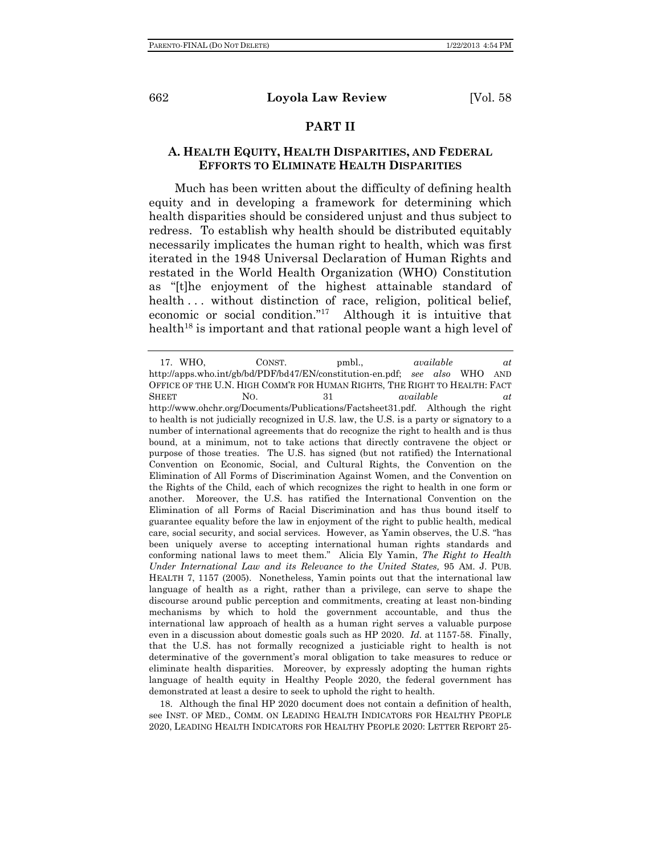# **PART II**

# **A. HEALTH EQUITY, HEALTH DISPARITIES, AND FEDERAL EFFORTS TO ELIMINATE HEALTH DISPARITIES**

Much has been written about the difficulty of defining health equity and in developing a framework for determining which health disparities should be considered unjust and thus subject to redress. To establish why health should be distributed equitably necessarily implicates the human right to health, which was first iterated in the 1948 Universal Declaration of Human Rights and restated in the World Health Organization (WHO) Constitution as "[t]he enjoyment of the highest attainable standard of health ... without distinction of race, religion, political belief, economic or social condition."17 Although it is intuitive that health<sup>18</sup> is important and that rational people want a high level of

 18. Although the final HP 2020 document does not contain a definition of health, see INST. OF MED., COMM. ON LEADING HEALTH INDICATORS FOR HEALTHY PEOPLE 2020, LEADING HEALTH INDICATORS FOR HEALTHY PEOPLE 2020: LETTER REPORT 25-

 <sup>17.</sup> WHO, CONST. pmbl., *available at*  http://apps.who.int/gb/bd/PDF/bd47/EN/constitution-en.pdf; *see also* WHO AND OFFICE OF THE U.N. HIGH COMM'R FOR HUMAN RIGHTS, THE RIGHT TO HEALTH: FACT SHEET NO. 31 *available at* http://www.ohchr.org/Documents/Publications/Factsheet31.pdf. Although the right to health is not judicially recognized in U.S. law, the U.S. is a party or signatory to a number of international agreements that do recognize the right to health and is thus bound, at a minimum, not to take actions that directly contravene the object or purpose of those treaties. The U.S. has signed (but not ratified) the International Convention on Economic, Social, and Cultural Rights, the Convention on the Elimination of All Forms of Discrimination Against Women, and the Convention on the Rights of the Child, each of which recognizes the right to health in one form or another. Moreover, the U.S. has ratified the International Convention on the Elimination of all Forms of Racial Discrimination and has thus bound itself to guarantee equality before the law in enjoyment of the right to public health, medical care, social security, and social services. However, as Yamin observes, the U.S. "has been uniquely averse to accepting international human rights standards and conforming national laws to meet them." Alicia Ely Yamin, *The Right to Health Under International Law and its Relevance to the United States,* 95 AM. J. PUB. HEALTH 7, 1157 (2005). Nonetheless, Yamin points out that the international law language of health as a right, rather than a privilege, can serve to shape the discourse around public perception and commitments, creating at least non-binding mechanisms by which to hold the government accountable, and thus the international law approach of health as a human right serves a valuable purpose even in a discussion about domestic goals such as HP 2020. *Id.* at 1157-58. Finally, that the U.S. has not formally recognized a justiciable right to health is not determinative of the government's moral obligation to take measures to reduce or eliminate health disparities. Moreover, by expressly adopting the human rights language of health equity in Healthy People 2020, the federal government has demonstrated at least a desire to seek to uphold the right to health.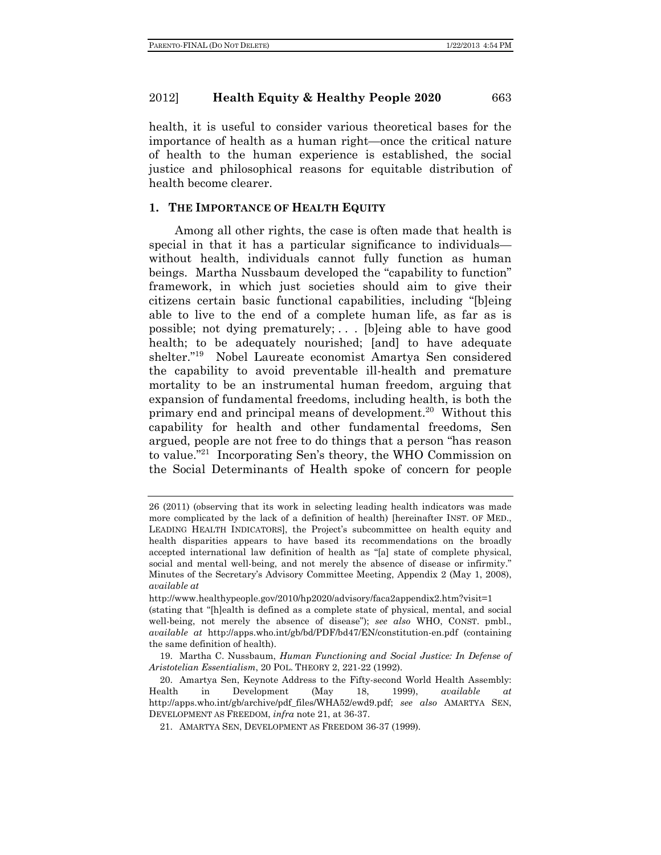health, it is useful to consider various theoretical bases for the importance of health as a human right—once the critical nature of health to the human experience is established, the social justice and philosophical reasons for equitable distribution of health become clearer.

### **1. THE IMPORTANCE OF HEALTH EQUITY**

Among all other rights, the case is often made that health is special in that it has a particular significance to individuals without health, individuals cannot fully function as human beings. Martha Nussbaum developed the "capability to function" framework, in which just societies should aim to give their citizens certain basic functional capabilities, including "[b]eing able to live to the end of a complete human life, as far as is possible; not dying prematurely; . . . [b]eing able to have good health; to be adequately nourished; [and] to have adequate shelter."19 Nobel Laureate economist Amartya Sen considered the capability to avoid preventable ill-health and premature mortality to be an instrumental human freedom, arguing that expansion of fundamental freedoms, including health, is both the primary end and principal means of development.<sup>20</sup> Without this capability for health and other fundamental freedoms, Sen argued, people are not free to do things that a person "has reason to value."21 Incorporating Sen's theory, the WHO Commission on the Social Determinants of Health spoke of concern for people

<sup>26 (2011) (</sup>observing that its work in selecting leading health indicators was made more complicated by the lack of a definition of health) [hereinafter INST. OF MED., LEADING HEALTH INDICATORS], the Project's subcommittee on health equity and health disparities appears to have based its recommendations on the broadly accepted international law definition of health as "[a] state of complete physical, social and mental well-being, and not merely the absence of disease or infirmity." Minutes of the Secretary's Advisory Committee Meeting, Appendix 2 (May 1, 2008), *available at* 

http://www.healthypeople.gov/2010/hp2020/advisory/faca2appendix2.htm?visit=1 (stating that "[h]ealth is defined as a complete state of physical, mental, and social well-being, not merely the absence of disease"); *see also* WHO, CONST. pmbl., *available at* http://apps.who.int/gb/bd/PDF/bd47/EN/constitution-en.pdf (containing the same definition of health).

 <sup>19.</sup> Martha C. Nussbaum, *Human Functioning and Social Justice: In Defense of Aristotelian Essentialism*, 20 POL. THEORY 2, 221-22 (1992).

 <sup>20.</sup> Amartya Sen, Keynote Address to the Fifty-second World Health Assembly: Health in Development (May 18, 1999), *available at* http://apps.who.int/gb/archive/pdf\_files/WHA52/ewd9.pdf; *see also* AMARTYA SEN, DEVELOPMENT AS FREEDOM, *infra* note 21, at 36-37.

 <sup>21.</sup> AMARTYA SEN, DEVELOPMENT AS FREEDOM 36-37 (1999).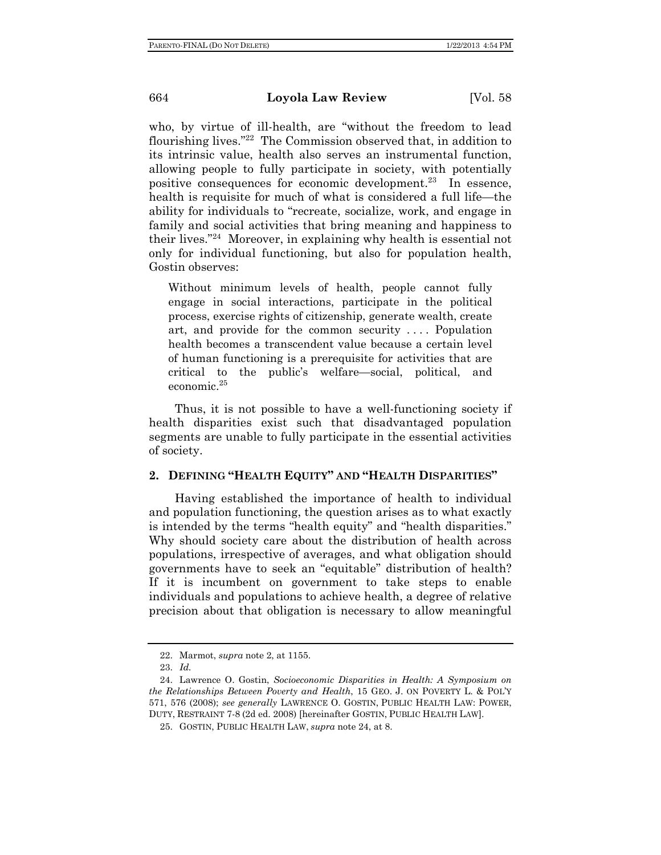who, by virtue of ill-health, are "without the freedom to lead flourishing lives."22 The Commission observed that, in addition to its intrinsic value, health also serves an instrumental function, allowing people to fully participate in society, with potentially positive consequences for economic development.23 In essence, health is requisite for much of what is considered a full life—the ability for individuals to "recreate, socialize, work, and engage in family and social activities that bring meaning and happiness to their lives."24 Moreover, in explaining why health is essential not only for individual functioning, but also for population health, Gostin observes:

Without minimum levels of health, people cannot fully engage in social interactions, participate in the political process, exercise rights of citizenship, generate wealth, create art, and provide for the common security . . . . Population health becomes a transcendent value because a certain level of human functioning is a prerequisite for activities that are critical to the public's welfare—social, political, and economic.25

Thus, it is not possible to have a well-functioning society if health disparities exist such that disadvantaged population segments are unable to fully participate in the essential activities of society.

# **2. DEFINING "HEALTH EQUITY" AND "HEALTH DISPARITIES"**

Having established the importance of health to individual and population functioning, the question arises as to what exactly is intended by the terms "health equity" and "health disparities." Why should society care about the distribution of health across populations, irrespective of averages, and what obligation should governments have to seek an "equitable" distribution of health? If it is incumbent on government to take steps to enable individuals and populations to achieve health, a degree of relative precision about that obligation is necessary to allow meaningful

 <sup>22.</sup> Marmot, *supra* note 2, at 1155.

 <sup>23.</sup> *Id.*

 <sup>24.</sup> Lawrence O. Gostin, *Socioeconomic Disparities in Health: A Symposium on the Relationships Between Poverty and Health*, 15 GEO. J. ON POVERTY L. & POL'Y 571, 576 (2008); *see generally* LAWRENCE O. GOSTIN, PUBLIC HEALTH LAW: POWER, DUTY, RESTRAINT 7-8 (2d ed. 2008) [hereinafter GOSTIN, PUBLIC HEALTH LAW].

 <sup>25.</sup> GOSTIN, PUBLIC HEALTH LAW, *supra* note 24, at 8.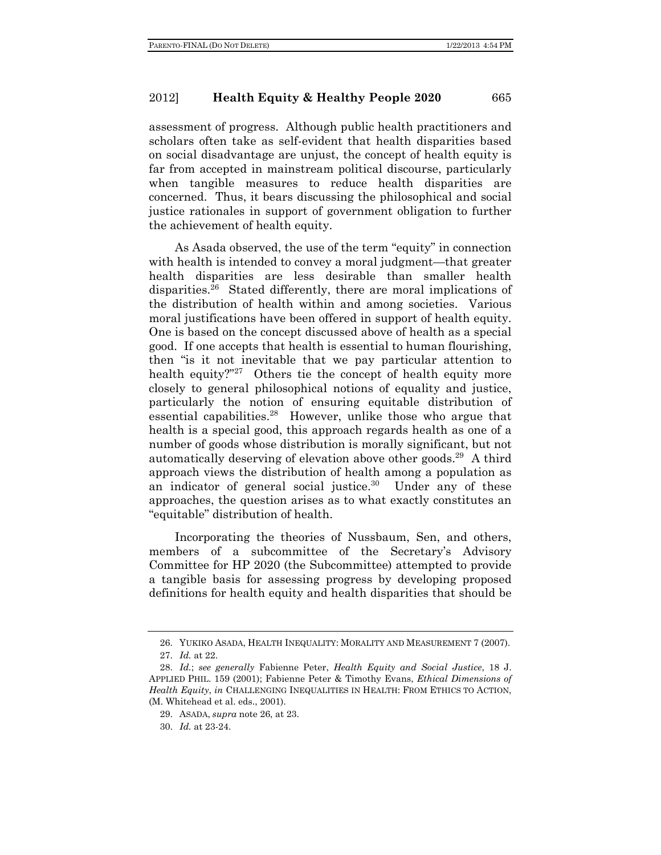assessment of progress. Although public health practitioners and scholars often take as self-evident that health disparities based on social disadvantage are unjust, the concept of health equity is far from accepted in mainstream political discourse, particularly when tangible measures to reduce health disparities are concerned. Thus, it bears discussing the philosophical and social justice rationales in support of government obligation to further the achievement of health equity.

As Asada observed, the use of the term "equity" in connection with health is intended to convey a moral judgment—that greater health disparities are less desirable than smaller health disparities.26 Stated differently, there are moral implications of the distribution of health within and among societies. Various moral justifications have been offered in support of health equity. One is based on the concept discussed above of health as a special good. If one accepts that health is essential to human flourishing, then "is it not inevitable that we pay particular attention to health equity?"<sup>27</sup> Others tie the concept of health equity more closely to general philosophical notions of equality and justice, particularly the notion of ensuring equitable distribution of essential capabilities.28 However, unlike those who argue that health is a special good, this approach regards health as one of a number of goods whose distribution is morally significant, but not automatically deserving of elevation above other goods.29 A third approach views the distribution of health among a population as an indicator of general social justice.<sup>30</sup> Under any of these approaches, the question arises as to what exactly constitutes an "equitable" distribution of health.

Incorporating the theories of Nussbaum, Sen, and others, members of a subcommittee of the Secretary's Advisory Committee for HP 2020 (the Subcommittee) attempted to provide a tangible basis for assessing progress by developing proposed definitions for health equity and health disparities that should be

 <sup>26.</sup> YUKIKO ASADA, HEALTH INEQUALITY: MORALITY AND MEASUREMENT 7 (2007). 27. *Id.* at 22.

 <sup>28.</sup> *Id.*; *see generally* Fabienne Peter, *Health Equity and Social Justice*, 18 J. APPLIED PHIL. 159 (2001); Fabienne Peter & Timothy Evans, *Ethical Dimensions of Health Equity*, *in* CHALLENGING INEQUALITIES IN HEALTH: FROM ETHICS TO ACTION, (M. Whitehead et al. eds., 2001).

 <sup>29.</sup> ASADA, *supra* note 26, at 23.

 <sup>30.</sup> *Id.* at 23-24.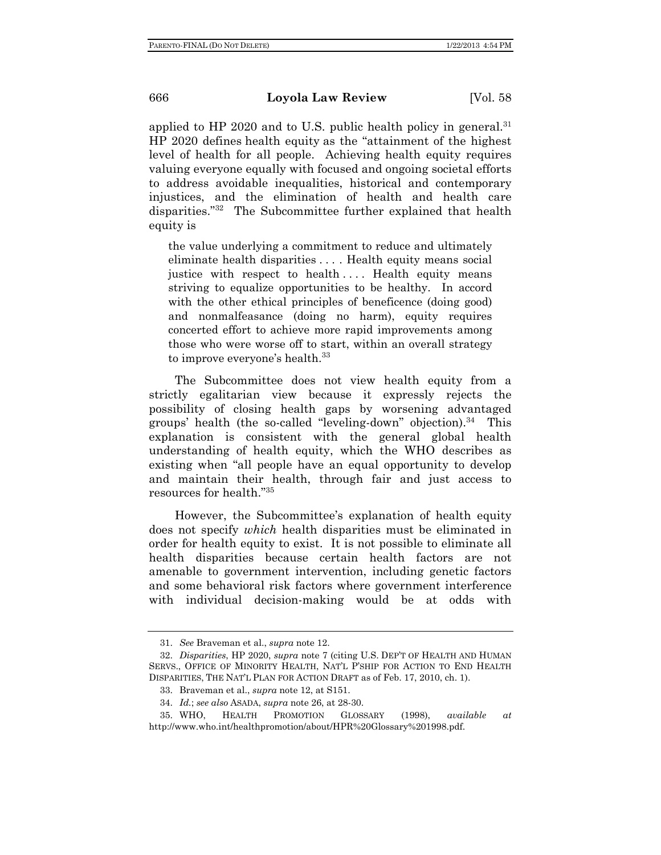applied to HP 2020 and to U.S. public health policy in general.<sup>31</sup> HP 2020 defines health equity as the "attainment of the highest level of health for all people. Achieving health equity requires valuing everyone equally with focused and ongoing societal efforts to address avoidable inequalities, historical and contemporary injustices, and the elimination of health and health care disparities."32 The Subcommittee further explained that health equity is

the value underlying a commitment to reduce and ultimately eliminate health disparities . . . . Health equity means social justice with respect to health .... Health equity means striving to equalize opportunities to be healthy. In accord with the other ethical principles of beneficence (doing good) and nonmalfeasance (doing no harm), equity requires concerted effort to achieve more rapid improvements among those who were worse off to start, within an overall strategy to improve everyone's health.<sup>33</sup>

The Subcommittee does not view health equity from a strictly egalitarian view because it expressly rejects the possibility of closing health gaps by worsening advantaged groups' health (the so-called "leveling-down" objection). $34$  This explanation is consistent with the general global health understanding of health equity, which the WHO describes as existing when "all people have an equal opportunity to develop and maintain their health, through fair and just access to resources for health."35

However, the Subcommittee's explanation of health equity does not specify *which* health disparities must be eliminated in order for health equity to exist. It is not possible to eliminate all health disparities because certain health factors are not amenable to government intervention, including genetic factors and some behavioral risk factors where government interference with individual decision-making would be at odds with

 <sup>31.</sup> *See* Braveman et al., *supra* note 12.

 <sup>32.</sup> *Disparities*, HP 2020, *supra* note 7 (citing U.S. DEP'T OF HEALTH AND HUMAN SERVS., OFFICE OF MINORITY HEALTH, NAT'L P'SHIP FOR ACTION TO END HEALTH DISPARITIES, THE NAT'L PLAN FOR ACTION DRAFT as of Feb. 17, 2010, ch. 1).

 <sup>33.</sup> Braveman et al., *supra* note 12, at S151.

 <sup>34.</sup> *Id.*; *see also* ASADA, *supra* note 26, at 28-30.

 <sup>35.</sup> WHO, HEALTH PROMOTION GLOSSARY (1998), *available at* http://www.who.int/healthpromotion/about/HPR%20Glossary%201998.pdf.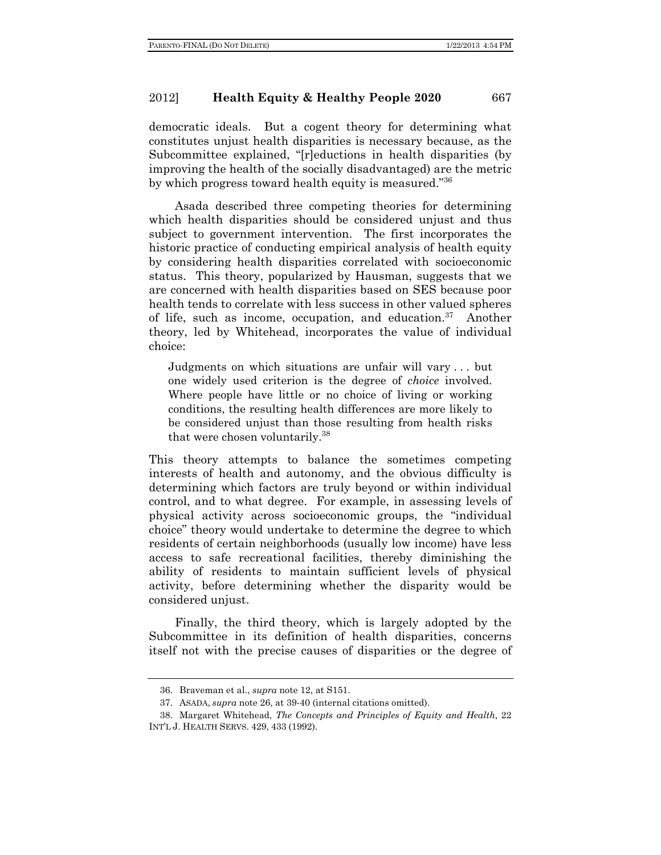democratic ideals. But a cogent theory for determining what constitutes unjust health disparities is necessary because, as the Subcommittee explained, "[r]eductions in health disparities (by improving the health of the socially disadvantaged) are the metric by which progress toward health equity is measured."36

Asada described three competing theories for determining which health disparities should be considered unjust and thus subject to government intervention. The first incorporates the historic practice of conducting empirical analysis of health equity by considering health disparities correlated with socioeconomic status. This theory, popularized by Hausman, suggests that we are concerned with health disparities based on SES because poor health tends to correlate with less success in other valued spheres of life, such as income, occupation, and education.37 Another theory, led by Whitehead, incorporates the value of individual choice:

Judgments on which situations are unfair will vary . . . but one widely used criterion is the degree of *choice* involved. Where people have little or no choice of living or working conditions, the resulting health differences are more likely to be considered unjust than those resulting from health risks that were chosen voluntarily.38

This theory attempts to balance the sometimes competing interests of health and autonomy, and the obvious difficulty is determining which factors are truly beyond or within individual control, and to what degree. For example, in assessing levels of physical activity across socioeconomic groups, the "individual choice" theory would undertake to determine the degree to which residents of certain neighborhoods (usually low income) have less access to safe recreational facilities, thereby diminishing the ability of residents to maintain sufficient levels of physical activity, before determining whether the disparity would be considered unjust.

 Finally, the third theory, which is largely adopted by the Subcommittee in its definition of health disparities, concerns itself not with the precise causes of disparities or the degree of

 <sup>36.</sup> Braveman et al., *supra* note 12, at S151.

 <sup>37.</sup> ASADA, *supra* note 26, at 39-40 (internal citations omitted).

 <sup>38.</sup> Margaret Whitehead, *The Concepts and Principles of Equity and Health*, 22 INT'L J. HEALTH SERVS. 429, 433 (1992).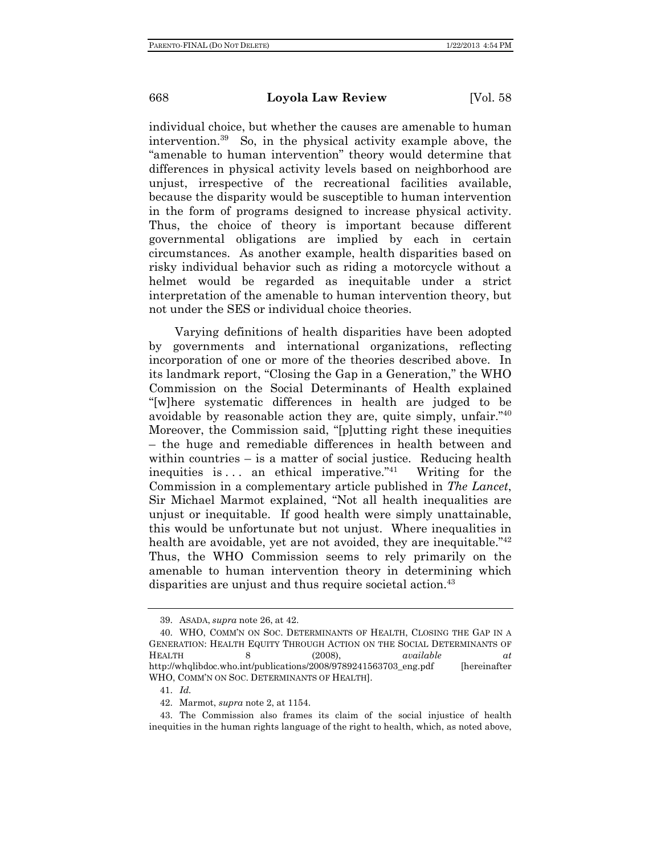individual choice, but whether the causes are amenable to human intervention.39 So, in the physical activity example above, the "amenable to human intervention" theory would determine that differences in physical activity levels based on neighborhood are unjust, irrespective of the recreational facilities available, because the disparity would be susceptible to human intervention in the form of programs designed to increase physical activity. Thus, the choice of theory is important because different governmental obligations are implied by each in certain circumstances. As another example, health disparities based on risky individual behavior such as riding a motorcycle without a helmet would be regarded as inequitable under a strict interpretation of the amenable to human intervention theory, but not under the SES or individual choice theories.

Varying definitions of health disparities have been adopted by governments and international organizations, reflecting incorporation of one or more of the theories described above. In its landmark report, "Closing the Gap in a Generation," the WHO Commission on the Social Determinants of Health explained "[w]here systematic differences in health are judged to be avoidable by reasonable action they are, quite simply, unfair."40 Moreover, the Commission said, "[p]utting right these inequities – the huge and remediable differences in health between and within countries – is a matter of social justice. Reducing health inequities is  $\dots$  an ethical imperative."<sup>41</sup> Writing for the Commission in a complementary article published in *The Lancet*, Sir Michael Marmot explained, "Not all health inequalities are unjust or inequitable. If good health were simply unattainable, this would be unfortunate but not unjust. Where inequalities in health are avoidable, yet are not avoided, they are inequitable.<sup>"42</sup> Thus, the WHO Commission seems to rely primarily on the amenable to human intervention theory in determining which disparities are unjust and thus require societal action.<sup>43</sup>

 <sup>39.</sup> ASADA, *supra* note 26, at 42.

 <sup>40.</sup> WHO, COMM'N ON SOC. DETERMINANTS OF HEALTH, CLOSING THE GAP IN A GENERATION: HEALTH EQUITY THROUGH ACTION ON THE SOCIAL DETERMINANTS OF HEALTH 8 (2008), *available at* http://whqlibdoc.who.int/publications/2008/9789241563703\_eng.pdf [hereinafter WHO, COMM'N ON SOC. DETERMINANTS OF HEALTH].

 <sup>41.</sup> *Id.*

 <sup>42.</sup> Marmot, *supra* note 2, at 1154.

 <sup>43.</sup> The Commission also frames its claim of the social injustice of health inequities in the human rights language of the right to health, which, as noted above,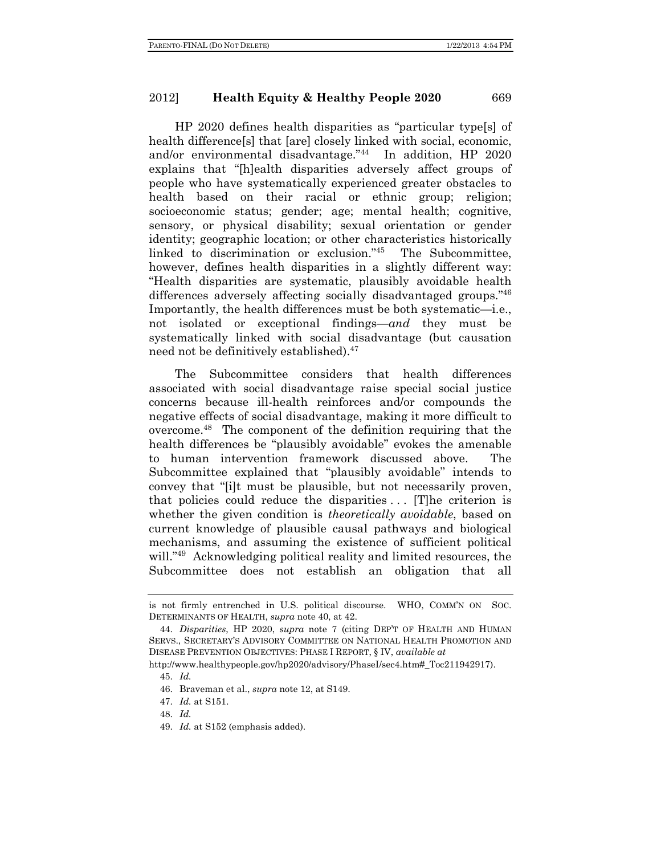HP 2020 defines health disparities as "particular type[s] of health difference<sup>[s]</sup> that [are] closely linked with social, economic, and/or environmental disadvantage."44 In addition, HP 2020 explains that "[h]ealth disparities adversely affect groups of people who have systematically experienced greater obstacles to health based on their racial or ethnic group; religion; socioeconomic status; gender; age; mental health; cognitive, sensory, or physical disability; sexual orientation or gender identity; geographic location; or other characteristics historically linked to discrimination or exclusion."45 The Subcommittee, however, defines health disparities in a slightly different way: "Health disparities are systematic, plausibly avoidable health differences adversely affecting socially disadvantaged groups."46 Importantly, the health differences must be both systematic—i.e., not isolated or exceptional findings—*and* they must be systematically linked with social disadvantage (but causation need not be definitively established).<sup>47</sup>

The Subcommittee considers that health differences associated with social disadvantage raise special social justice concerns because ill-health reinforces and/or compounds the negative effects of social disadvantage, making it more difficult to overcome.48 The component of the definition requiring that the health differences be "plausibly avoidable" evokes the amenable to human intervention framework discussed above. The Subcommittee explained that "plausibly avoidable" intends to convey that "[i]t must be plausible, but not necessarily proven, that policies could reduce the disparities . . . [T]he criterion is whether the given condition is *theoretically avoidable*, based on current knowledge of plausible causal pathways and biological mechanisms, and assuming the existence of sufficient political will."<sup>49</sup> Acknowledging political reality and limited resources, the Subcommittee does not establish an obligation that all

is not firmly entrenched in U.S. political discourse. WHO, COMM'N ON SOC. DETERMINANTS OF HEALTH, *supra* note 40, at 42.

 <sup>44.</sup> *Disparities*, HP 2020, *supra* note 7 (citing DEP'T OF HEALTH AND HUMAN SERVS., SECRETARY'S ADVISORY COMMITTEE ON NATIONAL HEALTH PROMOTION AND DISEASE PREVENTION OBJECTIVES: PHASE I REPORT, § IV, *available at* 

http://www.healthypeople.gov/hp2020/advisory/PhaseI/sec4.htm# Toc211942917).

 <sup>45.</sup> *Id.*

 <sup>46.</sup> Braveman et al., *supra* note 12, at S149.

 <sup>47.</sup> *Id.* at S151.

 <sup>48.</sup> *Id.*

 <sup>49.</sup> *Id.* at S152 (emphasis added).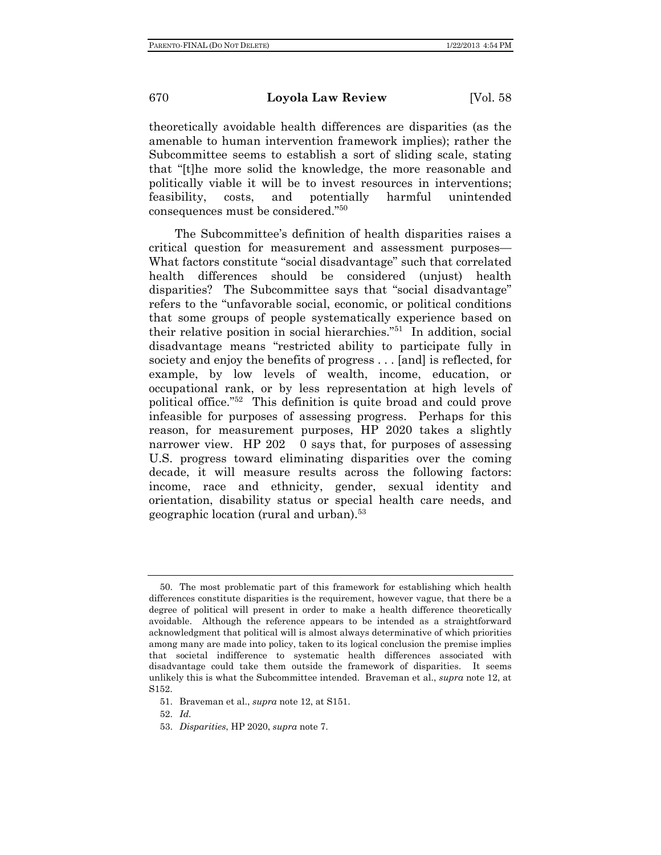theoretically avoidable health differences are disparities (as the amenable to human intervention framework implies); rather the Subcommittee seems to establish a sort of sliding scale, stating that "[t]he more solid the knowledge, the more reasonable and politically viable it will be to invest resources in interventions; feasibility, costs, and potentially harmful unintended consequences must be considered."50

The Subcommittee's definition of health disparities raises a critical question for measurement and assessment purposes— What factors constitute "social disadvantage" such that correlated health differences should be considered (unjust) health disparities? The Subcommittee says that "social disadvantage" refers to the "unfavorable social, economic, or political conditions that some groups of people systematically experience based on their relative position in social hierarchies."51 In addition, social disadvantage means "restricted ability to participate fully in society and enjoy the benefits of progress . . . [and] is reflected, for example, by low levels of wealth, income, education, or occupational rank, or by less representation at high levels of political office."52 This definition is quite broad and could prove infeasible for purposes of assessing progress. Perhaps for this reason, for measurement purposes, HP 2020 takes a slightly narrower view. HP 202 0 says that, for purposes of assessing U.S. progress toward eliminating disparities over the coming decade, it will measure results across the following factors: income, race and ethnicity, gender, sexual identity and orientation, disability status or special health care needs, and geographic location (rural and urban).53

52. *Id.*

 <sup>50.</sup> The most problematic part of this framework for establishing which health differences constitute disparities is the requirement, however vague, that there be a degree of political will present in order to make a health difference theoretically avoidable. Although the reference appears to be intended as a straightforward acknowledgment that political will is almost always determinative of which priorities among many are made into policy, taken to its logical conclusion the premise implies that societal indifference to systematic health differences associated with disadvantage could take them outside the framework of disparities. It seems unlikely this is what the Subcommittee intended. Braveman et al., *supra* note 12, at S152.

 <sup>51.</sup> Braveman et al., *supra* note 12, at S151.

 <sup>53.</sup> *Disparities*, HP 2020, *supra* note 7.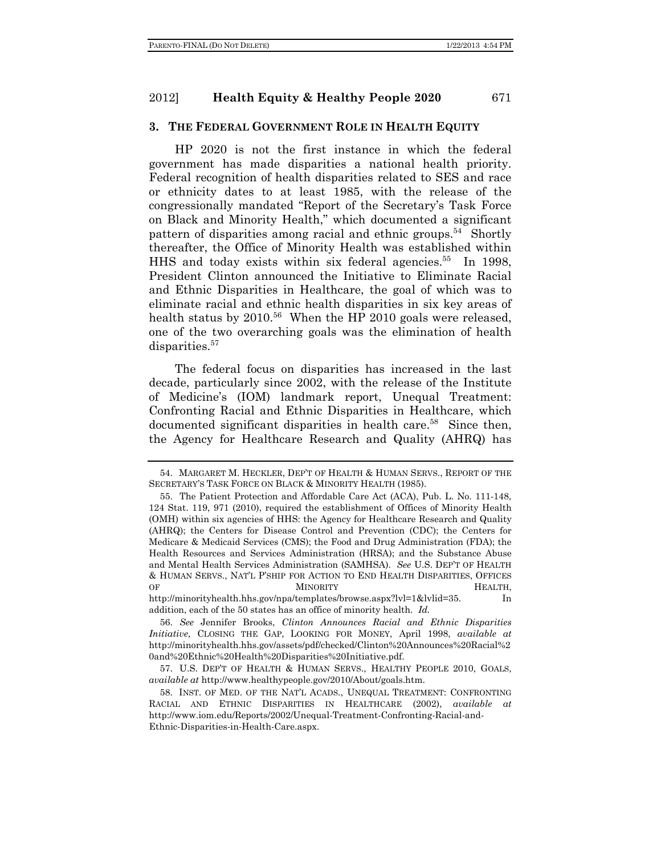### **3. THE FEDERAL GOVERNMENT ROLE IN HEALTH EQUITY**

HP 2020 is not the first instance in which the federal government has made disparities a national health priority. Federal recognition of health disparities related to SES and race or ethnicity dates to at least 1985, with the release of the congressionally mandated "Report of the Secretary's Task Force on Black and Minority Health," which documented a significant pattern of disparities among racial and ethnic groups.<sup>54</sup> Shortly thereafter, the Office of Minority Health was established within HHS and today exists within six federal agencies.<sup>55</sup> In 1998, President Clinton announced the Initiative to Eliminate Racial and Ethnic Disparities in Healthcare, the goal of which was to eliminate racial and ethnic health disparities in six key areas of health status by  $2010^{56}$  When the HP 2010 goals were released, one of the two overarching goals was the elimination of health disparities.<sup>57</sup>

The federal focus on disparities has increased in the last decade, particularly since 2002, with the release of the Institute of Medicine's (IOM) landmark report, Unequal Treatment: Confronting Racial and Ethnic Disparities in Healthcare, which documented significant disparities in health care.<sup>58</sup> Since then, the Agency for Healthcare Research and Quality (AHRQ) has

http://minorityhealth.hhs.gov/npa/templates/browse.aspx?lvl=1&lvlid=35. In addition, each of the 50 states has an office of minority health. *Id.*

 <sup>54.</sup> MARGARET M. HECKLER, DEP'T OF HEALTH & HUMAN SERVS., REPORT OF THE SECRETARY'S TASK FORCE ON BLACK & MINORITY HEALTH (1985).

 <sup>55.</sup> The Patient Protection and Affordable Care Act (ACA), Pub. L. No. 111-148, 124 Stat. 119, 971 (2010), required the establishment of Offices of Minority Health (OMH) within six agencies of HHS: the Agency for Healthcare Research and Quality (AHRQ); the Centers for Disease Control and Prevention (CDC); the Centers for Medicare & Medicaid Services (CMS); the Food and Drug Administration (FDA); the Health Resources and Services Administration (HRSA); and the Substance Abuse and Mental Health Services Administration (SAMHSA). *See* U.S. DEP'T OF HEALTH & HUMAN SERVS., NAT'L P'SHIP FOR ACTION TO END HEALTH DISPARITIES, OFFICES OF **MINORITY HEALTH,** 

 <sup>56.</sup> *See* Jennifer Brooks, *Clinton Announces Racial and Ethnic Disparities Initiative*, CLOSING THE GAP, LOOKING FOR MONEY, April 1998, *available at* http://minorityhealth.hhs.gov/assets/pdf/checked/Clinton%20Announces%20Racial%2 0and%20Ethnic%20Health%20Disparities%20Initiative.pdf.

 <sup>57.</sup> U.S. DEP'T OF HEALTH & HUMAN SERVS., HEALTHY PEOPLE 2010, GOALS, *available at* http://www.healthypeople.gov/2010/About/goals.htm.

 <sup>58.</sup> INST. OF MED. OF THE NAT'L ACADS., UNEQUAL TREATMENT: CONFRONTING RACIAL AND ETHNIC DISPARITIES IN HEALTHCARE (2002), *available at* http://www.iom.edu/Reports/2002/Unequal-Treatment-Confronting-Racial-and-Ethnic-Disparities-in-Health-Care.aspx.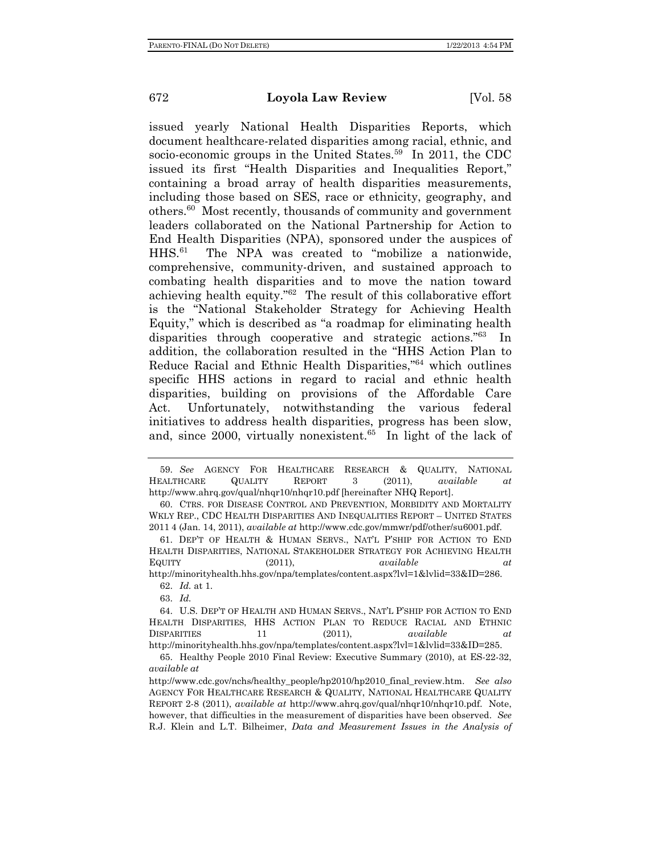issued yearly National Health Disparities Reports, which document healthcare-related disparities among racial, ethnic, and socio-economic groups in the United States.<sup>59</sup> In 2011, the CDC issued its first "Health Disparities and Inequalities Report," containing a broad array of health disparities measurements, including those based on SES, race or ethnicity, geography, and others.60 Most recently, thousands of community and government leaders collaborated on the National Partnership for Action to End Health Disparities (NPA), sponsored under the auspices of HHS.61 The NPA was created to "mobilize a nationwide, comprehensive, community-driven, and sustained approach to combating health disparities and to move the nation toward achieving health equity."62 The result of this collaborative effort is the "National Stakeholder Strategy for Achieving Health Equity," which is described as "a roadmap for eliminating health disparities through cooperative and strategic actions."63 In addition, the collaboration resulted in the "HHS Action Plan to Reduce Racial and Ethnic Health Disparities,"64 which outlines specific HHS actions in regard to racial and ethnic health disparities, building on provisions of the Affordable Care Act. Unfortunately, notwithstanding the various federal initiatives to address health disparities, progress has been slow, and, since  $2000$ , virtually nonexistent.<sup>65</sup> In light of the lack of

http://minorityhealth.hhs.gov/npa/templates/content.aspx?lvl=1&lvlid=33&ID=286. 62. *Id.* at 1.

63. *Id.*

 <sup>59.</sup> *See* AGENCY FOR HEALTHCARE RESEARCH & QUALITY, NATIONAL HEALTHCARE QUALITY REPORT 3 (2011), *available at*  http://www.ahrq.gov/qual/nhqr10/nhqr10.pdf [hereinafter NHQ Report].

 <sup>60.</sup> CTRS. FOR DISEASE CONTROL AND PREVENTION, MORBIDITY AND MORTALITY WKLY REP., CDC HEALTH DISPARITIES AND INEQUALITIES REPORT – UNITED STATES 2011 4 (Jan. 14, 2011), *available at* http://www.cdc.gov/mmwr/pdf/other/su6001.pdf.

 <sup>61.</sup> DEP'T OF HEALTH & HUMAN SERVS., NAT'L P'SHIP FOR ACTION TO END HEALTH DISPARITIES, NATIONAL STAKEHOLDER STRATEGY FOR ACHIEVING HEALTH EQUITY (2011), *available at*

 <sup>64.</sup> U.S. DEP'T OF HEALTH AND HUMAN SERVS., NAT'L P'SHIP FOR ACTION TO END HEALTH DISPARITIES, HHS ACTION PLAN TO REDUCE RACIAL AND ETHNIC DISPARITIES 11 (2011), *available at* http://minorityhealth.hhs.gov/npa/templates/content.aspx?lvl=1&lvlid=33&ID=285.

 <sup>65.</sup> Healthy People 2010 Final Review: Executive Summary (2010), at ES-22-32, *available at* 

http://www.cdc.gov/nchs/healthy\_people/hp2010/hp2010\_final\_review.htm. *See also*  AGENCY FOR HEALTHCARE RESEARCH & QUALITY, NATIONAL HEALTHCARE QUALITY REPORT 2-8 (2011), *available at* http://www.ahrq.gov/qual/nhqr10/nhqr10.pdf. Note, however, that difficulties in the measurement of disparities have been observed. *See* R.J. Klein and L.T. Bilheimer, *Data and Measurement Issues in the Analysis of*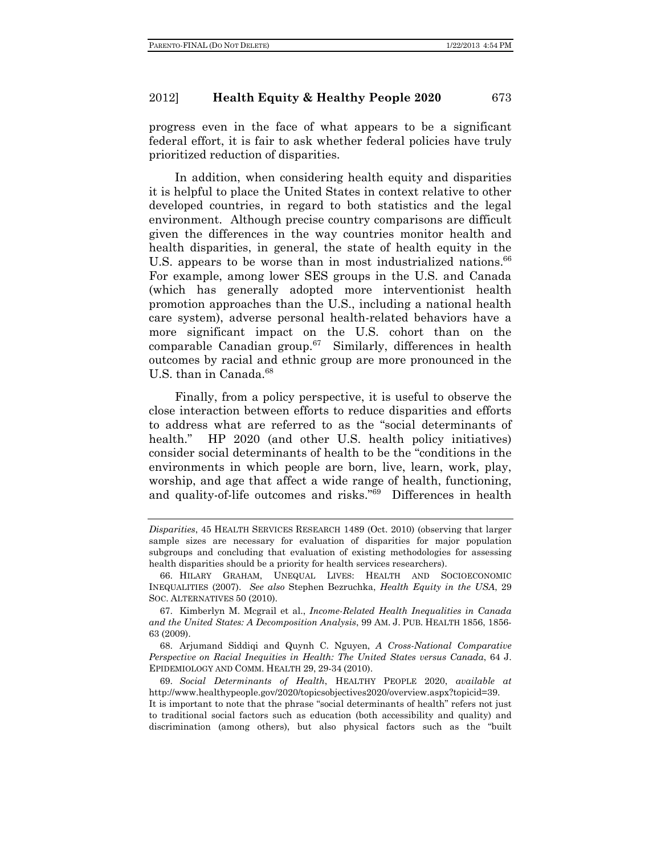progress even in the face of what appears to be a significant federal effort, it is fair to ask whether federal policies have truly prioritized reduction of disparities.

In addition, when considering health equity and disparities it is helpful to place the United States in context relative to other developed countries, in regard to both statistics and the legal environment. Although precise country comparisons are difficult given the differences in the way countries monitor health and health disparities, in general, the state of health equity in the U.S. appears to be worse than in most industrialized nations.<sup>66</sup> For example, among lower SES groups in the U.S. and Canada (which has generally adopted more interventionist health promotion approaches than the U.S., including a national health care system), adverse personal health-related behaviors have a more significant impact on the U.S. cohort than on the comparable Canadian group. $67$  Similarly, differences in health outcomes by racial and ethnic group are more pronounced in the U.S. than in Canada.<sup>68</sup>

Finally, from a policy perspective, it is useful to observe the close interaction between efforts to reduce disparities and efforts to address what are referred to as the "social determinants of health." HP 2020 (and other U.S. health policy initiatives) consider social determinants of health to be the "conditions in the environments in which people are born, live, learn, work, play, worship, and age that affect a wide range of health, functioning, and quality-of-life outcomes and risks."69 Differences in health

 68. Arjumand Siddiqi and Quynh C. Nguyen, *A Cross-National Comparative Perspective on Racial Inequities in Health: The United States versus Canada*, 64 J. EPIDEMIOLOGY AND COMM. HEALTH 29, 29-34 (2010).

It is important to note that the phrase "social determinants of health" refers not just to traditional social factors such as education (both accessibility and quality) and discrimination (among others), but also physical factors such as the "built

*Disparities*, 45 HEALTH SERVICES RESEARCH 1489 (Oct. 2010) (observing that larger sample sizes are necessary for evaluation of disparities for major population subgroups and concluding that evaluation of existing methodologies for assessing health disparities should be a priority for health services researchers).

 <sup>66.</sup> HILARY GRAHAM, UNEQUAL LIVES: HEALTH AND SOCIOECONOMIC INEQUALITIES (2007). *See also* Stephen Bezruchka, *Health Equity in the USA*, 29 SOC. ALTERNATIVES 50 (2010).

 <sup>67.</sup> Kimberlyn M. Mcgrail et al., *Income-Related Health Inequalities in Canada and the United States: A Decomposition Analysis*, 99 AM. J. PUB. HEALTH 1856, 1856- 63 (2009).

 <sup>69.</sup> *Social Determinants of Health*, HEALTHY PEOPLE 2020, *available at* http://www.healthypeople.gov/2020/topicsobjectives2020/overview.aspx?topicid=39.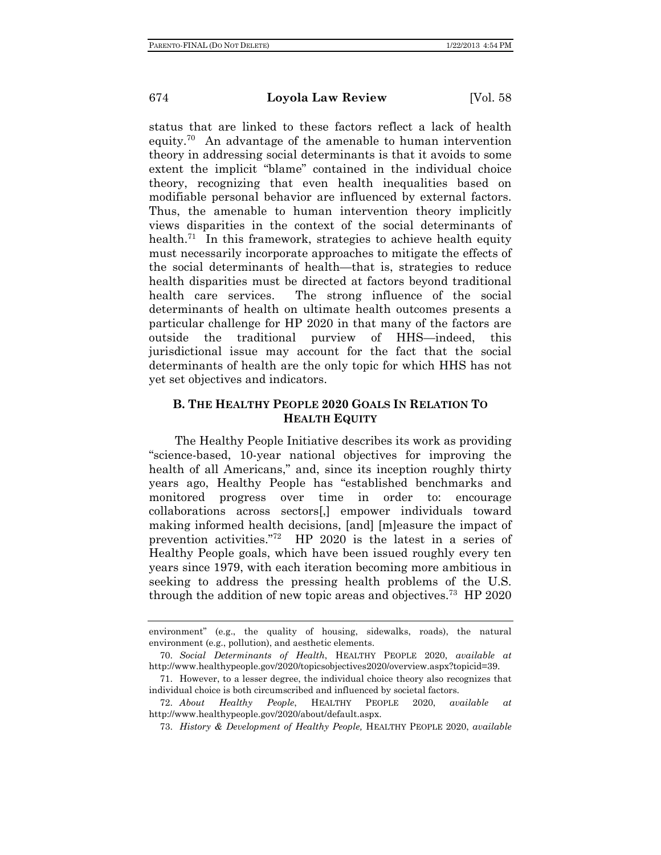status that are linked to these factors reflect a lack of health equity.<sup>70</sup> An advantage of the amenable to human intervention theory in addressing social determinants is that it avoids to some extent the implicit "blame" contained in the individual choice theory, recognizing that even health inequalities based on modifiable personal behavior are influenced by external factors. Thus, the amenable to human intervention theory implicitly views disparities in the context of the social determinants of health.<sup>71</sup> In this framework, strategies to achieve health equity must necessarily incorporate approaches to mitigate the effects of the social determinants of health—that is, strategies to reduce health disparities must be directed at factors beyond traditional health care services. The strong influence of the social determinants of health on ultimate health outcomes presents a particular challenge for HP 2020 in that many of the factors are outside the traditional purview of HHS—indeed, this jurisdictional issue may account for the fact that the social determinants of health are the only topic for which HHS has not yet set objectives and indicators.

# **B. THE HEALTHY PEOPLE 2020 GOALS IN RELATION TO HEALTH EQUITY**

The Healthy People Initiative describes its work as providing "science-based, 10-year national objectives for improving the health of all Americans," and, since its inception roughly thirty years ago, Healthy People has "established benchmarks and monitored progress over time in order to: encourage collaborations across sectors[,] empower individuals toward making informed health decisions, [and] [m]easure the impact of prevention activities."72 HP 2020 is the latest in a series of Healthy People goals, which have been issued roughly every ten years since 1979, with each iteration becoming more ambitious in seeking to address the pressing health problems of the U.S. through the addition of new topic areas and objectives.<sup>73</sup> HP 2020

environment" (e.g., the quality of housing, sidewalks, roads), the natural environment (e.g., pollution), and aesthetic elements.

 <sup>70.</sup> *Social Determinants of Health*, HEALTHY PEOPLE 2020, *available at* http://www.healthypeople.gov/2020/topicsobjectives2020/overview.aspx?topicid=39.

 <sup>71.</sup> However, to a lesser degree, the individual choice theory also recognizes that individual choice is both circumscribed and influenced by societal factors.

 <sup>72.</sup> *About Healthy People*, HEALTHY PEOPLE 2020, *available at* http://www.healthypeople.gov/2020/about/default.aspx.

 <sup>73.</sup> *History & Development of Healthy People,* HEALTHY PEOPLE 2020, *available*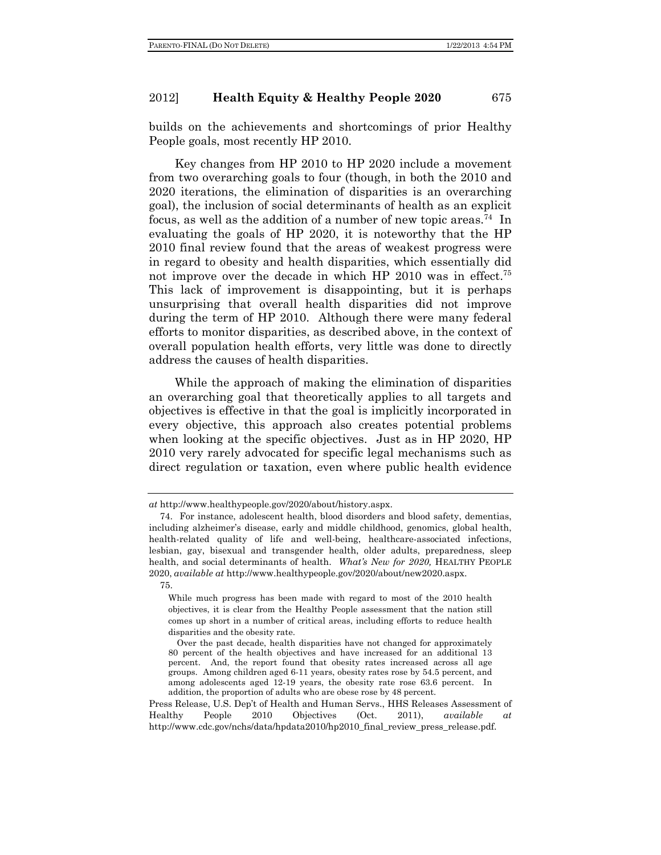builds on the achievements and shortcomings of prior Healthy People goals, most recently HP 2010.

Key changes from HP 2010 to HP 2020 include a movement from two overarching goals to four (though, in both the 2010 and 2020 iterations, the elimination of disparities is an overarching goal), the inclusion of social determinants of health as an explicit focus, as well as the addition of a number of new topic areas.<sup>74</sup> In evaluating the goals of HP 2020, it is noteworthy that the HP 2010 final review found that the areas of weakest progress were in regard to obesity and health disparities, which essentially did not improve over the decade in which HP 2010 was in effect.75 This lack of improvement is disappointing, but it is perhaps unsurprising that overall health disparities did not improve during the term of HP 2010. Although there were many federal efforts to monitor disparities, as described above, in the context of overall population health efforts, very little was done to directly address the causes of health disparities.

While the approach of making the elimination of disparities an overarching goal that theoretically applies to all targets and objectives is effective in that the goal is implicitly incorporated in every objective, this approach also creates potential problems when looking at the specific objectives. Just as in HP 2020, HP 2010 very rarely advocated for specific legal mechanisms such as direct regulation or taxation, even where public health evidence

*at* http://www.healthypeople.gov/2020/about/history.aspx.

 <sup>74.</sup> For instance, adolescent health, blood disorders and blood safety, dementias, including alzheimer's disease, early and middle childhood, genomics, global health, health-related quality of life and well-being, healthcare-associated infections, lesbian, gay, bisexual and transgender health, older adults, preparedness, sleep health, and social determinants of health. *What's New for 2020*, HEALTHY PEOPLE 2020, *available at* http://www.healthypeople.gov/2020/about/new2020.aspx.

 <sup>75.</sup> 

While much progress has been made with regard to most of the 2010 health objectives, it is clear from the Healthy People assessment that the nation still comes up short in a number of critical areas, including efforts to reduce health disparities and the obesity rate.

Over the past decade, health disparities have not changed for approximately 80 percent of the health objectives and have increased for an additional 13 percent. And, the report found that obesity rates increased across all age groups. Among children aged 6-11 years, obesity rates rose by 54.5 percent, and among adolescents aged 12-19 years, the obesity rate rose 63.6 percent. In addition, the proportion of adults who are obese rose by 48 percent.

Press Release, U.S. Dep't of Health and Human Servs., HHS Releases Assessment of Healthy People 2010 Objectives (Oct. 2011), *available at* http://www.cdc.gov/nchs/data/hpdata2010/hp2010\_final\_review\_press\_release.pdf.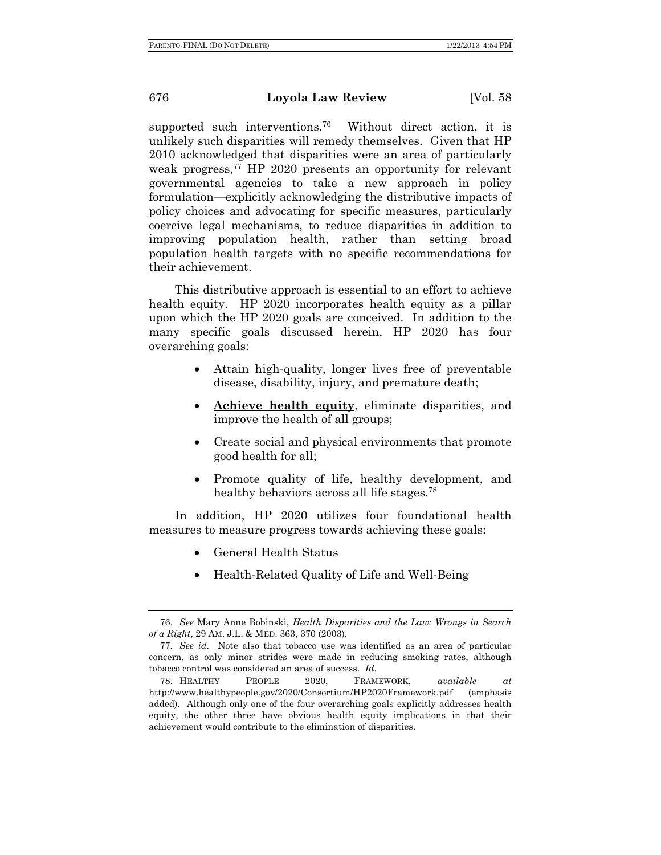supported such interventions.<sup>76</sup> Without direct action, it is unlikely such disparities will remedy themselves. Given that HP 2010 acknowledged that disparities were an area of particularly weak progress,<sup>77</sup> HP 2020 presents an opportunity for relevant governmental agencies to take a new approach in policy formulation—explicitly acknowledging the distributive impacts of policy choices and advocating for specific measures, particularly coercive legal mechanisms, to reduce disparities in addition to improving population health, rather than setting broad population health targets with no specific recommendations for their achievement.

This distributive approach is essential to an effort to achieve health equity. HP 2020 incorporates health equity as a pillar upon which the HP 2020 goals are conceived. In addition to the many specific goals discussed herein, HP 2020 has four overarching goals:

- Attain high-quality, longer lives free of preventable disease, disability, injury, and premature death;
- **Achieve health equity**, eliminate disparities, and improve the health of all groups;
- Create social and physical environments that promote good health for all;
- Promote quality of life, healthy development, and healthy behaviors across all life stages.<sup>78</sup>

In addition, HP 2020 utilizes four foundational health measures to measure progress towards achieving these goals:

- General Health Status
- Health-Related Quality of Life and Well-Being

 <sup>76.</sup> *See* Mary Anne Bobinski, *Health Disparities and the Law: Wrongs in Search of a Right*, 29 AM. J.L. & MED. 363, 370 (2003).

 <sup>77.</sup> *See id.* Note also that tobacco use was identified as an area of particular concern, as only minor strides were made in reducing smoking rates, although tobacco control was considered an area of success. *Id.*

 <sup>78.</sup> HEALTHY PEOPLE 2020, FRAMEWORK, *available at* http://www.healthypeople.gov/2020/Consortium/HP2020Framework.pdf (emphasis added). Although only one of the four overarching goals explicitly addresses health equity, the other three have obvious health equity implications in that their achievement would contribute to the elimination of disparities.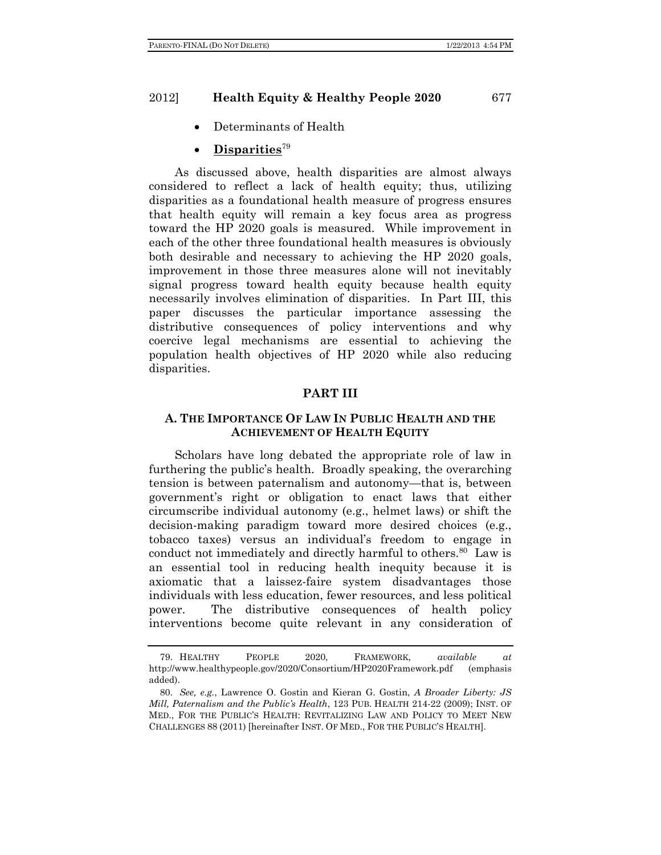Determinants of Health

# **Disparities**<sup>79</sup>

As discussed above, health disparities are almost always considered to reflect a lack of health equity; thus, utilizing disparities as a foundational health measure of progress ensures that health equity will remain a key focus area as progress toward the HP 2020 goals is measured. While improvement in each of the other three foundational health measures is obviously both desirable and necessary to achieving the HP 2020 goals, improvement in those three measures alone will not inevitably signal progress toward health equity because health equity necessarily involves elimination of disparities. In Part III, this paper discusses the particular importance assessing the distributive consequences of policy interventions and why coercive legal mechanisms are essential to achieving the population health objectives of HP 2020 while also reducing disparities.

### **PART III**

### **A. THE IMPORTANCE OF LAW IN PUBLIC HEALTH AND THE ACHIEVEMENT OF HEALTH EQUITY**

Scholars have long debated the appropriate role of law in furthering the public's health. Broadly speaking, the overarching tension is between paternalism and autonomy—that is, between government's right or obligation to enact laws that either circumscribe individual autonomy (e.g., helmet laws) or shift the decision-making paradigm toward more desired choices (e.g., tobacco taxes) versus an individual's freedom to engage in conduct not immediately and directly harmful to others.<sup>80</sup> Law is an essential tool in reducing health inequity because it is axiomatic that a laissez-faire system disadvantages those individuals with less education, fewer resources, and less political power. The distributive consequences of health policy interventions become quite relevant in any consideration of

 <sup>79.</sup> HEALTHY PEOPLE 2020, FRAMEWORK, *available at* http://www.healthypeople.gov/2020/Consortium/HP2020Framework.pdf (emphasis added).

 <sup>80.</sup> *See, e.g.*, Lawrence O. Gostin and Kieran G. Gostin, *A Broader Liberty: JS Mill, Paternalism and the Public's Health*, 123 PUB. HEALTH 214-22 (2009); INST. OF MED., FOR THE PUBLIC'S HEALTH: REVITALIZING LAW AND POLICY TO MEET NEW CHALLENGES 88 (2011) [hereinafter INST. OF MED., FOR THE PUBLIC'S HEALTH].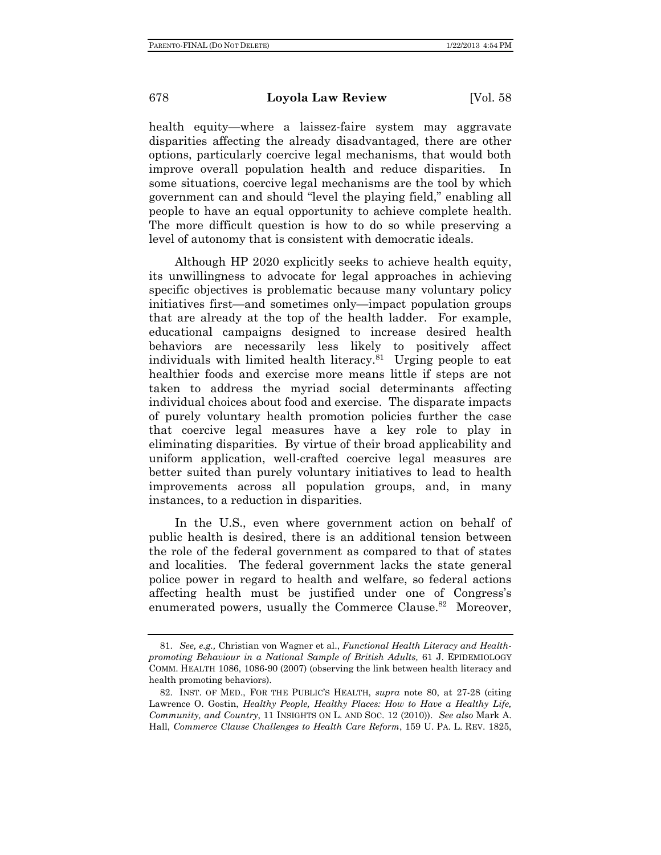health equity—where a laissez-faire system may aggravate disparities affecting the already disadvantaged, there are other options, particularly coercive legal mechanisms, that would both improve overall population health and reduce disparities. In some situations, coercive legal mechanisms are the tool by which government can and should "level the playing field," enabling all people to have an equal opportunity to achieve complete health. The more difficult question is how to do so while preserving a level of autonomy that is consistent with democratic ideals.

Although HP 2020 explicitly seeks to achieve health equity, its unwillingness to advocate for legal approaches in achieving specific objectives is problematic because many voluntary policy initiatives first—and sometimes only—impact population groups that are already at the top of the health ladder. For example, educational campaigns designed to increase desired health behaviors are necessarily less likely to positively affect individuals with limited health literacy.<sup>81</sup> Urging people to eat healthier foods and exercise more means little if steps are not taken to address the myriad social determinants affecting individual choices about food and exercise. The disparate impacts of purely voluntary health promotion policies further the case that coercive legal measures have a key role to play in eliminating disparities. By virtue of their broad applicability and uniform application, well-crafted coercive legal measures are better suited than purely voluntary initiatives to lead to health improvements across all population groups, and, in many instances, to a reduction in disparities.

In the U.S., even where government action on behalf of public health is desired, there is an additional tension between the role of the federal government as compared to that of states and localities. The federal government lacks the state general police power in regard to health and welfare, so federal actions affecting health must be justified under one of Congress's enumerated powers, usually the Commerce Clause.<sup>82</sup> Moreover,

 <sup>81.</sup> *See, e.g.,* Christian von Wagner et al., *Functional Health Literacy and Healthpromoting Behaviour in a National Sample of British Adults,* 61 J. EPIDEMIOLOGY COMM. HEALTH 1086, 1086-90 (2007) (observing the link between health literacy and health promoting behaviors).

 <sup>82.</sup> INST. OF MED., FOR THE PUBLIC'S HEALTH, *supra* note 80, at 27-28 (citing Lawrence O. Gostin, *Healthy People, Healthy Places: How to Have a Healthy Life, Community, and Country*, 11 INSIGHTS ON L. AND SOC. 12 (2010)). *See also* Mark A. Hall, *Commerce Clause Challenges to Health Care Reform*, 159 U. PA. L. REV. 1825,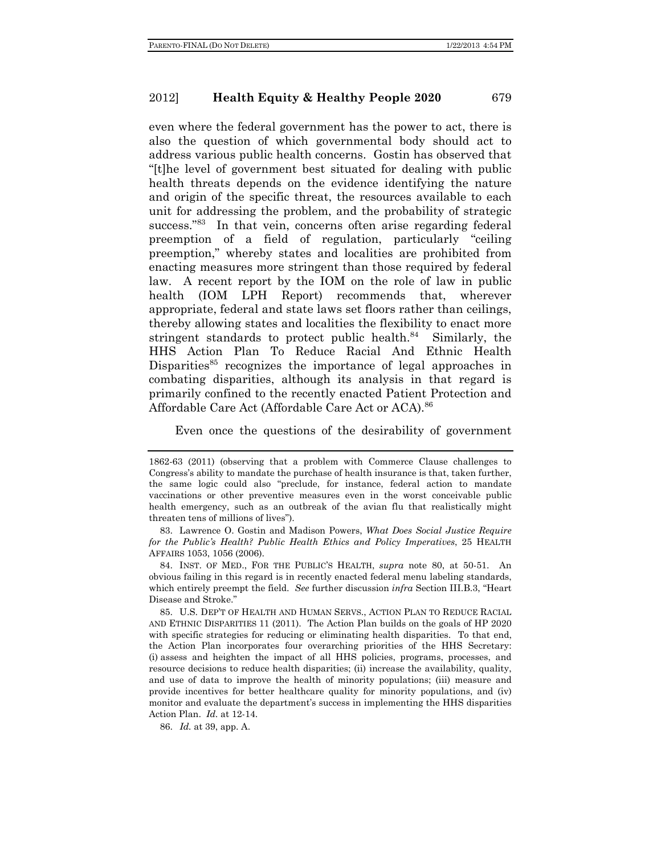even where the federal government has the power to act, there is also the question of which governmental body should act to address various public health concerns. Gostin has observed that "[t]he level of government best situated for dealing with public health threats depends on the evidence identifying the nature and origin of the specific threat, the resources available to each unit for addressing the problem, and the probability of strategic success."<sup>83</sup> In that vein, concerns often arise regarding federal preemption of a field of regulation, particularly "ceiling preemption," whereby states and localities are prohibited from enacting measures more stringent than those required by federal law. A recent report by the IOM on the role of law in public health (IOM LPH Report) recommends that, wherever appropriate, federal and state laws set floors rather than ceilings, thereby allowing states and localities the flexibility to enact more stringent standards to protect public health. $84$  Similarly, the HHS Action Plan To Reduce Racial And Ethnic Health Disparities<sup>85</sup> recognizes the importance of legal approaches in combating disparities, although its analysis in that regard is primarily confined to the recently enacted Patient Protection and Affordable Care Act (Affordable Care Act or ACA).<sup>86</sup>

Even once the questions of the desirability of government

 83. Lawrence O. Gostin and Madison Powers, *What Does Social Justice Require for the Public's Health? Public Health Ethics and Policy Imperatives*, 25 HEALTH AFFAIRS 1053, 1056 (2006).

 84. INST. OF MED., FOR THE PUBLIC'S HEALTH, *supra* note 80, at 50-51. An obvious failing in this regard is in recently enacted federal menu labeling standards, which entirely preempt the field. *See* further discussion *infra* Section III.B.3, "Heart Disease and Stroke."

 85. U.S. DEP'T OF HEALTH AND HUMAN SERVS., ACTION PLAN TO REDUCE RACIAL AND ETHNIC DISPARITIES 11 (2011). The Action Plan builds on the goals of HP 2020 with specific strategies for reducing or eliminating health disparities. To that end, the Action Plan incorporates four overarching priorities of the HHS Secretary: (i) assess and heighten the impact of all HHS policies, programs, processes, and resource decisions to reduce health disparities; (ii) increase the availability, quality, and use of data to improve the health of minority populations; (iii) measure and provide incentives for better healthcare quality for minority populations, and (iv) monitor and evaluate the department's success in implementing the HHS disparities Action Plan. *Id.* at 12-14.

86. *Id.* at 39, app. A.

<sup>1862-63 (2011) (</sup>observing that a problem with Commerce Clause challenges to Congress's ability to mandate the purchase of health insurance is that, taken further, the same logic could also "preclude, for instance, federal action to mandate vaccinations or other preventive measures even in the worst conceivable public health emergency, such as an outbreak of the avian flu that realistically might threaten tens of millions of lives").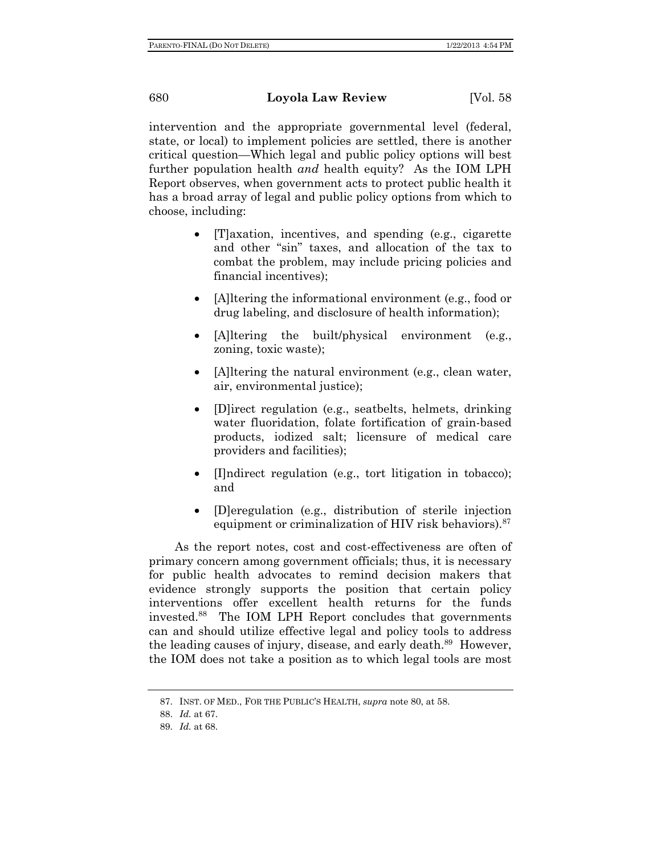intervention and the appropriate governmental level (federal, state, or local) to implement policies are settled, there is another critical question—Which legal and public policy options will best further population health *and* health equity? As the IOM LPH Report observes, when government acts to protect public health it has a broad array of legal and public policy options from which to choose, including:

- [T]axation, incentives, and spending (e.g., cigarette and other "sin" taxes, and allocation of the tax to combat the problem, may include pricing policies and financial incentives);
- [A]ltering the informational environment (e.g., food or drug labeling, and disclosure of health information);
- [A]ltering the built/physical environment (e.g., zoning, toxic waste);
- [A]ltering the natural environment (e.g., clean water, air, environmental justice);
- [D]irect regulation (e.g., seatbelts, helmets, drinking water fluoridation, folate fortification of grain-based products, iodized salt; licensure of medical care providers and facilities);
- [I]ndirect regulation (e.g., tort litigation in tobacco); and
- [D]eregulation (e.g., distribution of sterile injection equipment or criminalization of HIV risk behaviors).<sup>87</sup>

As the report notes, cost and cost-effectiveness are often of primary concern among government officials; thus, it is necessary for public health advocates to remind decision makers that evidence strongly supports the position that certain policy interventions offer excellent health returns for the funds invested.88 The IOM LPH Report concludes that governments can and should utilize effective legal and policy tools to address the leading causes of injury, disease, and early death.<sup>89</sup> However, the IOM does not take a position as to which legal tools are most

 <sup>87.</sup> INST. OF MED., FOR THE PUBLIC'S HEALTH, *supra* note 80, at 58.

 <sup>88.</sup> *Id.* at 67.

 <sup>89.</sup> *Id.* at 68.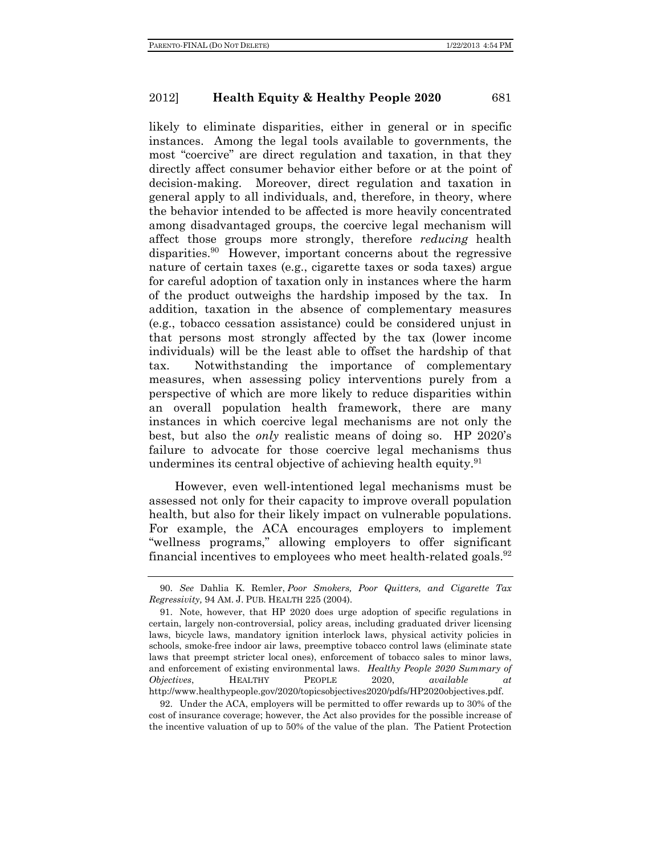likely to eliminate disparities, either in general or in specific instances. Among the legal tools available to governments, the most "coercive" are direct regulation and taxation, in that they directly affect consumer behavior either before or at the point of decision-making. Moreover, direct regulation and taxation in general apply to all individuals, and, therefore, in theory, where the behavior intended to be affected is more heavily concentrated among disadvantaged groups, the coercive legal mechanism will affect those groups more strongly, therefore *reducing* health disparities.<sup>90</sup> However, important concerns about the regressive nature of certain taxes (e.g., cigarette taxes or soda taxes) argue for careful adoption of taxation only in instances where the harm of the product outweighs the hardship imposed by the tax. In addition, taxation in the absence of complementary measures (e.g., tobacco cessation assistance) could be considered unjust in that persons most strongly affected by the tax (lower income individuals) will be the least able to offset the hardship of that tax. Notwithstanding the importance of complementary measures, when assessing policy interventions purely from a perspective of which are more likely to reduce disparities within an overall population health framework, there are many instances in which coercive legal mechanisms are not only the best, but also the *only* realistic means of doing so. HP 2020's failure to advocate for those coercive legal mechanisms thus undermines its central objective of achieving health equity.<sup>91</sup>

However, even well-intentioned legal mechanisms must be assessed not only for their capacity to improve overall population health, but also for their likely impact on vulnerable populations. For example, the ACA encourages employers to implement "wellness programs," allowing employers to offer significant financial incentives to employees who meet health-related goals.  $92$ 

 92. Under the ACA, employers will be permitted to offer rewards up to 30% of the cost of insurance coverage; however, the Act also provides for the possible increase of the incentive valuation of up to 50% of the value of the plan. The Patient Protection

 <sup>90.</sup> *See* Dahlia K. Remler, *Poor Smokers, Poor Quitters, and Cigarette Tax Regressivity,* 94 AM. J. PUB. HEALTH 225 (2004).

 <sup>91.</sup> Note, however, that HP 2020 does urge adoption of specific regulations in certain, largely non-controversial, policy areas, including graduated driver licensing laws, bicycle laws, mandatory ignition interlock laws, physical activity policies in schools, smoke-free indoor air laws, preemptive tobacco control laws (eliminate state laws that preempt stricter local ones), enforcement of tobacco sales to minor laws, and enforcement of existing environmental laws. *Healthy People 2020 Summary of Objectives*, HEALTHY PEOPLE 2020, *available at*  http://www.healthypeople.gov/2020/topicsobjectives2020/pdfs/HP2020objectives.pdf.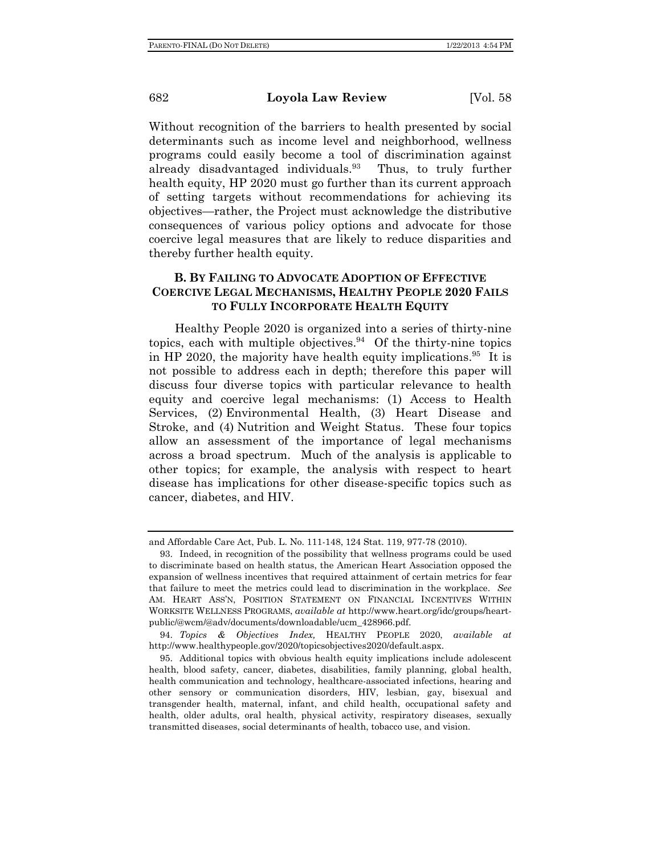Without recognition of the barriers to health presented by social determinants such as income level and neighborhood, wellness programs could easily become a tool of discrimination against already disadvantaged individuals.<sup>93</sup> Thus, to truly further health equity, HP 2020 must go further than its current approach of setting targets without recommendations for achieving its objectives—rather, the Project must acknowledge the distributive consequences of various policy options and advocate for those coercive legal measures that are likely to reduce disparities and thereby further health equity.

# **B. BY FAILING TO ADVOCATE ADOPTION OF EFFECTIVE COERCIVE LEGAL MECHANISMS, HEALTHY PEOPLE 2020 FAILS TO FULLY INCORPORATE HEALTH EQUITY**

Healthy People 2020 is organized into a series of thirty-nine topics, each with multiple objectives. $94$  Of the thirty-nine topics in HP 2020, the majority have health equity implications.<sup>95</sup> It is not possible to address each in depth; therefore this paper will discuss four diverse topics with particular relevance to health equity and coercive legal mechanisms: (1) Access to Health Services, (2) Environmental Health, (3) Heart Disease and Stroke, and (4) Nutrition and Weight Status. These four topics allow an assessment of the importance of legal mechanisms across a broad spectrum. Much of the analysis is applicable to other topics; for example, the analysis with respect to heart disease has implications for other disease-specific topics such as cancer, diabetes, and HIV.

and Affordable Care Act, Pub. L. No. 111-148, 124 Stat. 119, 977-78 (2010).

 <sup>93.</sup> Indeed, in recognition of the possibility that wellness programs could be used to discriminate based on health status, the American Heart Association opposed the expansion of wellness incentives that required attainment of certain metrics for fear that failure to meet the metrics could lead to discrimination in the workplace. *See*  AM. HEART ASS'N, POSITION STATEMENT ON FINANCIAL INCENTIVES WITHIN WORKSITE WELLNESS PROGRAMS, *available at* http://www.heart.org/idc/groups/heartpublic/@wcm/@adv/documents/downloadable/ucm\_428966.pdf.

 <sup>94.</sup> *Topics & Objectives Index,* HEALTHY PEOPLE 2020, *available at*  http://www.healthypeople.gov/2020/topicsobjectives2020/default.aspx.

 <sup>95.</sup> Additional topics with obvious health equity implications include adolescent health, blood safety, cancer, diabetes, disabilities, family planning, global health, health communication and technology, healthcare-associated infections, hearing and other sensory or communication disorders, HIV, lesbian, gay, bisexual and transgender health, maternal, infant, and child health, occupational safety and health, older adults, oral health, physical activity, respiratory diseases, sexually transmitted diseases, social determinants of health, tobacco use, and vision.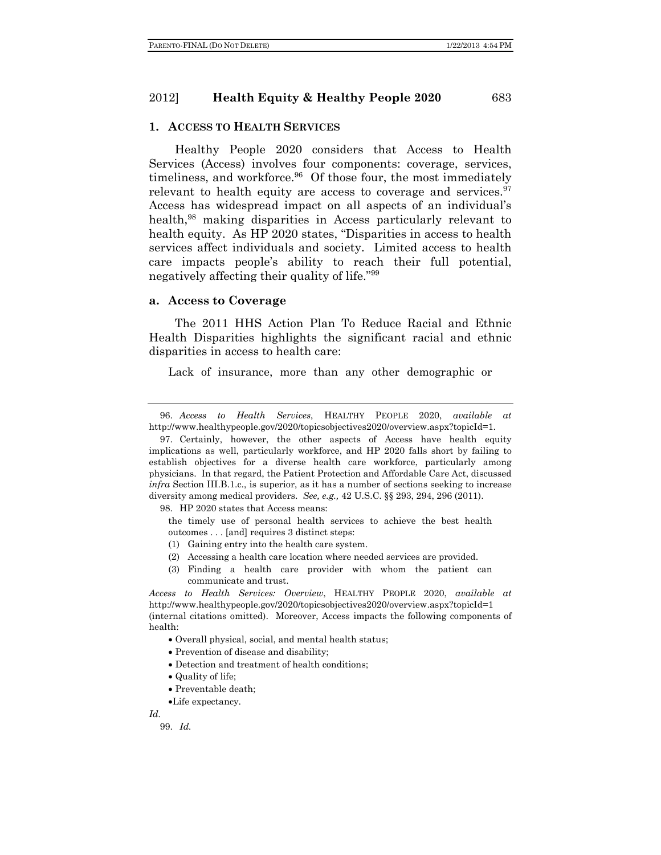#### **1. ACCESS TO HEALTH SERVICES**

Healthy People 2020 considers that Access to Health Services (Access) involves four components: coverage, services, timeliness, and workforce.<sup>96</sup> Of those four, the most immediately relevant to health equity are access to coverage and services. $97$ Access has widespread impact on all aspects of an individual's health,<sup>98</sup> making disparities in Access particularly relevant to health equity. As HP 2020 states, "Disparities in access to health services affect individuals and society. Limited access to health care impacts people's ability to reach their full potential, negatively affecting their quality of life."99

### **a. Access to Coverage**

The 2011 HHS Action Plan To Reduce Racial and Ethnic Health Disparities highlights the significant racial and ethnic disparities in access to health care:

Lack of insurance, more than any other demographic or

98. HP 2020 states that Access means:

the timely use of personal health services to achieve the best health outcomes . . . [and] requires 3 distinct steps:

- (1) Gaining entry into the health care system.
- (2) Accessing a health care location where needed services are provided.
- (3) Finding a health care provider with whom the patient can communicate and trust.

*Access to Health Services: Overview*, HEALTHY PEOPLE 2020, *available at*  http://www.healthypeople.gov/2020/topicsobjectives2020/overview.aspx?topicId=1 (internal citations omitted). Moreover, Access impacts the following components of health:

- Overall physical, social, and mental health status;
- Prevention of disease and disability;
- Detection and treatment of health conditions;
- Quality of life;
- Preventable death;
- Life expectancy.

*Id.*

99. *Id.*

 <sup>96.</sup> *Access to Health Services*, HEALTHY PEOPLE 2020, *available at*  http://www.healthypeople.gov/2020/topicsobjectives2020/overview.aspx?topicId=1.

 <sup>97.</sup> Certainly, however, the other aspects of Access have health equity implications as well, particularly workforce, and HP 2020 falls short by failing to establish objectives for a diverse health care workforce, particularly among physicians. In that regard, the Patient Protection and Affordable Care Act, discussed *infra* Section III.B.1.c., is superior, as it has a number of sections seeking to increase diversity among medical providers. *See, e.g.,* 42 U.S.C. §§ 293, 294, 296 (2011).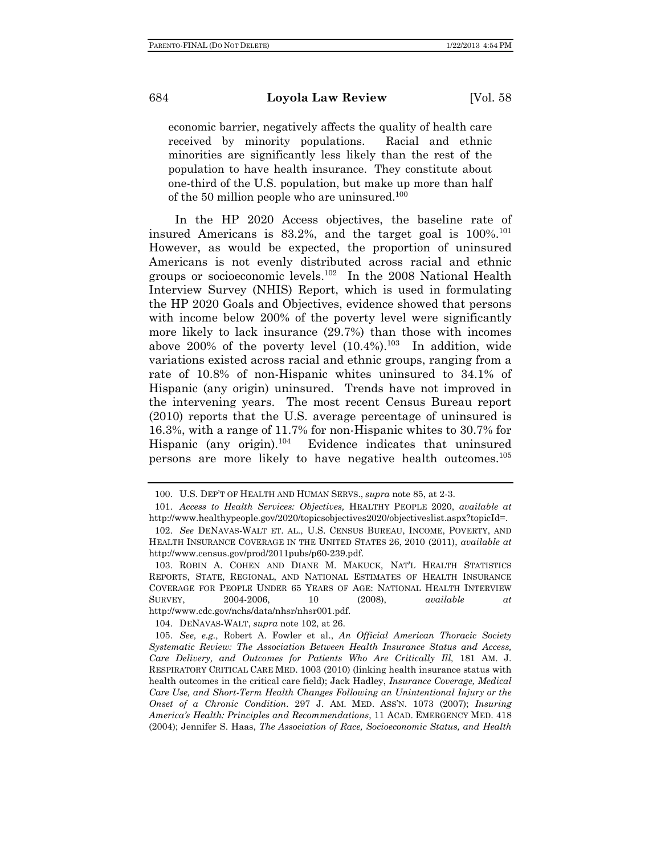economic barrier, negatively affects the quality of health care received by minority populations. Racial and ethnic minorities are significantly less likely than the rest of the population to have health insurance. They constitute about one-third of the U.S. population, but make up more than half of the 50 million people who are uninsured.<sup>100</sup>

In the HP 2020 Access objectives, the baseline rate of insured Americans is  $83.2\%$ , and the target goal is  $100\%$ <sup>101</sup> However, as would be expected, the proportion of uninsured Americans is not evenly distributed across racial and ethnic groups or socioeconomic levels.102 In the 2008 National Health Interview Survey (NHIS) Report, which is used in formulating the HP 2020 Goals and Objectives, evidence showed that persons with income below 200% of the poverty level were significantly more likely to lack insurance (29.7%) than those with incomes above 200% of the poverty level  $(10.4\%)$ .<sup>103</sup> In addition, wide variations existed across racial and ethnic groups, ranging from a rate of 10.8% of non-Hispanic whites uninsured to 34.1% of Hispanic (any origin) uninsured. Trends have not improved in the intervening years. The most recent Census Bureau report (2010) reports that the U.S. average percentage of uninsured is 16.3%, with a range of 11.7% for non-Hispanic whites to 30.7% for Hispanic (any origin). $104$  Evidence indicates that uninsured persons are more likely to have negative health outcomes.105

104. DENAVAS-WALT, *supra* note 102, at 26.

 <sup>100.</sup> U.S. DEP'T OF HEALTH AND HUMAN SERVS., *supra* note 85, at 2-3.

 <sup>101.</sup> *Access to Health Services: Objectives,* HEALTHY PEOPLE 2020, *available at* http://www.healthypeople.gov/2020/topicsobjectives2020/objectiveslist.aspx?topicId=.

 <sup>102.</sup> *See* DENAVAS-WALT ET. AL., U.S. CENSUS BUREAU, INCOME, POVERTY, AND HEALTH INSURANCE COVERAGE IN THE UNITED STATES 26, 2010 (2011), *available at*  http://www.census.gov/prod/2011pubs/p60-239.pdf.

 <sup>103.</sup> ROBIN A. COHEN AND DIANE M. MAKUCK, NAT'L HEALTH STATISTICS REPORTS, STATE, REGIONAL, AND NATIONAL ESTIMATES OF HEALTH INSURANCE COVERAGE FOR PEOPLE UNDER 65 YEARS OF AGE: NATIONAL HEALTH INTERVIEW SURVEY, 2004-2006, 10 (2008), *available at* http://www.cdc.gov/nchs/data/nhsr/nhsr001.pdf.

 <sup>105.</sup> *See, e.g.,* Robert A. Fowler et al., *An Official American Thoracic Society Systematic Review: The Association Between Health Insurance Status and Access, Care Delivery, and Outcomes for Patients Who Are Critically Ill,* 181 AM. J. RESPIRATORY CRITICAL CARE MED. 1003 (2010) (linking health insurance status with health outcomes in the critical care field); Jack Hadley, *Insurance Coverage, Medical Care Use, and Short-Term Health Changes Following an Unintentional Injury or the Onset of a Chronic Condition*. 297 J. AM. MED. ASS'N. 1073 (2007); *Insuring America's Health: Principles and Recommendations*, 11 ACAD. EMERGENCY MED. 418 (2004); Jennifer S. Haas, *The Association of Race, Socioeconomic Status, and Health*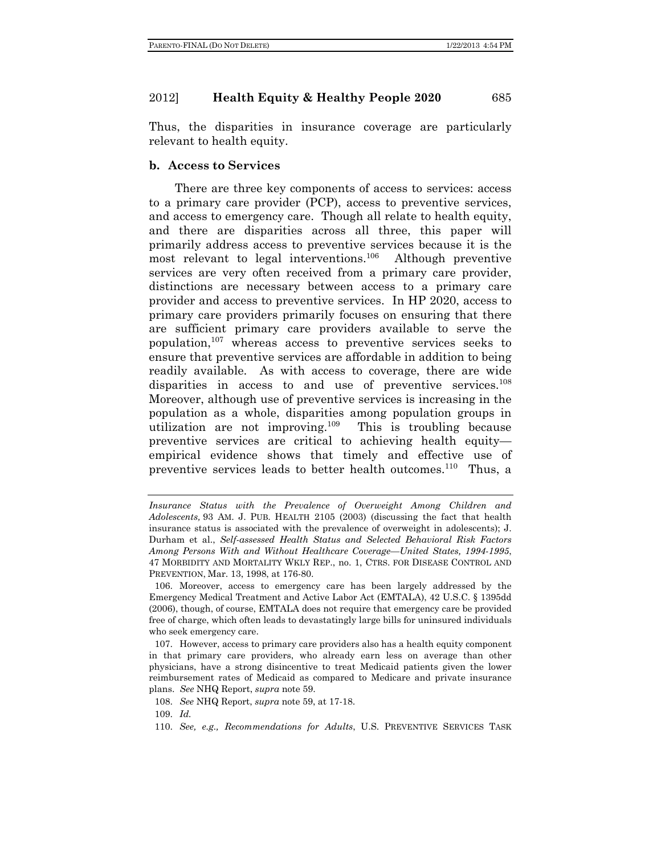Thus, the disparities in insurance coverage are particularly relevant to health equity.

### **b. Access to Services**

There are three key components of access to services: access to a primary care provider (PCP), access to preventive services, and access to emergency care. Though all relate to health equity, and there are disparities across all three, this paper will primarily address access to preventive services because it is the most relevant to legal interventions.106 Although preventive services are very often received from a primary care provider, distinctions are necessary between access to a primary care provider and access to preventive services. In HP 2020, access to primary care providers primarily focuses on ensuring that there are sufficient primary care providers available to serve the population,  $107$  whereas access to preventive services seeks to ensure that preventive services are affordable in addition to being readily available. As with access to coverage, there are wide disparities in access to and use of preventive services.<sup>108</sup> Moreover, although use of preventive services is increasing in the population as a whole, disparities among population groups in utilization are not improving.109 This is troubling because preventive services are critical to achieving health equity empirical evidence shows that timely and effective use of preventive services leads to better health outcomes.<sup>110</sup> Thus, a

109. *Id.*

*Insurance Status with the Prevalence of Overweight Among Children and Adolescents,* 93 AM. J. PUB. HEALTH 2105 (2003) (discussing the fact that health insurance status is associated with the prevalence of overweight in adolescents); J. Durham et al., *Self-assessed Health Status and Selected Behavioral Risk Factors Among Persons With and Without Healthcare Coverage—United States, 1994-1995*, 47 MORBIDITY AND MORTALITY WKLY REP., no. 1, CTRS. FOR DISEASE CONTROL AND PREVENTION, Mar. 13, 1998, at 176-80.

 <sup>106.</sup> Moreover, access to emergency care has been largely addressed by the Emergency Medical Treatment and Active Labor Act (EMTALA), 42 U.S.C. § 1395dd (2006), though, of course, EMTALA does not require that emergency care be provided free of charge, which often leads to devastatingly large bills for uninsured individuals who seek emergency care.

 <sup>107.</sup> However, access to primary care providers also has a health equity component in that primary care providers, who already earn less on average than other physicians, have a strong disincentive to treat Medicaid patients given the lower reimbursement rates of Medicaid as compared to Medicare and private insurance plans. *See* NHQ Report, *supra* note 59.

 <sup>108.</sup> *See* NHQ Report, *supra* note 59, at 17-18.

 <sup>110.</sup> *See, e.g., Recommendations for Adults*, U.S. PREVENTIVE SERVICES TASK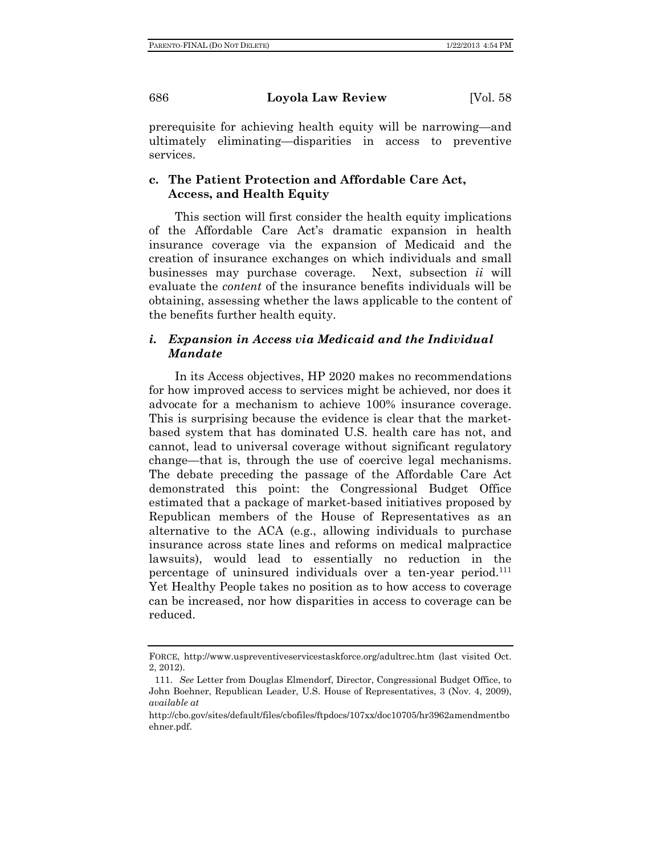prerequisite for achieving health equity will be narrowing—and ultimately eliminating—disparities in access to preventive services.

# **c. The Patient Protection and Affordable Care Act, Access, and Health Equity**

This section will first consider the health equity implications of the Affordable Care Act's dramatic expansion in health insurance coverage via the expansion of Medicaid and the creation of insurance exchanges on which individuals and small businesses may purchase coverage. Next, subsection *ii* will evaluate the *content* of the insurance benefits individuals will be obtaining, assessing whether the laws applicable to the content of the benefits further health equity.

# *i. Expansion in Access via Medicaid and the Individual Mandate*

In its Access objectives, HP 2020 makes no recommendations for how improved access to services might be achieved, nor does it advocate for a mechanism to achieve 100% insurance coverage. This is surprising because the evidence is clear that the marketbased system that has dominated U.S. health care has not, and cannot, lead to universal coverage without significant regulatory change—that is, through the use of coercive legal mechanisms. The debate preceding the passage of the Affordable Care Act demonstrated this point: the Congressional Budget Office estimated that a package of market-based initiatives proposed by Republican members of the House of Representatives as an alternative to the ACA (e.g., allowing individuals to purchase insurance across state lines and reforms on medical malpractice lawsuits), would lead to essentially no reduction in the percentage of uninsured individuals over a ten-year period.<sup>111</sup> Yet Healthy People takes no position as to how access to coverage can be increased, nor how disparities in access to coverage can be reduced.

FORCE, http://www.uspreventiveservicestaskforce.org/adultrec.htm (last visited Oct. 2, 2012).

 <sup>111.</sup> *See* Letter from Douglas Elmendorf, Director, Congressional Budget Office, to John Boehner, Republican Leader, U.S. House of Representatives, 3 (Nov. 4, 2009), *available at* 

http://cbo.gov/sites/default/files/cbofiles/ftpdocs/107xx/doc10705/hr3962amendmentbo ehner.pdf.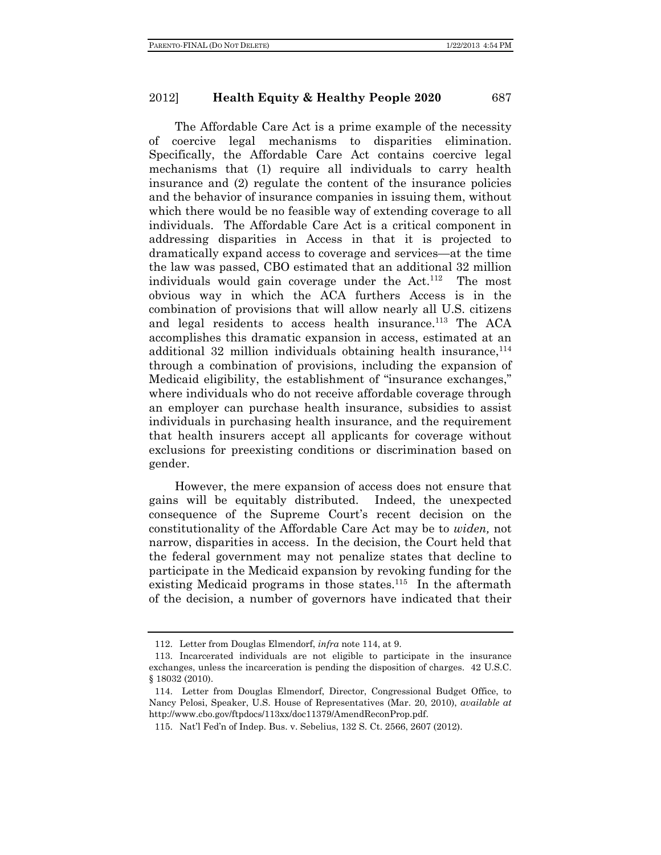The Affordable Care Act is a prime example of the necessity of coercive legal mechanisms to disparities elimination. Specifically, the Affordable Care Act contains coercive legal mechanisms that (1) require all individuals to carry health insurance and (2) regulate the content of the insurance policies and the behavior of insurance companies in issuing them, without which there would be no feasible way of extending coverage to all individuals. The Affordable Care Act is a critical component in addressing disparities in Access in that it is projected to dramatically expand access to coverage and services—at the time the law was passed, CBO estimated that an additional 32 million individuals would gain coverage under the  $Act.$ <sup>112</sup> The most obvious way in which the ACA furthers Access is in the combination of provisions that will allow nearly all U.S. citizens and legal residents to access health insurance.<sup>113</sup> The ACA accomplishes this dramatic expansion in access, estimated at an additional 32 million individuals obtaining health insurance,  $114$ through a combination of provisions, including the expansion of Medicaid eligibility, the establishment of "insurance exchanges," where individuals who do not receive affordable coverage through an employer can purchase health insurance, subsidies to assist individuals in purchasing health insurance, and the requirement that health insurers accept all applicants for coverage without exclusions for preexisting conditions or discrimination based on gender.

However, the mere expansion of access does not ensure that gains will be equitably distributed. Indeed, the unexpected consequence of the Supreme Court's recent decision on the constitutionality of the Affordable Care Act may be to *widen,* not narrow, disparities in access. In the decision, the Court held that the federal government may not penalize states that decline to participate in the Medicaid expansion by revoking funding for the existing Medicaid programs in those states.<sup>115</sup> In the aftermath of the decision, a number of governors have indicated that their

 <sup>112.</sup> Letter from Douglas Elmendorf, *infra* note 114, at 9.

 <sup>113.</sup> Incarcerated individuals are not eligible to participate in the insurance exchanges, unless the incarceration is pending the disposition of charges. 42 U.S.C. § 18032 (2010).

 <sup>114.</sup> Letter from Douglas Elmendorf, Director, Congressional Budget Office, to Nancy Pelosi, Speaker, U.S. House of Representatives (Mar. 20, 2010), *available at* http://www.cbo.gov/ftpdocs/113xx/doc11379/AmendReconProp.pdf.

 <sup>115.</sup> Nat'l Fed'n of Indep. Bus. v. Sebelius, 132 S. Ct. 2566, 2607 (2012).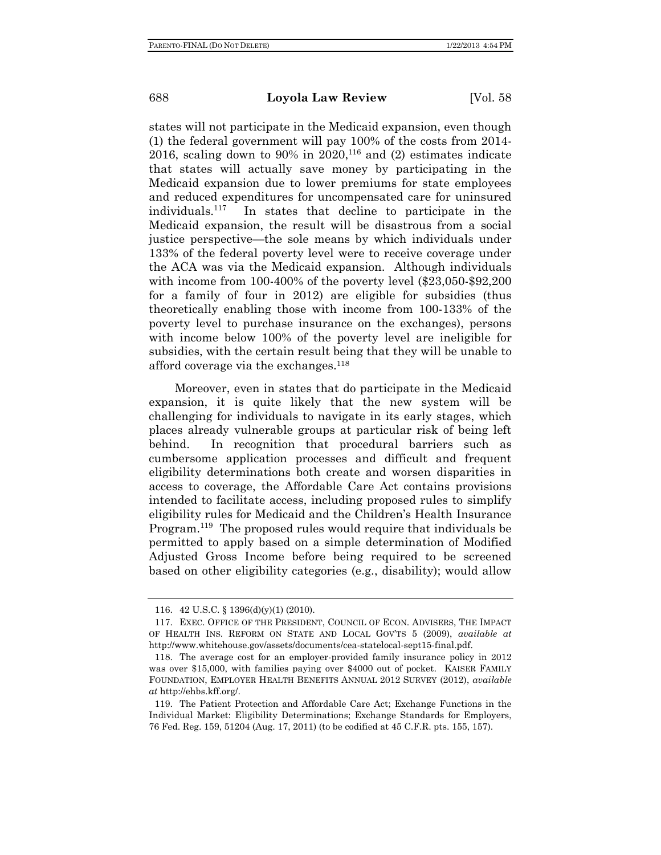states will not participate in the Medicaid expansion, even though (1) the federal government will pay 100% of the costs from 2014- 2016, scaling down to 90% in 2020,<sup>116</sup> and (2) estimates indicate that states will actually save money by participating in the Medicaid expansion due to lower premiums for state employees and reduced expenditures for uncompensated care for uninsured individuals.117 In states that decline to participate in the Medicaid expansion, the result will be disastrous from a social justice perspective—the sole means by which individuals under 133% of the federal poverty level were to receive coverage under the ACA was via the Medicaid expansion. Although individuals with income from 100-400% of the poverty level (\$23,050-\$92,200) for a family of four in 2012) are eligible for subsidies (thus theoretically enabling those with income from 100-133% of the poverty level to purchase insurance on the exchanges), persons with income below 100% of the poverty level are ineligible for subsidies, with the certain result being that they will be unable to afford coverage via the exchanges.118

Moreover, even in states that do participate in the Medicaid expansion, it is quite likely that the new system will be challenging for individuals to navigate in its early stages, which places already vulnerable groups at particular risk of being left behind. In recognition that procedural barriers such as cumbersome application processes and difficult and frequent eligibility determinations both create and worsen disparities in access to coverage, the Affordable Care Act contains provisions intended to facilitate access, including proposed rules to simplify eligibility rules for Medicaid and the Children's Health Insurance Program.<sup>119</sup> The proposed rules would require that individuals be permitted to apply based on a simple determination of Modified Adjusted Gross Income before being required to be screened based on other eligibility categories (e.g., disability); would allow

 <sup>116. 42</sup> U.S.C. § 1396(d)(y)(1) (2010).

 <sup>117.</sup> EXEC. OFFICE OF THE PRESIDENT, COUNCIL OF ECON. ADVISERS, THE IMPACT OF HEALTH INS. REFORM ON STATE AND LOCAL GOV'TS 5 (2009), *available at* http://www.whitehouse.gov/assets/documents/cea-statelocal-sept15-final.pdf.

 <sup>118.</sup> The average cost for an employer-provided family insurance policy in 2012 was over \$15,000, with families paying over \$4000 out of pocket. KAISER FAMILY FOUNDATION, EMPLOYER HEALTH BENEFITS ANNUAL 2012 SURVEY (2012), *available at* http://ehbs.kff.org/.

 <sup>119.</sup> The Patient Protection and Affordable Care Act; Exchange Functions in the Individual Market: Eligibility Determinations; Exchange Standards for Employers, 76 Fed. Reg. 159, 51204 (Aug. 17, 2011) (to be codified at 45 C.F.R. pts. 155, 157).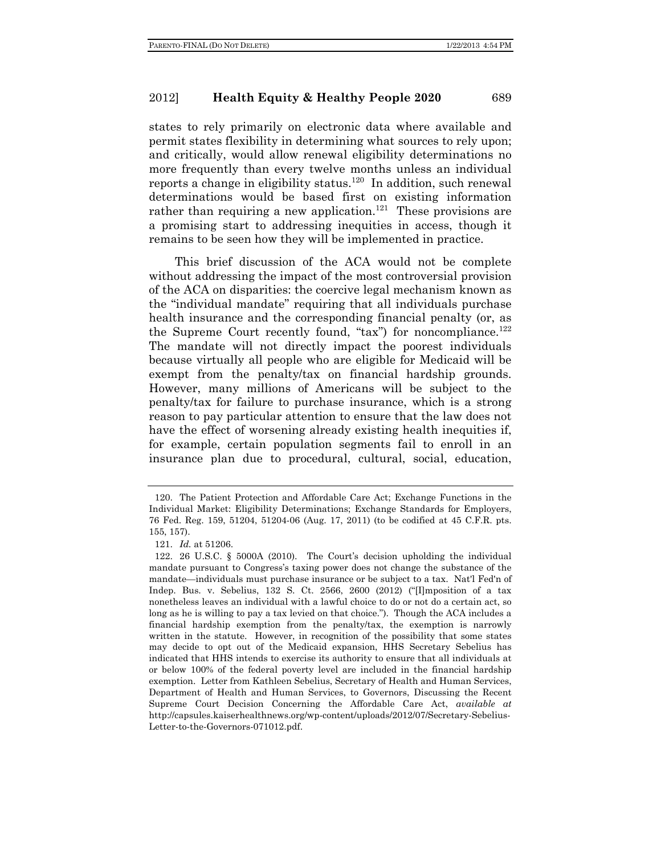states to rely primarily on electronic data where available and permit states flexibility in determining what sources to rely upon; and critically, would allow renewal eligibility determinations no more frequently than every twelve months unless an individual reports a change in eligibility status.<sup>120</sup> In addition, such renewal determinations would be based first on existing information rather than requiring a new application.<sup>121</sup> These provisions are a promising start to addressing inequities in access, though it remains to be seen how they will be implemented in practice.

This brief discussion of the ACA would not be complete without addressing the impact of the most controversial provision of the ACA on disparities: the coercive legal mechanism known as the "individual mandate" requiring that all individuals purchase health insurance and the corresponding financial penalty (or, as the Supreme Court recently found, " $tax$ ") for noncompliance.<sup>122</sup> The mandate will not directly impact the poorest individuals because virtually all people who are eligible for Medicaid will be exempt from the penalty/tax on financial hardship grounds. However, many millions of Americans will be subject to the penalty/tax for failure to purchase insurance, which is a strong reason to pay particular attention to ensure that the law does not have the effect of worsening already existing health inequities if, for example, certain population segments fail to enroll in an insurance plan due to procedural, cultural, social, education,

 <sup>120.</sup> The Patient Protection and Affordable Care Act; Exchange Functions in the Individual Market: Eligibility Determinations; Exchange Standards for Employers, 76 Fed. Reg. 159, 51204, 51204-06 (Aug. 17, 2011) (to be codified at 45 C.F.R. pts. 155, 157).

 <sup>121.</sup> *Id.* at 51206.

 <sup>122. 26</sup> U.S.C. § 5000A (2010). The Court's decision upholding the individual mandate pursuant to Congress's taxing power does not change the substance of the mandate—individuals must purchase insurance or be subject to a tax. Nat'l Fed'n of Indep. Bus. v. Sebelius, 132 S. Ct. 2566, 2600 (2012) ("Ilmposition of a tax nonetheless leaves an individual with a lawful choice to do or not do a certain act, so long as he is willing to pay a tax levied on that choice."). Though the ACA includes a financial hardship exemption from the penalty/tax, the exemption is narrowly written in the statute. However, in recognition of the possibility that some states may decide to opt out of the Medicaid expansion, HHS Secretary Sebelius has indicated that HHS intends to exercise its authority to ensure that all individuals at or below 100% of the federal poverty level are included in the financial hardship exemption. Letter from Kathleen Sebelius, Secretary of Health and Human Services, Department of Health and Human Services, to Governors, Discussing the Recent Supreme Court Decision Concerning the Affordable Care Act, *available at* http://capsules.kaiserhealthnews.org/wp-content/uploads/2012/07/Secretary-Sebelius-Letter-to-the-Governors-071012.pdf.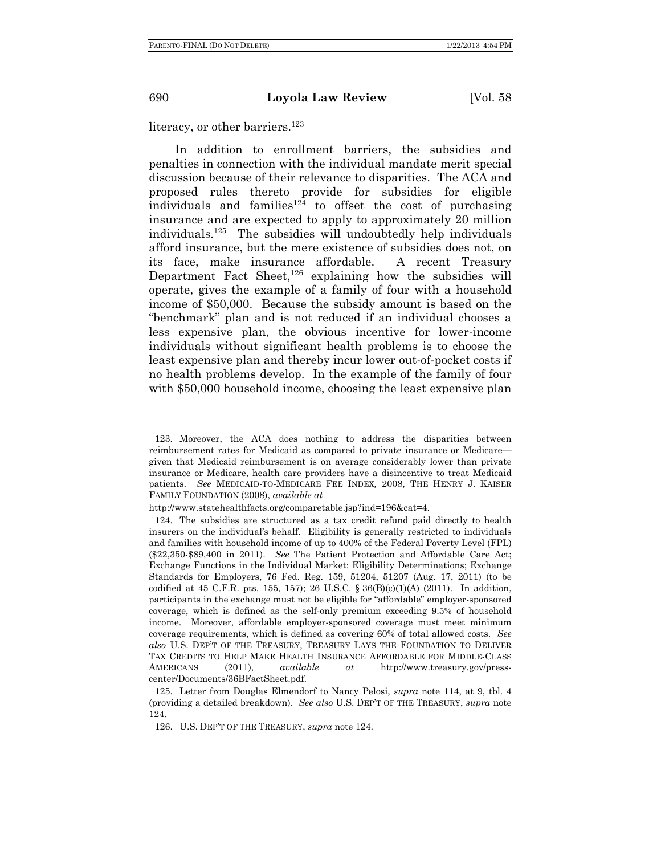literacy, or other barriers.<sup>123</sup>

In addition to enrollment barriers, the subsidies and penalties in connection with the individual mandate merit special discussion because of their relevance to disparities. The ACA and proposed rules thereto provide for subsidies for eligible individuals and families<sup>124</sup> to offset the cost of purchasing insurance and are expected to apply to approximately 20 million individuals.125 The subsidies will undoubtedly help individuals afford insurance, but the mere existence of subsidies does not, on its face, make insurance affordable. A recent Treasury Department Fact Sheet, $126$  explaining how the subsidies will operate, gives the example of a family of four with a household income of \$50,000. Because the subsidy amount is based on the "benchmark" plan and is not reduced if an individual chooses a less expensive plan, the obvious incentive for lower-income individuals without significant health problems is to choose the least expensive plan and thereby incur lower out-of-pocket costs if no health problems develop. In the example of the family of four with \$50,000 household income, choosing the least expensive plan

 <sup>123.</sup> Moreover, the ACA does nothing to address the disparities between reimbursement rates for Medicaid as compared to private insurance or Medicare given that Medicaid reimbursement is on average considerably lower than private insurance or Medicare, health care providers have a disincentive to treat Medicaid patients. *See* MEDICAID-TO-MEDICARE FEE INDEX*,* 2008, THE HENRY J. KAISER FAMILY FOUNDATION (2008), *available at* 

http://www.statehealthfacts.org/comparetable.jsp?ind=196&cat=4.

 <sup>124.</sup> The subsidies are structured as a tax credit refund paid directly to health insurers on the individual's behalf. Eligibility is generally restricted to individuals and families with household income of up to 400% of the Federal Poverty Level (FPL) (\$22,350-\$89,400 in 2011). *See* The Patient Protection and Affordable Care Act; Exchange Functions in the Individual Market: Eligibility Determinations; Exchange Standards for Employers, 76 Fed. Reg. 159, 51204, 51207 (Aug. 17, 2011) (to be codified at 45 C.F.R. pts. 155, 157); 26 U.S.C. § 36(B)(c)(1)(A) (2011). In addition, participants in the exchange must not be eligible for "affordable" employer-sponsored coverage, which is defined as the self-only premium exceeding 9.5% of household income. Moreover, affordable employer-sponsored coverage must meet minimum coverage requirements, which is defined as covering 60% of total allowed costs. *See also* U.S. DEP'T OF THE TREASURY, TREASURY LAYS THE FOUNDATION TO DELIVER TAX CREDITS TO HELP MAKE HEALTH INSURANCE AFFORDABLE FOR MIDDLE-CLASS AMERICANS (2011), *available at* http://www.treasury.gov/presscenter/Documents/36BFactSheet.pdf.

 <sup>125.</sup> Letter from Douglas Elmendorf to Nancy Pelosi, *supra* note 114, at 9, tbl. 4 (providing a detailed breakdown). *See also* U.S. DEP'T OF THE TREASURY, *supra* note 124.

 <sup>126.</sup> U.S. DEP'T OF THE TREASURY, *supra* note 124.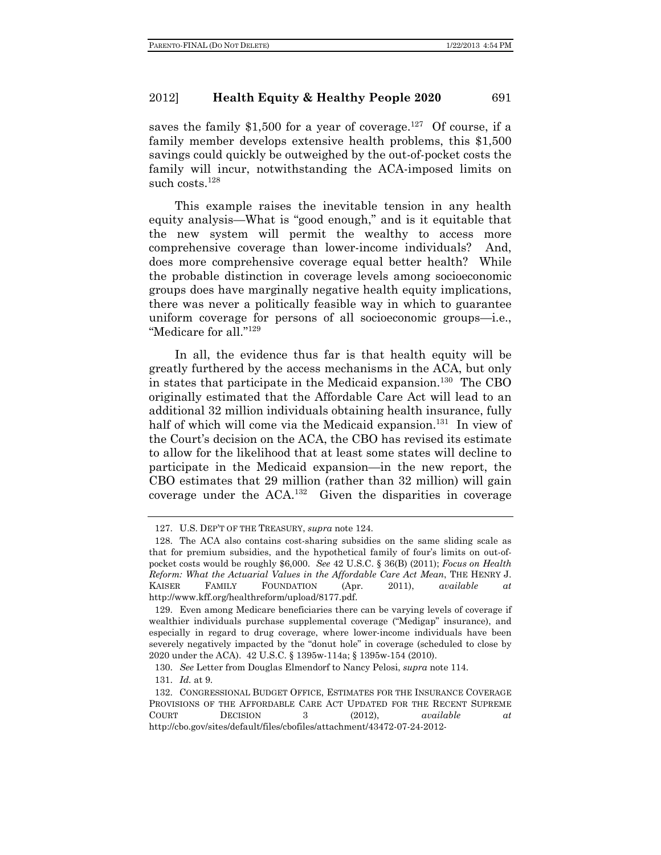saves the family \$1,500 for a year of coverage.<sup>127</sup> Of course, if a family member develops extensive health problems, this \$1,500 savings could quickly be outweighed by the out-of-pocket costs the family will incur, notwithstanding the ACA-imposed limits on such costs.<sup>128</sup>

This example raises the inevitable tension in any health equity analysis—What is "good enough," and is it equitable that the new system will permit the wealthy to access more comprehensive coverage than lower-income individuals? And, does more comprehensive coverage equal better health? While the probable distinction in coverage levels among socioeconomic groups does have marginally negative health equity implications, there was never a politically feasible way in which to guarantee uniform coverage for persons of all socioeconomic groups—i.e., "Medicare for all."129

In all, the evidence thus far is that health equity will be greatly furthered by the access mechanisms in the ACA, but only in states that participate in the Medicaid expansion.<sup>130</sup> The CBO originally estimated that the Affordable Care Act will lead to an additional 32 million individuals obtaining health insurance, fully half of which will come via the Medicaid expansion.<sup>131</sup> In view of the Court's decision on the ACA, the CBO has revised its estimate to allow for the likelihood that at least some states will decline to participate in the Medicaid expansion—in the new report, the CBO estimates that 29 million (rather than 32 million) will gain coverage under the ACA.132 Given the disparities in coverage

 <sup>127.</sup> U.S. DEP'T OF THE TREASURY, *supra* note 124.

 <sup>128.</sup> The ACA also contains cost-sharing subsidies on the same sliding scale as that for premium subsidies, and the hypothetical family of four's limits on out-ofpocket costs would be roughly \$6,000. *See* 42 U.S.C. § 36(B) (2011); *Focus on Health Reform: What the Actuarial Values in the Affordable Care Act Mean*, THE HENRY J. KAISER FAMILY FOUNDATION (Apr. 2011), *available at* http://www.kff.org/healthreform/upload/8177.pdf.

 <sup>129.</sup> Even among Medicare beneficiaries there can be varying levels of coverage if wealthier individuals purchase supplemental coverage ("Medigap" insurance), and especially in regard to drug coverage, where lower-income individuals have been severely negatively impacted by the "donut hole" in coverage (scheduled to close by 2020 under the ACA). 42 U.S.C. § 1395w-114a; § 1395w-154 (2010).

 <sup>130.</sup> *See* Letter from Douglas Elmendorf to Nancy Pelosi, *supra* note 114.

 <sup>131.</sup> *Id.* at 9.

 <sup>132.</sup> CONGRESSIONAL BUDGET OFFICE, ESTIMATES FOR THE INSURANCE COVERAGE PROVISIONS OF THE AFFORDABLE CARE ACT UPDATED FOR THE RECENT SUPREME COURT DECISION 3 (2012), *available at* http://cbo.gov/sites/default/files/cbofiles/attachment/43472-07-24-2012-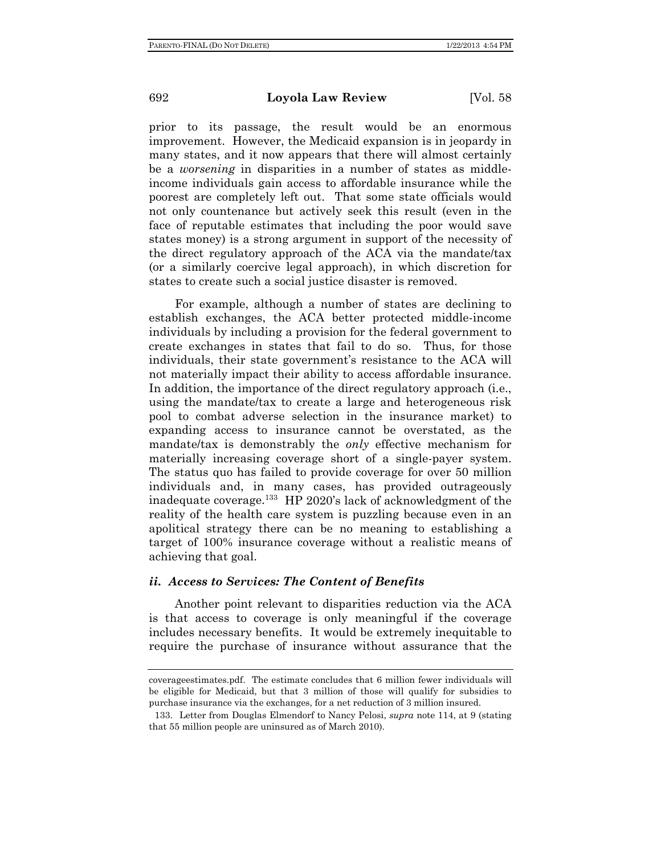prior to its passage, the result would be an enormous improvement. However, the Medicaid expansion is in jeopardy in many states, and it now appears that there will almost certainly be a *worsening* in disparities in a number of states as middleincome individuals gain access to affordable insurance while the poorest are completely left out. That some state officials would not only countenance but actively seek this result (even in the face of reputable estimates that including the poor would save states money) is a strong argument in support of the necessity of the direct regulatory approach of the ACA via the mandate/tax (or a similarly coercive legal approach), in which discretion for states to create such a social justice disaster is removed.

For example, although a number of states are declining to establish exchanges, the ACA better protected middle-income individuals by including a provision for the federal government to create exchanges in states that fail to do so. Thus, for those individuals, their state government's resistance to the ACA will not materially impact their ability to access affordable insurance. In addition, the importance of the direct regulatory approach (i.e., using the mandate/tax to create a large and heterogeneous risk pool to combat adverse selection in the insurance market) to expanding access to insurance cannot be overstated, as the mandate/tax is demonstrably the *only* effective mechanism for materially increasing coverage short of a single-payer system. The status quo has failed to provide coverage for over 50 million individuals and, in many cases, has provided outrageously inadequate coverage.133 HP 2020's lack of acknowledgment of the reality of the health care system is puzzling because even in an apolitical strategy there can be no meaning to establishing a target of 100% insurance coverage without a realistic means of achieving that goal.

#### *ii. Access to Services: The Content of Benefits*

Another point relevant to disparities reduction via the ACA is that access to coverage is only meaningful if the coverage includes necessary benefits. It would be extremely inequitable to require the purchase of insurance without assurance that the

coverageestimates.pdf. The estimate concludes that 6 million fewer individuals will be eligible for Medicaid, but that 3 million of those will qualify for subsidies to purchase insurance via the exchanges, for a net reduction of 3 million insured.

 <sup>133.</sup> Letter from Douglas Elmendorf to Nancy Pelosi, *supra* note 114, at 9 (stating that 55 million people are uninsured as of March 2010).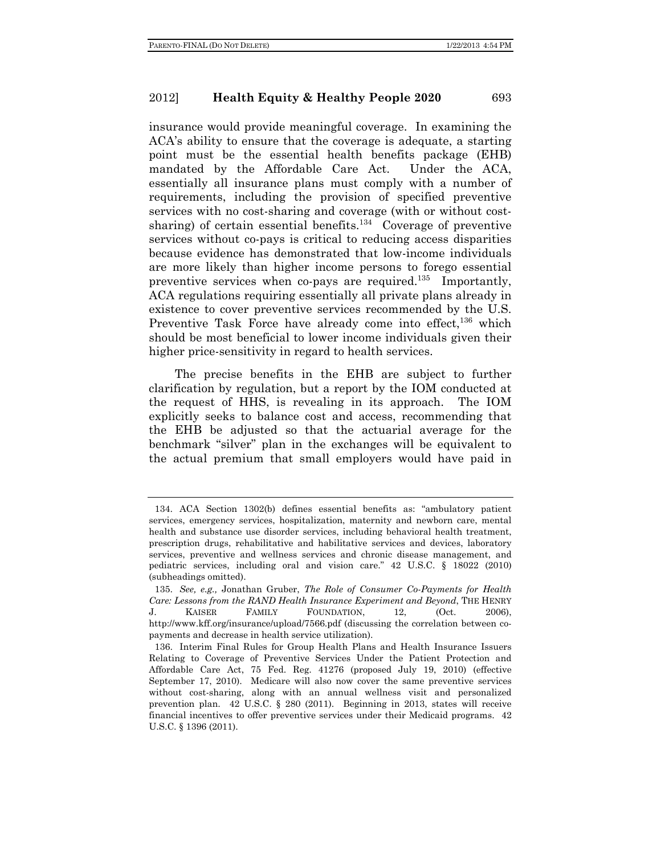insurance would provide meaningful coverage. In examining the ACA's ability to ensure that the coverage is adequate, a starting point must be the essential health benefits package (EHB) mandated by the Affordable Care Act. Under the ACA, essentially all insurance plans must comply with a number of requirements, including the provision of specified preventive services with no cost-sharing and coverage (with or without costsharing) of certain essential benefits.<sup>134</sup> Coverage of preventive services without co-pays is critical to reducing access disparities because evidence has demonstrated that low-income individuals are more likely than higher income persons to forego essential preventive services when co-pays are required.<sup>135</sup> Importantly, ACA regulations requiring essentially all private plans already in existence to cover preventive services recommended by the U.S. Preventive Task Force have already come into effect,  $136$  which should be most beneficial to lower income individuals given their higher price-sensitivity in regard to health services.

The precise benefits in the EHB are subject to further clarification by regulation, but a report by the IOM conducted at the request of HHS, is revealing in its approach. The IOM explicitly seeks to balance cost and access, recommending that the EHB be adjusted so that the actuarial average for the benchmark "silver" plan in the exchanges will be equivalent to the actual premium that small employers would have paid in

 <sup>134.</sup> ACA Section 1302(b) defines essential benefits as: "ambulatory patient services, emergency services, hospitalization, maternity and newborn care, mental health and substance use disorder services, including behavioral health treatment, prescription drugs, rehabilitative and habilitative services and devices, laboratory services, preventive and wellness services and chronic disease management, and pediatric services, including oral and vision care." 42 U.S.C. § 18022 (2010) (subheadings omitted).

 <sup>135.</sup> *See, e.g.,* Jonathan Gruber, *The Role of Consumer Co-Payments for Health Care: Lessons from the RAND Health Insurance Experiment and Beyond*, THE HENRY J. KAISER FAMILY FOUNDATION, 12, (Oct. 2006), http://www.kff.org/insurance/upload/7566.pdf (discussing the correlation between copayments and decrease in health service utilization).

 <sup>136.</sup> Interim Final Rules for Group Health Plans and Health Insurance Issuers Relating to Coverage of Preventive Services Under the Patient Protection and Affordable Care Act, 75 Fed. Reg. 41276 (proposed July 19, 2010) (effective September 17, 2010). Medicare will also now cover the same preventive services without cost-sharing, along with an annual wellness visit and personalized prevention plan. 42 U.S.C. § 280 (2011). Beginning in 2013, states will receive financial incentives to offer preventive services under their Medicaid programs. 42 U.S.C. § 1396 (2011).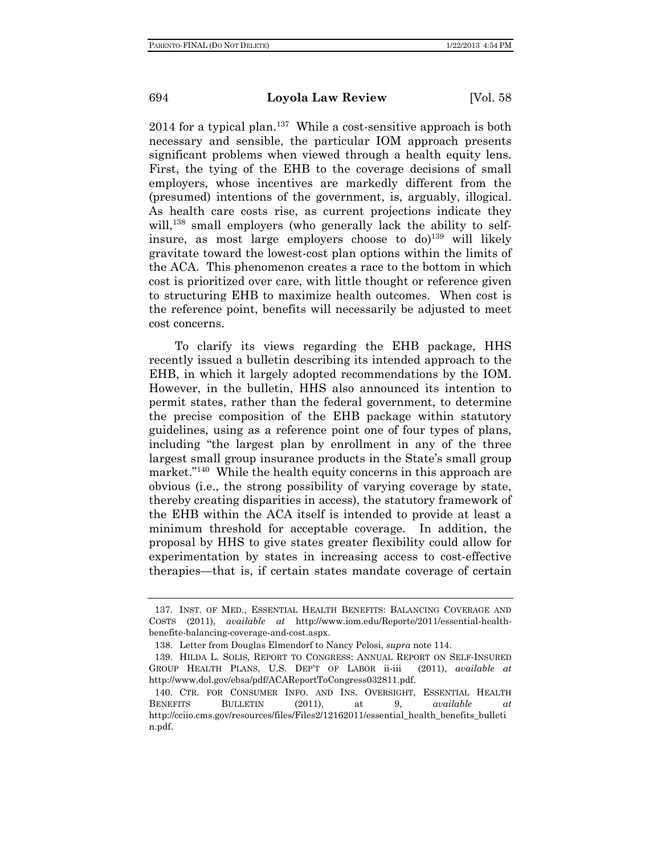2014 for a typical plan.<sup>137</sup> While a cost-sensitive approach is both necessary and sensible, the particular IOM approach presents significant problems when viewed through a health equity lens. First, the tying of the EHB to the coverage decisions of small employers, whose incentives are markedly different from the (presumed) intentions of the government, is, arguably, illogical. As health care costs rise, as current projections indicate they will,<sup>138</sup> small employers (who generally lack the ability to selfinsure, as most large employers choose to  $d\rho^{139}$  will likely gravitate toward the lowest-cost plan options within the limits of the ACA. This phenomenon creates a race to the bottom in which cost is prioritized over care, with little thought or reference given to structuring EHB to maximize health outcomes. When cost is the reference point, benefits will necessarily be adjusted to meet cost concerns.

To clarify its views regarding the EHB package, HHS recently issued a bulletin describing its intended approach to the EHB, in which it largely adopted recommendations by the IOM. However, in the bulletin, HHS also announced its intention to permit states, rather than the federal government, to determine the precise composition of the EHB package within statutory guidelines, using as a reference point one of four types of plans, including "the largest plan by enrollment in any of the three largest small group insurance products in the State's small group market."<sup>140</sup> While the health equity concerns in this approach are obvious (i.e., the strong possibility of varying coverage by state, thereby creating disparities in access), the statutory framework of the EHB within the ACA itself is intended to provide at least a minimum threshold for acceptable coverage. In addition, the proposal by HHS to give states greater flexibility could allow for experimentation by states in increasing access to cost-effective therapies—that is, if certain states mandate coverage of certain

 <sup>137.</sup> INST. OF MED., ESSENTIAL HEALTH BENEFITS: BALANCING COVERAGE AND COSTS (2011), *available at* http://www.iom.edu/Reporte/2011/essential-healthbenefite-balancing-coverage-and-cost.aspx.

 <sup>138.</sup> Letter from Douglas Elmendorf to Nancy Pelosi, *supra* note 114.

 <sup>139.</sup> HILDA L. SOLIS, REPORT TO CONGRESS: ANNUAL REPORT ON SELF-INSURED GROUP HEALTH PLANS, U.S. DEP'T OF LABOR ii-iii (2011), *available at*  http://www.dol.gov/ebsa/pdf/ACAReportToCongress032811.pdf.

 <sup>140.</sup> CTR. FOR CONSUMER INFO. AND INS. OVERSIGHT, ESSENTIAL HEALTH BENEFITS BULLETIN (2011), at 9, *available at* http://cciio.cms.gov/resources/files/Files2/12162011/essential\_health\_benefits\_bulleti n.pdf.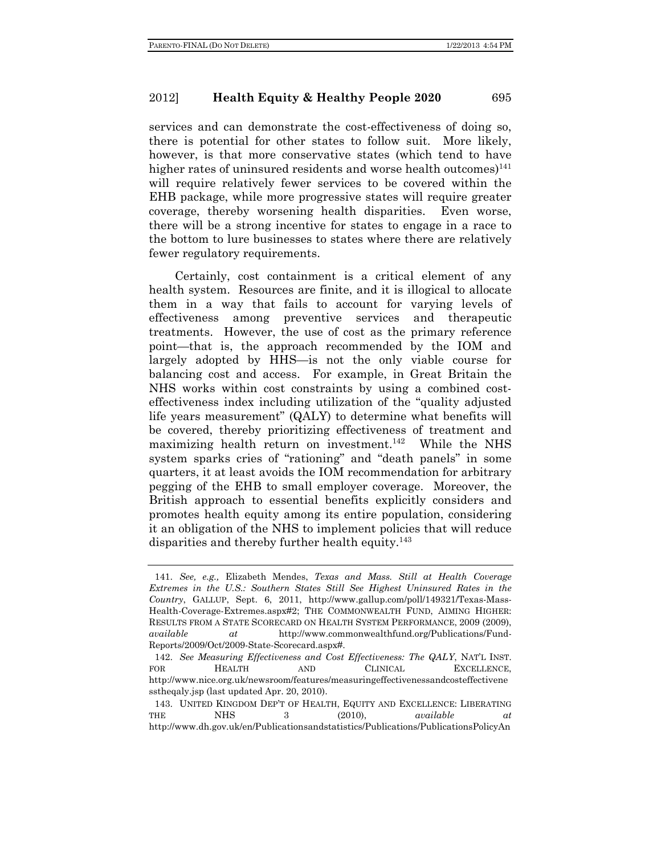services and can demonstrate the cost-effectiveness of doing so, there is potential for other states to follow suit. More likely, however, is that more conservative states (which tend to have higher rates of uninsured residents and worse health outcomes $141$ will require relatively fewer services to be covered within the EHB package, while more progressive states will require greater coverage, thereby worsening health disparities. Even worse, there will be a strong incentive for states to engage in a race to the bottom to lure businesses to states where there are relatively fewer regulatory requirements.

Certainly, cost containment is a critical element of any health system. Resources are finite, and it is illogical to allocate them in a way that fails to account for varying levels of effectiveness among preventive services and therapeutic treatments. However, the use of cost as the primary reference point—that is, the approach recommended by the IOM and largely adopted by HHS—is not the only viable course for balancing cost and access. For example, in Great Britain the NHS works within cost constraints by using a combined costeffectiveness index including utilization of the "quality adjusted life years measurement" (QALY) to determine what benefits will be covered, thereby prioritizing effectiveness of treatment and maximizing health return on investment.<sup>142</sup> While the NHS system sparks cries of "rationing" and "death panels" in some quarters, it at least avoids the IOM recommendation for arbitrary pegging of the EHB to small employer coverage. Moreover, the British approach to essential benefits explicitly considers and promotes health equity among its entire population, considering it an obligation of the NHS to implement policies that will reduce disparities and thereby further health equity. $143$ 

 <sup>141.</sup> *See, e.g.,* Elizabeth Mendes, *Texas and Mass. Still at Health Coverage Extremes in the U.S.: Southern States Still See Highest Uninsured Rates in the Country*, GALLUP, Sept. 6, 2011, http://www.gallup.com/poll/149321/Texas-Mass-Health-Coverage-Extremes.aspx#2; THE COMMONWEALTH FUND, AIMING HIGHER: RESULTS FROM A STATE SCORECARD ON HEALTH SYSTEM PERFORMANCE, 2009 (2009), *available at* http://www.commonwealthfund.org/Publications/Fund-Reports/2009/Oct/2009-State-Scorecard.aspx#.

 <sup>142.</sup> *See Measuring Effectiveness and Cost Effectiveness: The QALY*, NAT'L INST. FOR **HEALTH** AND **CLINICAL EXCELLENCE,** http://www.nice.org.uk/newsroom/features/measuringeffectivenessandcosteffectivene sstheqaly.jsp (last updated Apr. 20, 2010).

 <sup>143.</sup> UNITED KINGDOM DEP'T OF HEALTH, EQUITY AND EXCELLENCE: LIBERATING THE NHS 3 (2010), *available at*  http://www.dh.gov.uk/en/Publicationsandstatistics/Publications/PublicationsPolicyAn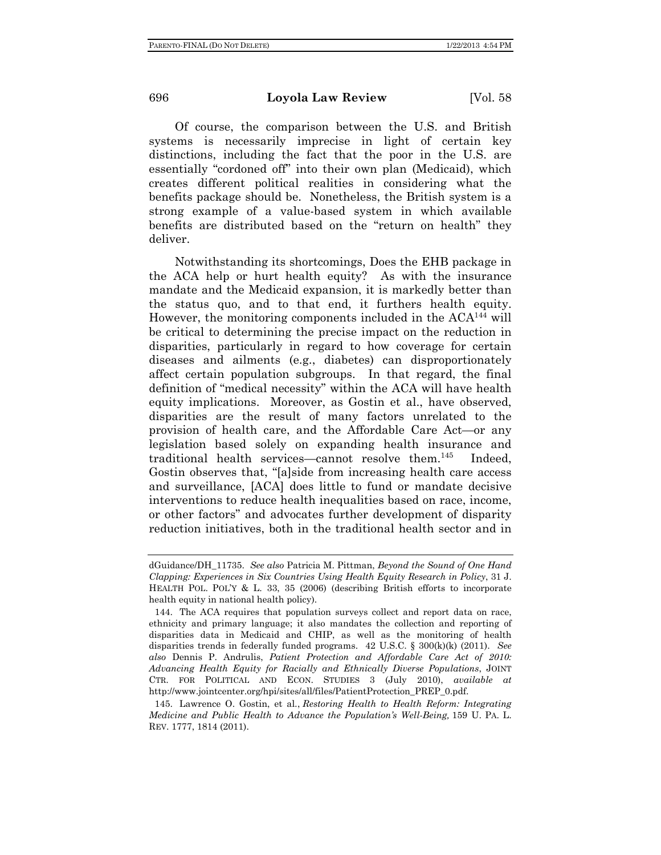Of course, the comparison between the U.S. and British systems is necessarily imprecise in light of certain key distinctions, including the fact that the poor in the U.S. are essentially "cordoned off" into their own plan (Medicaid), which creates different political realities in considering what the benefits package should be. Nonetheless, the British system is a strong example of a value-based system in which available benefits are distributed based on the "return on health" they deliver.

Notwithstanding its shortcomings, Does the EHB package in the ACA help or hurt health equity? As with the insurance mandate and the Medicaid expansion, it is markedly better than the status quo, and to that end, it furthers health equity. However, the monitoring components included in the  $ACA^{144}$  will be critical to determining the precise impact on the reduction in disparities, particularly in regard to how coverage for certain diseases and ailments (e.g., diabetes) can disproportionately affect certain population subgroups. In that regard, the final definition of "medical necessity" within the ACA will have health equity implications. Moreover, as Gostin et al., have observed, disparities are the result of many factors unrelated to the provision of health care, and the Affordable Care Act—or any legislation based solely on expanding health insurance and traditional health services—cannot resolve them.145 Indeed, Gostin observes that, "[a]side from increasing health care access and surveillance, [ACA] does little to fund or mandate decisive interventions to reduce health inequalities based on race, income, or other factors" and advocates further development of disparity reduction initiatives, both in the traditional health sector and in

dGuidance/DH\_11735. *See also* Patricia M. Pittman, *Beyond the Sound of One Hand Clapping: Experiences in Six Countries Using Health Equity Research in Policy*, 31 J. HEALTH POL. POL'Y & L. 33, 35 (2006) (describing British efforts to incorporate health equity in national health policy).

 <sup>144.</sup> The ACA requires that population surveys collect and report data on race, ethnicity and primary language; it also mandates the collection and reporting of disparities data in Medicaid and CHIP, as well as the monitoring of health disparities trends in federally funded programs. 42 U.S.C. § 300(k)(k) (2011). *See also* Dennis P. Andrulis, *Patient Protection and Affordable Care Act of 2010: Advancing Health Equity for Racially and Ethnically Diverse Populations*, JOINT CTR. FOR POLITICAL AND ECON. STUDIES 3 (July 2010), *available at* http://www.jointcenter.org/hpi/sites/all/files/PatientProtection\_PREP\_0.pdf.

 <sup>145.</sup> Lawrence O. Gostin, et al*.*, *Restoring Health to Health Reform: Integrating Medicine and Public Health to Advance the Population's Well-Being,* 159 U. PA. L. REV. 1777, 1814 (2011).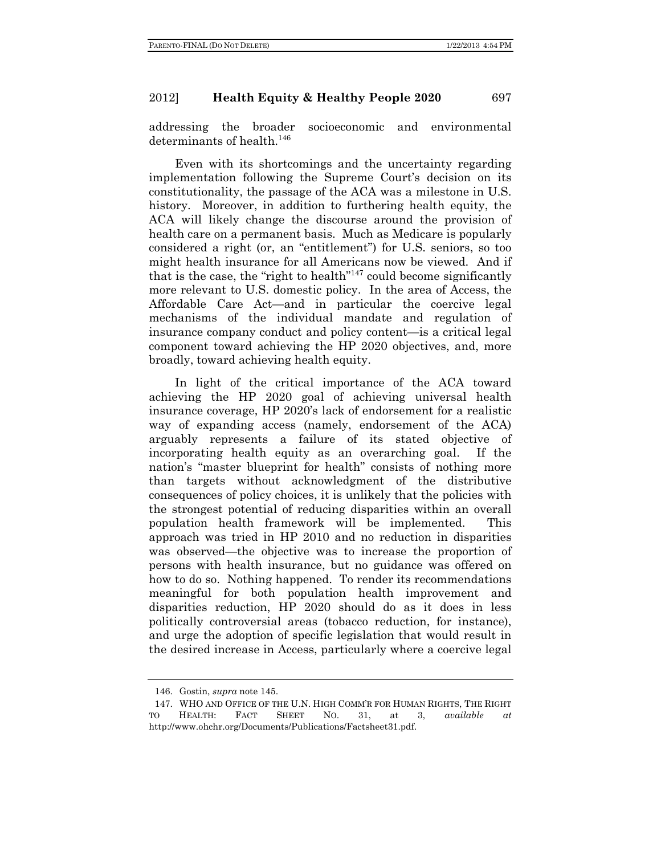addressing the broader socioeconomic and environmental determinants of health.<sup>146</sup>

Even with its shortcomings and the uncertainty regarding implementation following the Supreme Court's decision on its constitutionality, the passage of the ACA was a milestone in U.S. history. Moreover, in addition to furthering health equity, the ACA will likely change the discourse around the provision of health care on a permanent basis. Much as Medicare is popularly considered a right (or, an "entitlement") for U.S. seniors, so too might health insurance for all Americans now be viewed. And if that is the case, the "right to health"147 could become significantly more relevant to U.S. domestic policy. In the area of Access, the Affordable Care Act—and in particular the coercive legal mechanisms of the individual mandate and regulation of insurance company conduct and policy content—is a critical legal component toward achieving the HP 2020 objectives, and, more broadly, toward achieving health equity.

In light of the critical importance of the ACA toward achieving the HP 2020 goal of achieving universal health insurance coverage, HP 2020's lack of endorsement for a realistic way of expanding access (namely, endorsement of the ACA) arguably represents a failure of its stated objective of incorporating health equity as an overarching goal. If the nation's "master blueprint for health" consists of nothing more than targets without acknowledgment of the distributive consequences of policy choices, it is unlikely that the policies with the strongest potential of reducing disparities within an overall population health framework will be implemented. This approach was tried in HP 2010 and no reduction in disparities was observed—the objective was to increase the proportion of persons with health insurance, but no guidance was offered on how to do so. Nothing happened. To render its recommendations meaningful for both population health improvement and disparities reduction, HP 2020 should do as it does in less politically controversial areas (tobacco reduction, for instance), and urge the adoption of specific legislation that would result in the desired increase in Access, particularly where a coercive legal

 <sup>146.</sup> Gostin, *supra* note 145.

 <sup>147.</sup> WHO AND OFFICE OF THE U.N. HIGH COMM'R FOR HUMAN RIGHTS, THE RIGHT TO HEALTH: FACT SHEET NO. 31, at 3, *available at* http://www.ohchr.org/Documents/Publications/Factsheet31.pdf.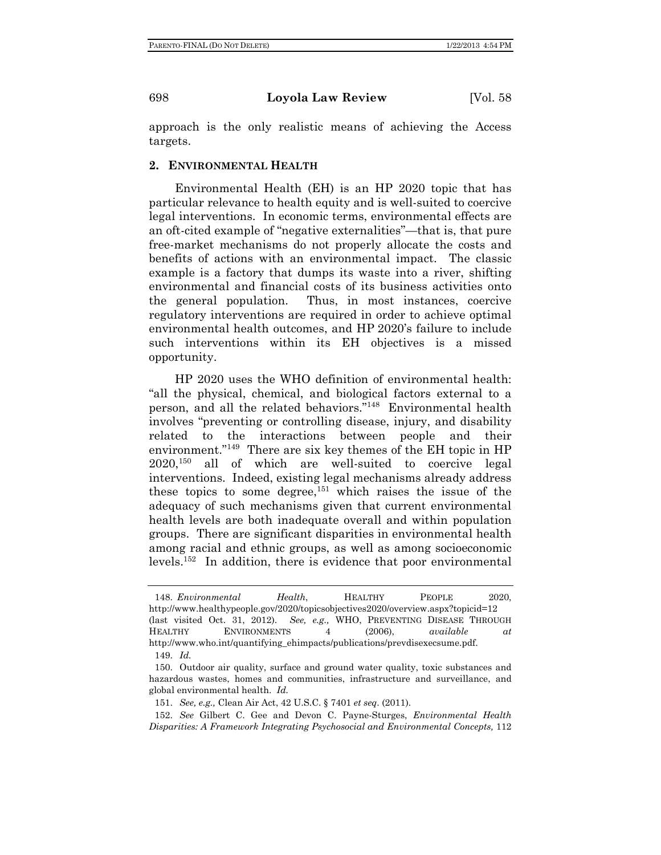approach is the only realistic means of achieving the Access targets.

### **2. ENVIRONMENTAL HEALTH**

Environmental Health (EH) is an HP 2020 topic that has particular relevance to health equity and is well-suited to coercive legal interventions. In economic terms, environmental effects are an oft-cited example of "negative externalities"—that is, that pure free-market mechanisms do not properly allocate the costs and benefits of actions with an environmental impact. The classic example is a factory that dumps its waste into a river, shifting environmental and financial costs of its business activities onto the general population. Thus, in most instances, coercive regulatory interventions are required in order to achieve optimal environmental health outcomes, and HP 2020's failure to include such interventions within its EH objectives is a missed opportunity.

HP 2020 uses the WHO definition of environmental health: "all the physical, chemical, and biological factors external to a person, and all the related behaviors."148 Environmental health involves "preventing or controlling disease, injury, and disability related to the interactions between people and their environment."<sup>149</sup> There are six key themes of the EH topic in HP 2020,150 all of which are well-suited to coercive legal interventions. Indeed, existing legal mechanisms already address these topics to some degree, $151$  which raises the issue of the adequacy of such mechanisms given that current environmental health levels are both inadequate overall and within population groups. There are significant disparities in environmental health among racial and ethnic groups, as well as among socioeconomic levels.152 In addition, there is evidence that poor environmental

 <sup>148.</sup> *Environmental Health*, HEALTHY PEOPLE 2020, http://www.healthypeople.gov/2020/topicsobjectives2020/overview.aspx?topicid=12 (last visited Oct. 31, 2012). *See, e.g.,* WHO, PREVENTING DISEASE THROUGH HEALTHY ENVIRONMENTS 4 (2006), *available at* http://www.who.int/quantifying\_ehimpacts/publications/prevdisexecsume.pdf. 149. *Id.*

 <sup>150.</sup> Outdoor air quality, surface and ground water quality, toxic substances and hazardous wastes, homes and communities, infrastructure and surveillance, and global environmental health. *Id.*

 <sup>151.</sup> *See, e.g.,* Clean Air Act, 42 U.S.C. § 7401 *et seq*. (2011).

 <sup>152.</sup> *See* Gilbert C. Gee and Devon C. Payne-Sturges, *Environmental Health Disparities: A Framework Integrating Psychosocial and Environmental Concepts,* 112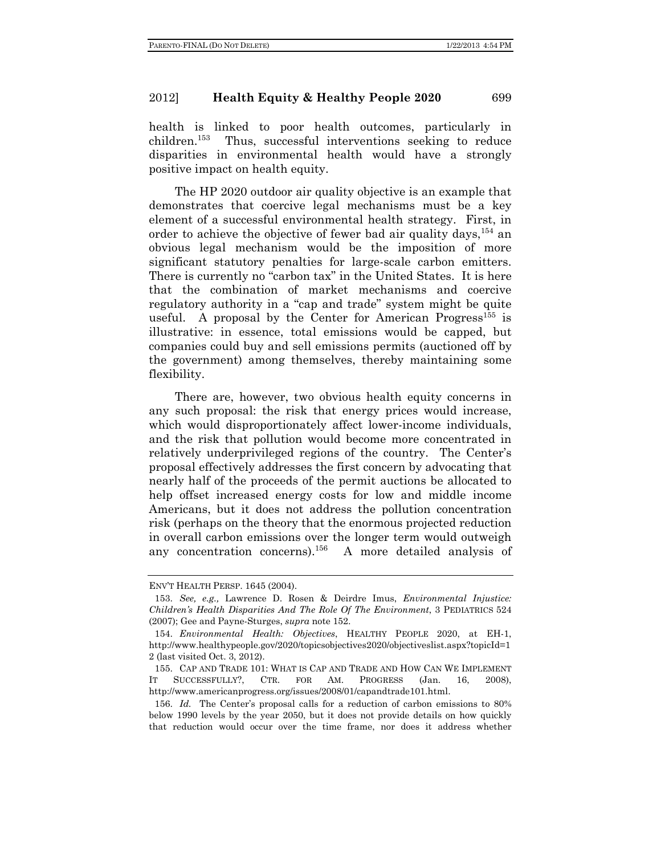health is linked to poor health outcomes, particularly in children.153 Thus, successful interventions seeking to reduce disparities in environmental health would have a strongly positive impact on health equity.

The HP 2020 outdoor air quality objective is an example that demonstrates that coercive legal mechanisms must be a key element of a successful environmental health strategy. First, in order to achieve the objective of fewer bad air quality days.<sup>154</sup> an obvious legal mechanism would be the imposition of more significant statutory penalties for large-scale carbon emitters. There is currently no "carbon tax" in the United States. It is here that the combination of market mechanisms and coercive regulatory authority in a "cap and trade" system might be quite useful. A proposal by the Center for American Progress<sup>155</sup> is illustrative: in essence, total emissions would be capped, but companies could buy and sell emissions permits (auctioned off by the government) among themselves, thereby maintaining some flexibility.

There are, however, two obvious health equity concerns in any such proposal: the risk that energy prices would increase, which would disproportionately affect lower-income individuals, and the risk that pollution would become more concentrated in relatively underprivileged regions of the country. The Center's proposal effectively addresses the first concern by advocating that nearly half of the proceeds of the permit auctions be allocated to help offset increased energy costs for low and middle income Americans, but it does not address the pollution concentration risk (perhaps on the theory that the enormous projected reduction in overall carbon emissions over the longer term would outweigh any concentration concerns).<sup>156</sup> A more detailed analysis of

ENV'T HEALTH PERSP. 1645 (2004).

 <sup>153.</sup> *See, e.g.,* Lawrence D. Rosen & Deirdre Imus, *Environmental Injustice: Children's Health Disparities And The Role Of The Environment*, 3 PEDIATRICS 524 (2007); Gee and Payne-Sturges, *supra* note 152.

 <sup>154.</sup> *Environmental Health: Objectives*, HEALTHY PEOPLE 2020, at EH-1, http://www.healthypeople.gov/2020/topicsobjectives2020/objectiveslist.aspx?topicId=1 2 (last visited Oct. 3, 2012).

 <sup>155.</sup> CAP AND TRADE 101: WHAT IS CAP AND TRADE AND HOW CAN WE IMPLEMENT IT SUCCESSFULLY?, CTR. FOR AM. PROGRESS (Jan. 16, 2008), http://www.americanprogress.org/issues/2008/01/capandtrade101.html.

 <sup>156.</sup> *Id.* The Center's proposal calls for a reduction of carbon emissions to 80% below 1990 levels by the year 2050, but it does not provide details on how quickly that reduction would occur over the time frame, nor does it address whether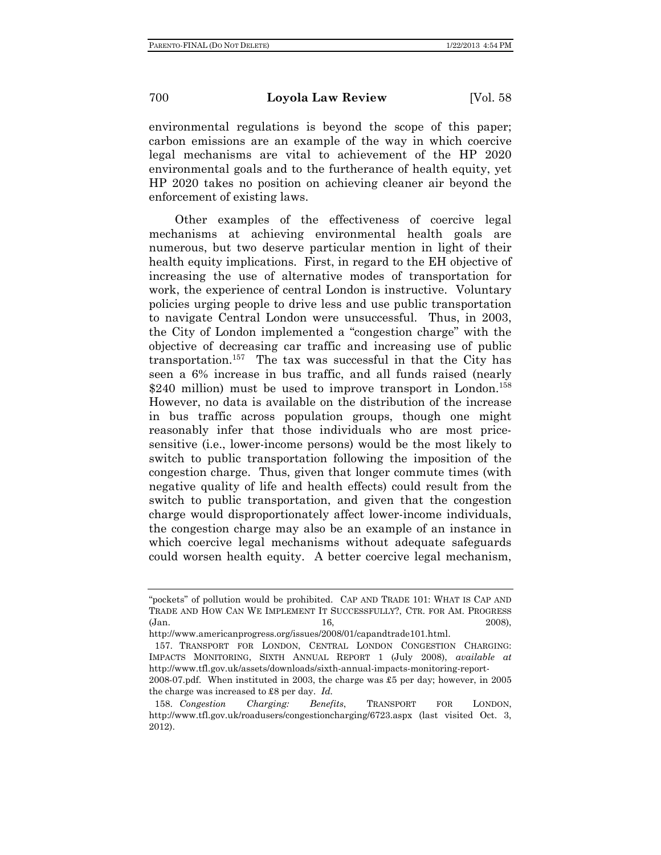environmental regulations is beyond the scope of this paper; carbon emissions are an example of the way in which coercive legal mechanisms are vital to achievement of the HP 2020 environmental goals and to the furtherance of health equity, yet HP 2020 takes no position on achieving cleaner air beyond the enforcement of existing laws.

Other examples of the effectiveness of coercive legal mechanisms at achieving environmental health goals are numerous, but two deserve particular mention in light of their health equity implications. First, in regard to the EH objective of increasing the use of alternative modes of transportation for work, the experience of central London is instructive. Voluntary policies urging people to drive less and use public transportation to navigate Central London were unsuccessful. Thus, in 2003, the City of London implemented a "congestion charge" with the objective of decreasing car traffic and increasing use of public transportation.157 The tax was successful in that the City has seen a 6% increase in bus traffic, and all funds raised (nearly \$240 million) must be used to improve transport in London.<sup>158</sup> However, no data is available on the distribution of the increase in bus traffic across population groups, though one might reasonably infer that those individuals who are most pricesensitive (i.e., lower-income persons) would be the most likely to switch to public transportation following the imposition of the congestion charge. Thus, given that longer commute times (with negative quality of life and health effects) could result from the switch to public transportation, and given that the congestion charge would disproportionately affect lower-income individuals, the congestion charge may also be an example of an instance in which coercive legal mechanisms without adequate safeguards could worsen health equity. A better coercive legal mechanism,

<sup>&</sup>quot;pockets" of pollution would be prohibited. CAP AND TRADE 101: WHAT IS CAP AND TRADE AND HOW CAN WE IMPLEMENT IT SUCCESSFULLY?, CTR. FOR AM. PROGRESS (Jan. 2008), 16, 2008), (Jan. 2008), (Jan. 2008), 2008), 2008), 2008

http://www.americanprogress.org/issues/2008/01/capandtrade101.html.

 <sup>157.</sup> TRANSPORT FOR LONDON, CENTRAL LONDON CONGESTION CHARGING: IMPACTS MONITORING, SIXTH ANNUAL REPORT 1 (July 2008), *available at* http://www.tfl.gov.uk/assets/downloads/sixth-annual-impacts-monitoring-report-

<sup>2008-07.</sup>pdf. When instituted in 2003, the charge was £5 per day; however, in 2005 the charge was increased to £8 per day. *Id.*

 <sup>158.</sup> *Congestion Charging: Benefits*, TRANSPORT FOR LONDON, http://www.tfl.gov.uk/roadusers/congestioncharging/6723.aspx (last visited Oct. 3, 2012).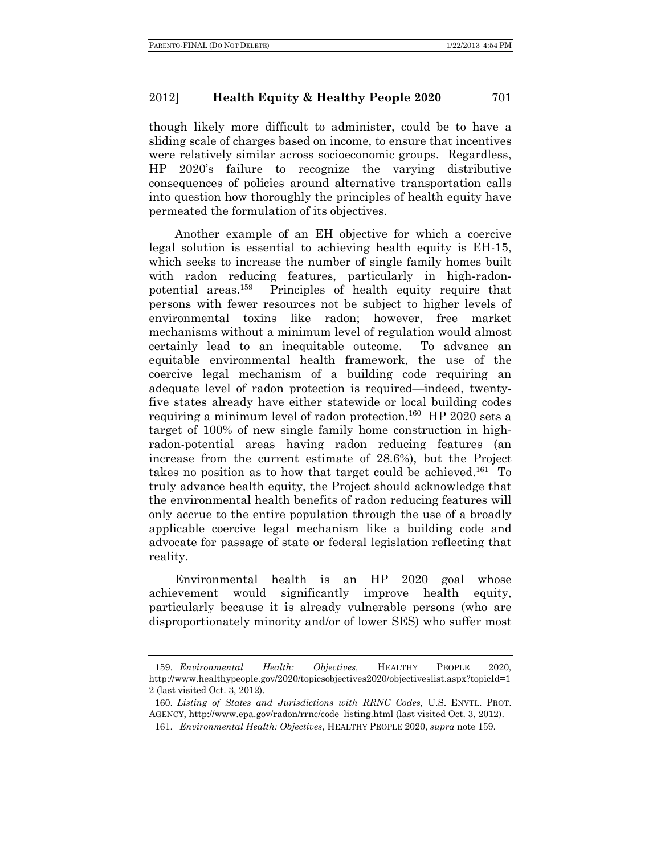though likely more difficult to administer, could be to have a sliding scale of charges based on income, to ensure that incentives were relatively similar across socioeconomic groups. Regardless, HP 2020's failure to recognize the varying distributive consequences of policies around alternative transportation calls into question how thoroughly the principles of health equity have permeated the formulation of its objectives.

Another example of an EH objective for which a coercive legal solution is essential to achieving health equity is EH-15, which seeks to increase the number of single family homes built with radon reducing features, particularly in high-radonpotential areas.159 Principles of health equity require that persons with fewer resources not be subject to higher levels of environmental toxins like radon; however, free market mechanisms without a minimum level of regulation would almost certainly lead to an inequitable outcome. To advance an equitable environmental health framework, the use of the coercive legal mechanism of a building code requiring an adequate level of radon protection is required—indeed, twentyfive states already have either statewide or local building codes requiring a minimum level of radon protection.<sup>160</sup> HP 2020 sets a target of 100% of new single family home construction in highradon-potential areas having radon reducing features (an increase from the current estimate of 28.6%), but the Project takes no position as to how that target could be achieved.<sup>161</sup> To truly advance health equity, the Project should acknowledge that the environmental health benefits of radon reducing features will only accrue to the entire population through the use of a broadly applicable coercive legal mechanism like a building code and advocate for passage of state or federal legislation reflecting that reality.

Environmental health is an HP 2020 goal whose achievement would significantly improve health equity, particularly because it is already vulnerable persons (who are disproportionately minority and/or of lower SES) who suffer most

 <sup>159.</sup> *Environmental Health: Objectives,* HEALTHY PEOPLE 2020, http://www.healthypeople.gov/2020/topicsobjectives2020/objectiveslist.aspx?topicId=1 2 (last visited Oct. 3, 2012).

 <sup>160.</sup> *Listing of States and Jurisdictions with RRNC Codes*, U.S. ENVTL. PROT. AGENCY, http://www.epa.gov/radon/rrnc/code\_listing.html (last visited Oct. 3, 2012).

 <sup>161.</sup> *Environmental Health: Objectives*, HEALTHY PEOPLE 2020, *supra* note 159.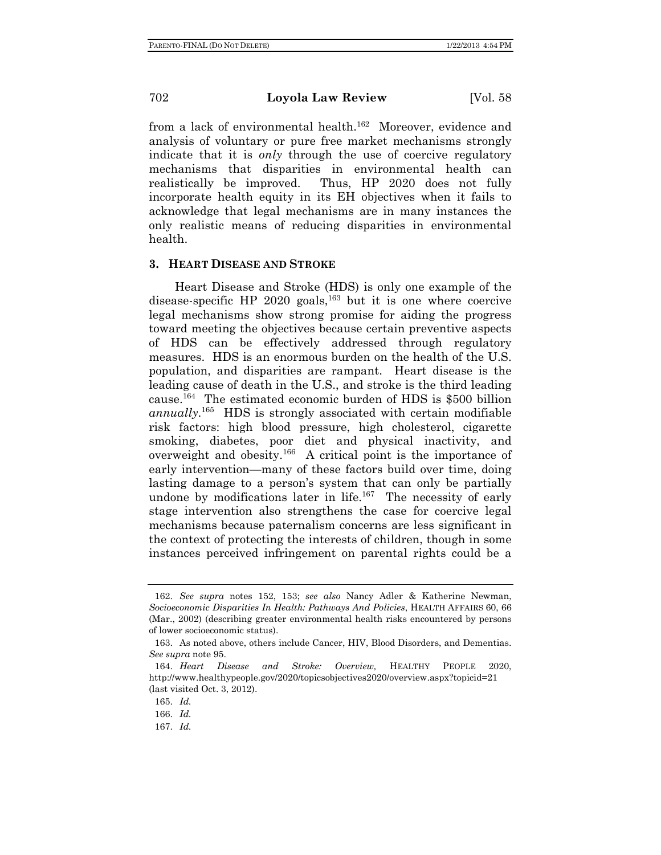from a lack of environmental health.<sup>162</sup> Moreover, evidence and analysis of voluntary or pure free market mechanisms strongly indicate that it is *only* through the use of coercive regulatory mechanisms that disparities in environmental health can realistically be improved. Thus, HP 2020 does not fully incorporate health equity in its EH objectives when it fails to acknowledge that legal mechanisms are in many instances the only realistic means of reducing disparities in environmental health.

### **3. HEART DISEASE AND STROKE**

Heart Disease and Stroke (HDS) is only one example of the disease-specific HP 2020 goals,<sup>163</sup> but it is one where coercive legal mechanisms show strong promise for aiding the progress toward meeting the objectives because certain preventive aspects of HDS can be effectively addressed through regulatory measures. HDS is an enormous burden on the health of the U.S. population, and disparities are rampant. Heart disease is the leading cause of death in the U.S., and stroke is the third leading cause.<sup>164</sup> The estimated economic burden of HDS is  $$500$  billion *annually*. 165 HDS is strongly associated with certain modifiable risk factors: high blood pressure, high cholesterol, cigarette smoking, diabetes, poor diet and physical inactivity, and overweight and obesity.166 A critical point is the importance of early intervention—many of these factors build over time, doing lasting damage to a person's system that can only be partially undone by modifications later in life.<sup>167</sup> The necessity of early stage intervention also strengthens the case for coercive legal mechanisms because paternalism concerns are less significant in the context of protecting the interests of children, though in some instances perceived infringement on parental rights could be a

 <sup>162.</sup> *See supra* notes 152, 153; *see also* Nancy Adler & Katherine Newman, *Socioeconomic Disparities In Health: Pathways And Policies*, HEALTH AFFAIRS 60, 66 (Mar., 2002) (describing greater environmental health risks encountered by persons of lower socioeconomic status).

 <sup>163.</sup> As noted above, others include Cancer, HIV, Blood Disorders, and Dementias. *See supra* note 95.

 <sup>164.</sup> *Heart Disease and Stroke: Overview,* HEALTHY PEOPLE 2020, http://www.healthypeople.gov/2020/topicsobjectives2020/overview.aspx?topicid=21 (last visited Oct. 3, 2012).

 <sup>165.</sup> *Id.*

 <sup>166.</sup> *Id.*

 <sup>167.</sup> *Id.*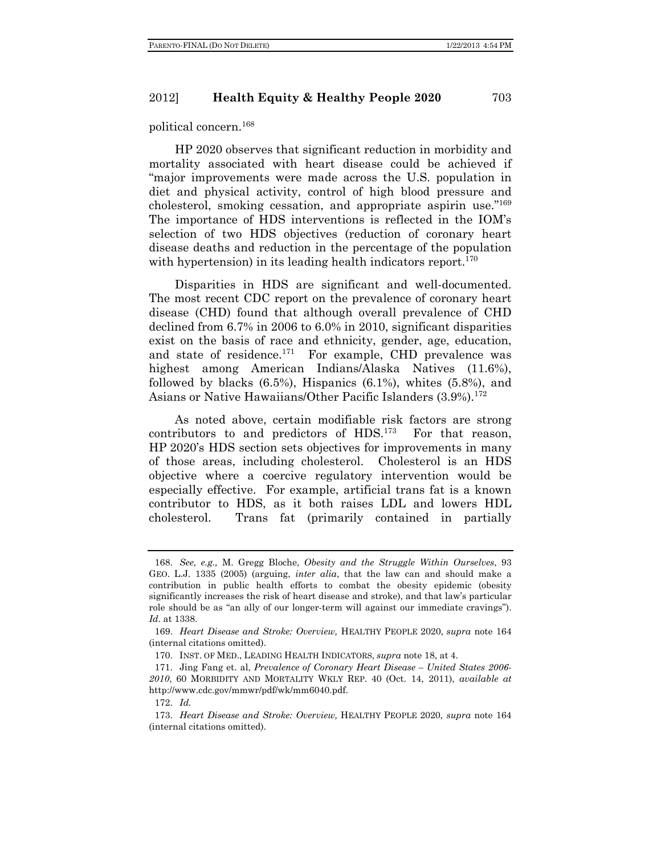political concern.168

HP 2020 observes that significant reduction in morbidity and mortality associated with heart disease could be achieved if "major improvements were made across the U.S. population in diet and physical activity, control of high blood pressure and cholesterol, smoking cessation, and appropriate aspirin use."169 The importance of HDS interventions is reflected in the IOM's selection of two HDS objectives (reduction of coronary heart disease deaths and reduction in the percentage of the population with hypertension) in its leading health indicators report.<sup>170</sup>

Disparities in HDS are significant and well-documented. The most recent CDC report on the prevalence of coronary heart disease (CHD) found that although overall prevalence of CHD declined from 6.7% in 2006 to 6.0% in 2010, significant disparities exist on the basis of race and ethnicity, gender, age, education, and state of residence.<sup>171</sup> For example, CHD prevalence was highest among American Indians/Alaska Natives (11.6%), followed by blacks  $(6.5\%)$ , Hispanics  $(6.1\%)$ , whites  $(5.8\%)$ , and Asians or Native Hawaiians/Other Pacific Islanders (3.9%).<sup>172</sup>

As noted above, certain modifiable risk factors are strong contributors to and predictors of HDS.<sup>173</sup> For that reason, HP 2020's HDS section sets objectives for improvements in many of those areas, including cholesterol. Cholesterol is an HDS objective where a coercive regulatory intervention would be especially effective. For example, artificial trans fat is a known contributor to HDS, as it both raises LDL and lowers HDL cholesterol. Trans fat (primarily contained in partially

 <sup>168.</sup> *See, e.g.,* M. Gregg Bloche, *Obesity and the Struggle Within Ourselves*, 93 GEO. L.J. 1335 (2005) (arguing, *inter alia*, that the law can and should make a contribution in public health efforts to combat the obesity epidemic (obesity significantly increases the risk of heart disease and stroke), and that law's particular role should be as "an ally of our longer-term will against our immediate cravings"). *Id.* at 1338.

 <sup>169.</sup> *Heart Disease and Stroke: Overview,* HEALTHY PEOPLE 2020, *supra* note 164 (internal citations omitted).

 <sup>170.</sup> INST. OF MED., LEADING HEALTH INDICATORS, *supra* note 18, at 4.

 <sup>171.</sup> Jing Fang et. al, *Prevalence of Coronary Heart Disease – United States 2006- 2010*, 60 MORBIDITY AND MORTALITY WKLY REP. 40 (Oct. 14, 2011), *available at*  http://www.cdc.gov/mmwr/pdf/wk/mm6040.pdf.

 <sup>172.</sup> *Id.*

 <sup>173.</sup> *Heart Disease and Stroke: Overview,* HEALTHY PEOPLE 2020, *supra* note 164 (internal citations omitted).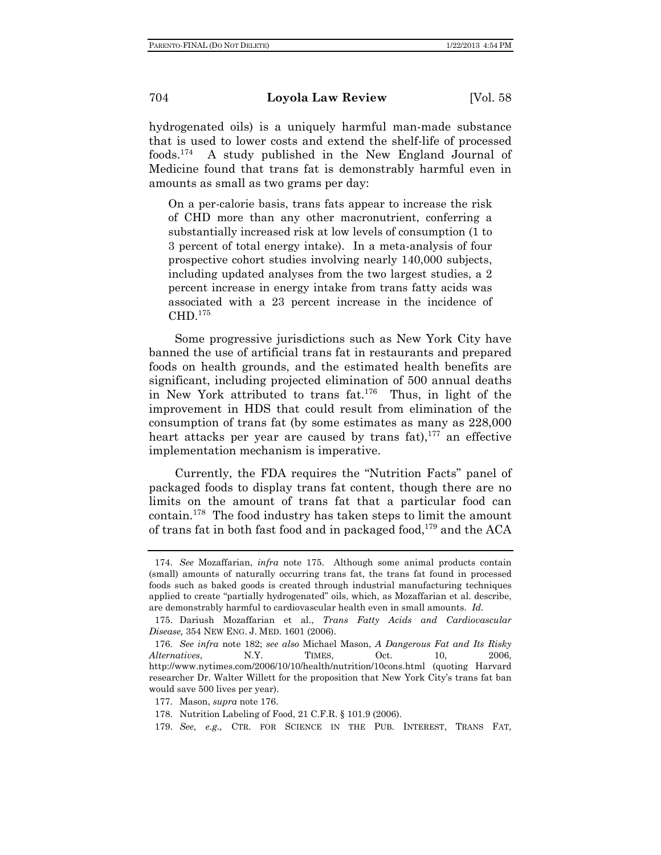hydrogenated oils) is a uniquely harmful man-made substance that is used to lower costs and extend the shelf-life of processed foods.174 A study published in the New England Journal of Medicine found that trans fat is demonstrably harmful even in amounts as small as two grams per day:

On a per-calorie basis, trans fats appear to increase the risk of CHD more than any other macronutrient, conferring a substantially increased risk at low levels of consumption (1 to 3 percent of total energy intake). In a meta-analysis of four prospective cohort studies involving nearly 140,000 subjects, including updated analyses from the two largest studies, a 2 percent increase in energy intake from trans fatty acids was associated with a 23 percent increase in the incidence of CHD.<sup>175</sup>

Some progressive jurisdictions such as New York City have banned the use of artificial trans fat in restaurants and prepared foods on health grounds, and the estimated health benefits are significant, including projected elimination of 500 annual deaths in New York attributed to trans fat.176 Thus, in light of the improvement in HDS that could result from elimination of the consumption of trans fat (by some estimates as many as 228,000 heart attacks per year are caused by trans fat),  $177$  an effective implementation mechanism is imperative.

Currently, the FDA requires the "Nutrition Facts" panel of packaged foods to display trans fat content, though there are no limits on the amount of trans fat that a particular food can contain.178 The food industry has taken steps to limit the amount of trans fat in both fast food and in packaged food, $179$  and the ACA

 <sup>174.</sup> *See* Mozaffarian, *infra* note 175. Although some animal products contain (small) amounts of naturally occurring trans fat, the trans fat found in processed foods such as baked goods is created through industrial manufacturing techniques applied to create "partially hydrogenated" oils, which, as Mozaffarian et al. describe, are demonstrably harmful to cardiovascular health even in small amounts. *Id.*

 <sup>175.</sup> Dariush Mozaffarian et al., *Trans Fatty Acids and Cardiovascular Disease,* 354 NEW ENG. J. MED. 1601 (2006).

 <sup>176.</sup> *See infra* note 182; *see also* Michael Mason, *A Dangerous Fat and Its Risky Alternatives*, N.Y. TIMES, Oct. 10, 2006, http://www.nytimes.com/2006/10/10/health/nutrition/10cons.html (quoting Harvard researcher Dr. Walter Willett for the proposition that New York City's trans fat ban would save 500 lives per year).

 <sup>177.</sup> Mason, *supra* note 176.

 <sup>178.</sup> Nutrition Labeling of Food, 21 C.F.R. § 101.9 (2006).

 <sup>179.</sup> *See, e.g.,* CTR. FOR SCIENCE IN THE PUB. INTEREST, TRANS FAT,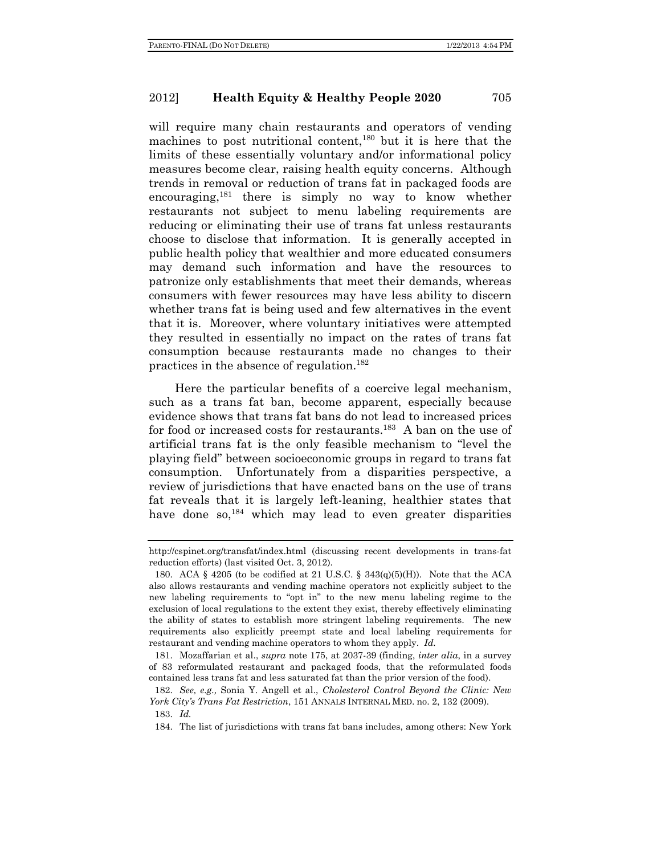will require many chain restaurants and operators of vending machines to post nutritional content,<sup>180</sup> but it is here that the limits of these essentially voluntary and/or informational policy measures become clear, raising health equity concerns. Although trends in removal or reduction of trans fat in packaged foods are encouraging,181 there is simply no way to know whether restaurants not subject to menu labeling requirements are reducing or eliminating their use of trans fat unless restaurants choose to disclose that information. It is generally accepted in public health policy that wealthier and more educated consumers may demand such information and have the resources to patronize only establishments that meet their demands, whereas consumers with fewer resources may have less ability to discern whether trans fat is being used and few alternatives in the event that it is. Moreover, where voluntary initiatives were attempted they resulted in essentially no impact on the rates of trans fat consumption because restaurants made no changes to their practices in the absence of regulation.<sup>182</sup>

Here the particular benefits of a coercive legal mechanism, such as a trans fat ban, become apparent, especially because evidence shows that trans fat bans do not lead to increased prices for food or increased costs for restaurants.<sup>183</sup> A ban on the use of artificial trans fat is the only feasible mechanism to "level the playing field" between socioeconomic groups in regard to trans fat consumption. Unfortunately from a disparities perspective, a review of jurisdictions that have enacted bans on the use of trans fat reveals that it is largely left-leaning, healthier states that have done so,<sup>184</sup> which may lead to even greater disparities

http://cspinet.org/transfat/index.html (discussing recent developments in trans-fat reduction efforts) (last visited Oct. 3, 2012).

<sup>180.</sup> ACA  $\S$  4205 (to be codified at 21 U.S.C.  $\S$  343(q)(5)(H)). Note that the ACA also allows restaurants and vending machine operators not explicitly subject to the new labeling requirements to "opt in" to the new menu labeling regime to the exclusion of local regulations to the extent they exist, thereby effectively eliminating the ability of states to establish more stringent labeling requirements. The new requirements also explicitly preempt state and local labeling requirements for restaurant and vending machine operators to whom they apply. *Id.*

 <sup>181.</sup> Mozaffarian et al., *supra* note 175, at 2037-39 (finding, *inter alia*, in a survey of 83 reformulated restaurant and packaged foods, that the reformulated foods contained less trans fat and less saturated fat than the prior version of the food).

 <sup>182.</sup> *See, e.g.,* Sonia Y. Angell et al., *Cholesterol Control Beyond the Clinic: New York City's Trans Fat Restriction*, 151 ANNALS INTERNAL MED. no. 2, 132 (2009).

 <sup>183.</sup> *Id.*

 <sup>184.</sup> The list of jurisdictions with trans fat bans includes, among others: New York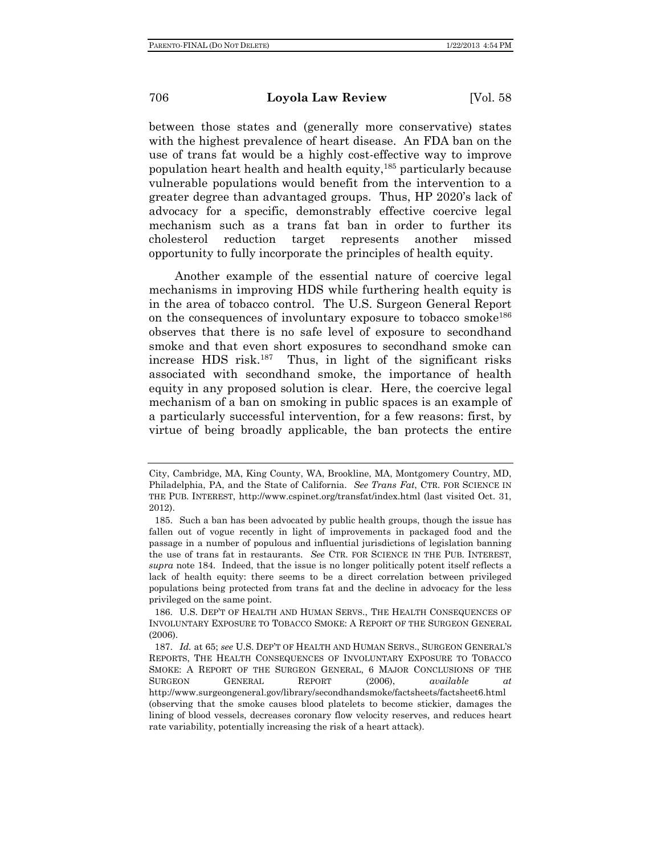between those states and (generally more conservative) states with the highest prevalence of heart disease. An FDA ban on the use of trans fat would be a highly cost-effective way to improve population heart health and health equity, $185$  particularly because vulnerable populations would benefit from the intervention to a greater degree than advantaged groups. Thus, HP 2020's lack of advocacy for a specific, demonstrably effective coercive legal mechanism such as a trans fat ban in order to further its cholesterol reduction target represents another missed opportunity to fully incorporate the principles of health equity.

Another example of the essential nature of coercive legal mechanisms in improving HDS while furthering health equity is in the area of tobacco control. The U.S. Surgeon General Report on the consequences of involuntary exposure to tobacco smoke<sup>186</sup> observes that there is no safe level of exposure to secondhand smoke and that even short exposures to secondhand smoke can increase HDS risk. $187$  Thus, in light of the significant risks associated with secondhand smoke, the importance of health equity in any proposed solution is clear. Here, the coercive legal mechanism of a ban on smoking in public spaces is an example of a particularly successful intervention, for a few reasons: first, by virtue of being broadly applicable, the ban protects the entire

City, Cambridge, MA, King County, WA, Brookline, MA, Montgomery Country, MD, Philadelphia, PA, and the State of California. *See Trans Fat*, CTR. FOR SCIENCE IN THE PUB. INTEREST, http://www.cspinet.org/transfat/index.html (last visited Oct. 31, 2012).

 <sup>185.</sup> Such a ban has been advocated by public health groups, though the issue has fallen out of vogue recently in light of improvements in packaged food and the passage in a number of populous and influential jurisdictions of legislation banning the use of trans fat in restaurants. *See* CTR. FOR SCIENCE IN THE PUB. INTEREST, *supra* note 184. Indeed, that the issue is no longer politically potent itself reflects a lack of health equity: there seems to be a direct correlation between privileged populations being protected from trans fat and the decline in advocacy for the less privileged on the same point.

 <sup>186.</sup> U.S. DEP'T OF HEALTH AND HUMAN SERVS., THE HEALTH CONSEQUENCES OF INVOLUNTARY EXPOSURE TO TOBACCO SMOKE: A REPORT OF THE SURGEON GENERAL (2006).

 <sup>187.</sup> *Id.* at 65; *see* U.S. DEP'T OF HEALTH AND HUMAN SERVS., SURGEON GENERAL'S REPORTS, THE HEALTH CONSEQUENCES OF INVOLUNTARY EXPOSURE TO TOBACCO SMOKE: A REPORT OF THE SURGEON GENERAL, 6 MAJOR CONCLUSIONS OF THE SURGEON GENERAL REPORT (2006), *available at* http://www.surgeongeneral.gov/library/secondhandsmoke/factsheets/factsheet6.html (observing that the smoke causes blood platelets to become stickier, damages the lining of blood vessels, decreases coronary flow velocity reserves, and reduces heart rate variability, potentially increasing the risk of a heart attack).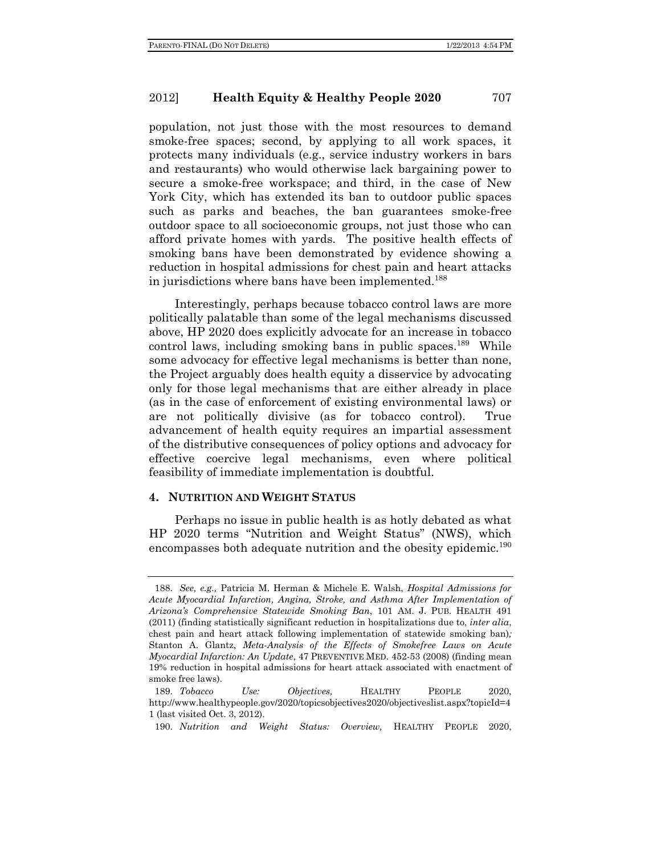population, not just those with the most resources to demand smoke-free spaces; second, by applying to all work spaces, it protects many individuals (e.g., service industry workers in bars and restaurants) who would otherwise lack bargaining power to secure a smoke-free workspace; and third, in the case of New York City, which has extended its ban to outdoor public spaces such as parks and beaches, the ban guarantees smoke-free outdoor space to all socioeconomic groups, not just those who can afford private homes with yards. The positive health effects of smoking bans have been demonstrated by evidence showing a reduction in hospital admissions for chest pain and heart attacks in jurisdictions where bans have been implemented.<sup>188</sup>

Interestingly, perhaps because tobacco control laws are more politically palatable than some of the legal mechanisms discussed above, HP 2020 does explicitly advocate for an increase in tobacco control laws, including smoking bans in public spaces.<sup>189</sup> While some advocacy for effective legal mechanisms is better than none, the Project arguably does health equity a disservice by advocating only for those legal mechanisms that are either already in place (as in the case of enforcement of existing environmental laws) or are not politically divisive (as for tobacco control). True advancement of health equity requires an impartial assessment of the distributive consequences of policy options and advocacy for effective coercive legal mechanisms, even where political feasibility of immediate implementation is doubtful.

#### **4. NUTRITION AND WEIGHT STATUS**

Perhaps no issue in public health is as hotly debated as what HP 2020 terms "Nutrition and Weight Status" (NWS), which encompasses both adequate nutrition and the obesity epidemic.<sup>190</sup>

 <sup>188.</sup> *See, e.g.,* Patricia M. Herman & Michele E. Walsh, *Hospital Admissions for Acute Myocardial Infarction, Angina, Stroke, and Asthma After Implementation of Arizona's Comprehensive Statewide Smoking Ban*, 101 AM. J. PUB. HEALTH 491 (2011) (finding statistically significant reduction in hospitalizations due to, *inter alia*, chest pain and heart attack following implementation of statewide smoking ban)*;*  Stanton A. Glantz, *Meta-Analysis of the Effects of Smokefree Laws on Acute Myocardial Infarction: An Update*, 47 PREVENTIVE MED. 452-53 (2008) (finding mean 19% reduction in hospital admissions for heart attack associated with enactment of smoke free laws).

 <sup>189.</sup> *Tobacco Use: Objectives,* HEALTHY PEOPLE 2020, http://www.healthypeople.gov/2020/topicsobjectives2020/objectiveslist.aspx?topicId=4 1 (last visited Oct. 3, 2012).

 <sup>190.</sup> *Nutrition and Weight Status: Overview,* HEALTHY PEOPLE 2020,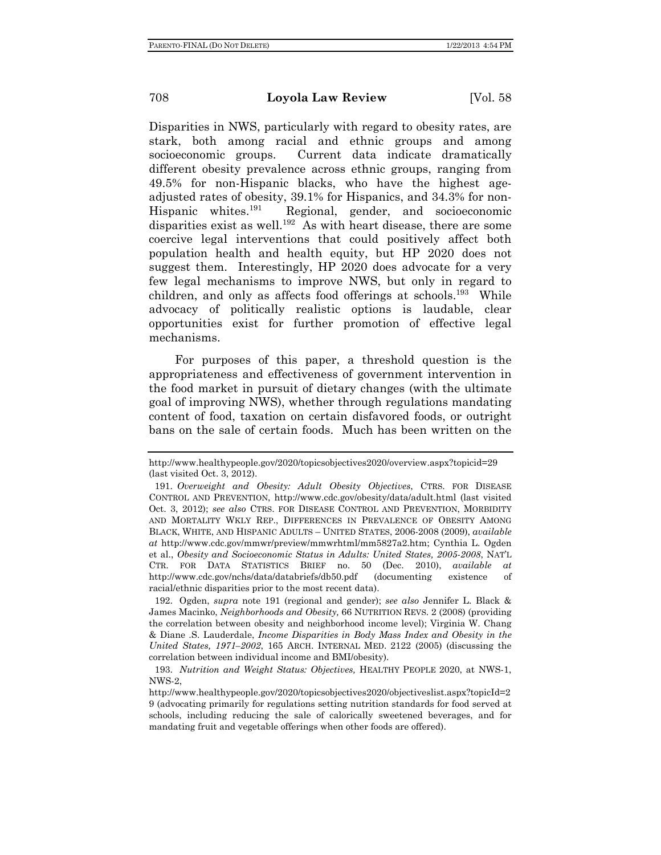Disparities in NWS, particularly with regard to obesity rates, are stark, both among racial and ethnic groups and among socioeconomic groups. Current data indicate dramatically different obesity prevalence across ethnic groups, ranging from 49.5% for non-Hispanic blacks, who have the highest ageadjusted rates of obesity, 39.1% for Hispanics, and 34.3% for non-Hispanic whites.<sup>191</sup> Regional, gender, and socioeconomic disparities exist as well.192 As with heart disease, there are some coercive legal interventions that could positively affect both population health and health equity, but HP 2020 does not suggest them. Interestingly, HP 2020 does advocate for a very few legal mechanisms to improve NWS, but only in regard to children, and only as affects food offerings at schools.193 While advocacy of politically realistic options is laudable, clear opportunities exist for further promotion of effective legal mechanisms.

For purposes of this paper, a threshold question is the appropriateness and effectiveness of government intervention in the food market in pursuit of dietary changes (with the ultimate goal of improving NWS), whether through regulations mandating content of food, taxation on certain disfavored foods, or outright bans on the sale of certain foods. Much has been written on the

http://www.healthypeople.gov/2020/topicsobjectives2020/overview.aspx?topicid=29 (last visited Oct. 3, 2012).

 <sup>191.</sup> *Overweight and Obesity: Adult Obesity Objectives*, CTRS. FOR DISEASE CONTROL AND PREVENTION, http://www.cdc.gov/obesity/data/adult.html (last visited Oct. 3, 2012); *see also* CTRS. FOR DISEASE CONTROL AND PREVENTION, MORBIDITY AND MORTALITY WKLY REP., DIFFERENCES IN PREVALENCE OF OBESITY AMONG BLACK, WHITE, AND HISPANIC ADULTS – UNITED STATES, 2006-2008 (2009), *available at* http://www.cdc.gov/mmwr/preview/mmwrhtml/mm5827a2.htm; Cynthia L. Ogden et al., *Obesity and Socioeconomic Status in Adults: United States, 2005-2008*, NAT'L CTR. FOR DATA STATISTICS BRIEF no. 50 (Dec. 2010), *available at*  http://www.cdc.gov/nchs/data/databriefs/db50.pdf (documenting existence of racial/ethnic disparities prior to the most recent data).

 <sup>192.</sup> Ogden, *supra* note 191 (regional and gender); *see also* Jennifer L. Black & James Macinko, *Neighborhoods and Obesity,* 66 NUTRITION REVS. 2 (2008) (providing the correlation between obesity and neighborhood income level); Virginia W. Chang & Diane .S. Lauderdale, *Income Disparities in Body Mass Index and Obesity in the United States, 1971–2002*, 165 ARCH. INTERNAL MED. 2122 (2005) (discussing the correlation between individual income and BMI/obesity).

 <sup>193.</sup> *Nutrition and Weight Status: Objectives,* HEALTHY PEOPLE 2020, at NWS-1, NWS-2,

http://www.healthypeople.gov/2020/topicsobjectives2020/objectiveslist.aspx?topicId=2 9 (advocating primarily for regulations setting nutrition standards for food served at schools, including reducing the sale of calorically sweetened beverages, and for mandating fruit and vegetable offerings when other foods are offered).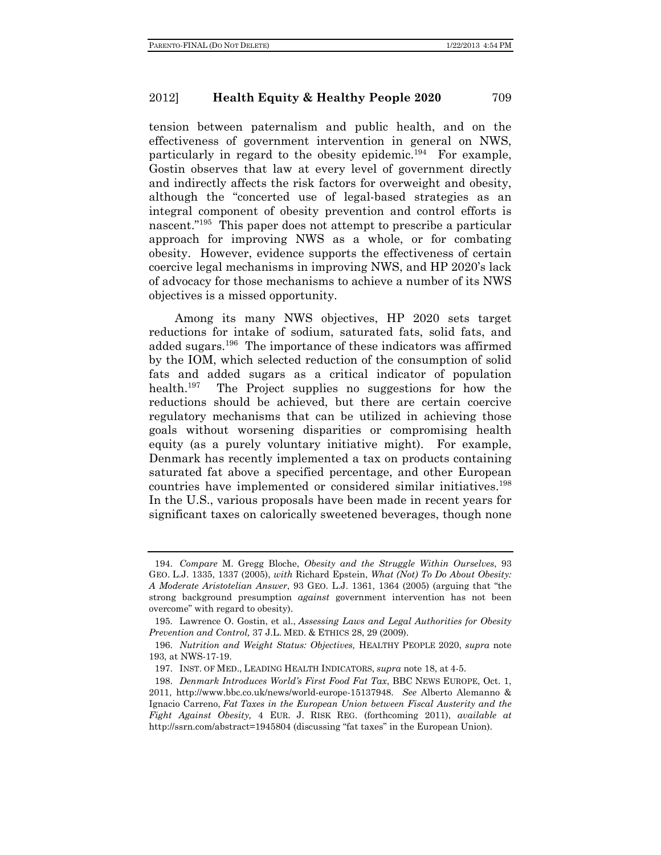tension between paternalism and public health, and on the effectiveness of government intervention in general on NWS, particularly in regard to the obesity epidemic.<sup>194</sup> For example, Gostin observes that law at every level of government directly and indirectly affects the risk factors for overweight and obesity, although the "concerted use of legal-based strategies as an integral component of obesity prevention and control efforts is nascent."<sup>195</sup> This paper does not attempt to prescribe a particular approach for improving NWS as a whole, or for combating obesity. However, evidence supports the effectiveness of certain coercive legal mechanisms in improving NWS, and HP 2020's lack of advocacy for those mechanisms to achieve a number of its NWS objectives is a missed opportunity.

Among its many NWS objectives, HP 2020 sets target reductions for intake of sodium, saturated fats, solid fats, and added sugars.196 The importance of these indicators was affirmed by the IOM, which selected reduction of the consumption of solid fats and added sugars as a critical indicator of population health.<sup>197</sup> The Project supplies no suggestions for how the reductions should be achieved, but there are certain coercive regulatory mechanisms that can be utilized in achieving those goals without worsening disparities or compromising health equity (as a purely voluntary initiative might). For example, Denmark has recently implemented a tax on products containing saturated fat above a specified percentage, and other European countries have implemented or considered similar initiatives.198 In the U.S., various proposals have been made in recent years for significant taxes on calorically sweetened beverages, though none

 <sup>194.</sup> *Compare* M. Gregg Bloche, *Obesity and the Struggle Within Ourselves*, 93 GEO. L.J. 1335, 1337 (2005), *with* Richard Epstein, *What (Not) To Do About Obesity: A Moderate Aristotelian Answer*, 93 GEO. L.J. 1361, 1364 (2005) (arguing that "the strong background presumption *against* government intervention has not been overcome" with regard to obesity).

 <sup>195.</sup> Lawrence O. Gostin, et al., *Assessing Laws and Legal Authorities for Obesity Prevention and Control,* 37 J.L. MED. & ETHICS 28, 29 (2009).

 <sup>196.</sup> *Nutrition and Weight Status: Objectives,* HEALTHY PEOPLE 2020, *supra* note 193, at NWS-17-19.

 <sup>197.</sup> INST. OF MED., LEADING HEALTH INDICATORS, *supra* note 18, at 4-5.

 <sup>198.</sup> *Denmark Introduces World's First Food Fat Tax*, BBC NEWS EUROPE, Oct. 1, 2011, http://www.bbc.co.uk/news/world-europe-15137948. *See* Alberto Alemanno & Ignacio Carreno, *Fat Taxes in the European Union between Fiscal Austerity and the Fight Against Obesity,* 4 EUR. J. RISK REG. (forthcoming 2011), *available at*  http://ssrn.com/abstract=1945804 (discussing "fat taxes" in the European Union).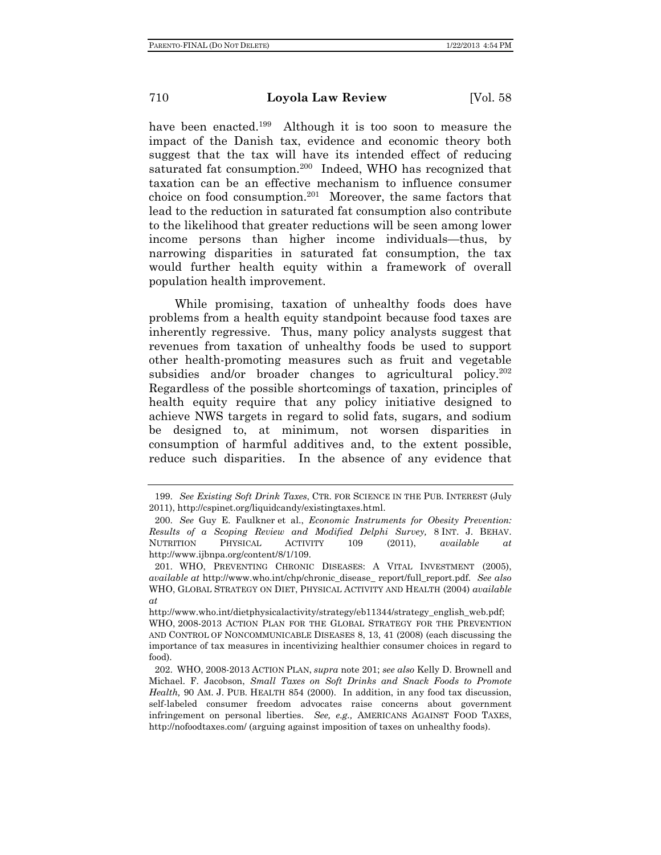have been enacted.199 Although it is too soon to measure the impact of the Danish tax, evidence and economic theory both suggest that the tax will have its intended effect of reducing saturated fat consumption.<sup>200</sup> Indeed, WHO has recognized that taxation can be an effective mechanism to influence consumer choice on food consumption.<sup>201</sup> Moreover, the same factors that lead to the reduction in saturated fat consumption also contribute to the likelihood that greater reductions will be seen among lower income persons than higher income individuals—thus, by narrowing disparities in saturated fat consumption, the tax would further health equity within a framework of overall population health improvement.

While promising, taxation of unhealthy foods does have problems from a health equity standpoint because food taxes are inherently regressive. Thus, many policy analysts suggest that revenues from taxation of unhealthy foods be used to support other health-promoting measures such as fruit and vegetable subsidies and/or broader changes to agricultural policy.<sup>202</sup> Regardless of the possible shortcomings of taxation, principles of health equity require that any policy initiative designed to achieve NWS targets in regard to solid fats, sugars, and sodium be designed to, at minimum, not worsen disparities in consumption of harmful additives and, to the extent possible, reduce such disparities. In the absence of any evidence that

 <sup>199.</sup> *See Existing Soft Drink Taxes*, CTR. FOR SCIENCE IN THE PUB. INTEREST (July 2011), http://cspinet.org/liquidcandy/existingtaxes.html.

 <sup>200.</sup> *See* Guy E. Faulkner et al., *Economic Instruments for Obesity Prevention: Results of a Scoping Review and Modified Delphi Survey,* 8 INT. J. BEHAV. NUTRITION PHYSICAL ACTIVITY 109 (2011), *available at* http://www.ijbnpa.org/content/8/1/109.

 <sup>201.</sup> WHO, PREVENTING CHRONIC DISEASES: A VITAL INVESTMENT (2005), *available at* http://www.who.int/chp/chronic\_disease\_ report/full\_report.pdf. *See also* WHO, GLOBAL STRATEGY ON DIET, PHYSICAL ACTIVITY AND HEALTH (2004) *available at* 

http://www.who.int/dietphysicalactivity/strategy/eb11344/strategy\_english\_web.pdf; WHO, 2008-2013 ACTION PLAN FOR THE GLOBAL STRATEGY FOR THE PREVENTION AND CONTROL OF NONCOMMUNICABLE DISEASES 8, 13, 41 (2008) (each discussing the importance of tax measures in incentivizing healthier consumer choices in regard to food).

 <sup>202.</sup> WHO, 2008-2013 ACTION PLAN, *supra* note 201; *see also* Kelly D. Brownell and Michael. F. Jacobson, *Small Taxes on Soft Drinks and Snack Foods to Promote Health,* 90 AM. J. PUB. HEALTH 854 (2000). In addition, in any food tax discussion, self-labeled consumer freedom advocates raise concerns about government infringement on personal liberties. *See, e.g.,* AMERICANS AGAINST FOOD TAXES, http://nofoodtaxes.com/ (arguing against imposition of taxes on unhealthy foods).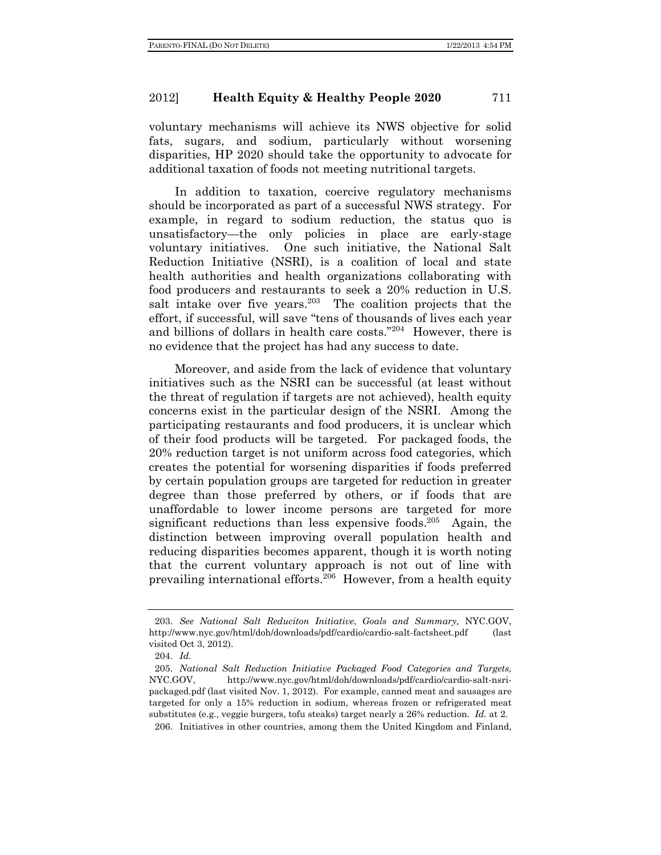voluntary mechanisms will achieve its NWS objective for solid fats, sugars, and sodium, particularly without worsening disparities, HP 2020 should take the opportunity to advocate for additional taxation of foods not meeting nutritional targets.

In addition to taxation, coercive regulatory mechanisms should be incorporated as part of a successful NWS strategy. For example, in regard to sodium reduction, the status quo is unsatisfactory—the only policies in place are early-stage voluntary initiatives. One such initiative, the National Salt Reduction Initiative (NSRI), is a coalition of local and state health authorities and health organizations collaborating with food producers and restaurants to seek a 20% reduction in U.S. salt intake over five years. $203$  The coalition projects that the effort, if successful, will save "tens of thousands of lives each year and billions of dollars in health care costs."204 However, there is no evidence that the project has had any success to date.

Moreover, and aside from the lack of evidence that voluntary initiatives such as the NSRI can be successful (at least without the threat of regulation if targets are not achieved), health equity concerns exist in the particular design of the NSRI. Among the participating restaurants and food producers, it is unclear which of their food products will be targeted. For packaged foods, the 20% reduction target is not uniform across food categories, which creates the potential for worsening disparities if foods preferred by certain population groups are targeted for reduction in greater degree than those preferred by others, or if foods that are unaffordable to lower income persons are targeted for more significant reductions than less expensive foods.<sup>205</sup> Again, the distinction between improving overall population health and reducing disparities becomes apparent, though it is worth noting that the current voluntary approach is not out of line with prevailing international efforts.206 However, from a health equity

 <sup>203.</sup> *See National Salt Reduciton Initiative*, *Goals and Summary,* NYC.GOV, http://www.nyc.gov/html/doh/downloads/pdf/cardio/cardio-salt-factsheet.pdf (last visited Oct 3, 2012).

 <sup>204.</sup> *Id.*

 <sup>205.</sup> *National Salt Reduction Initiative Packaged Food Categories and Targets,*  NYC.GOV, http://www.nyc.gov/html/doh/downloads/pdf/cardio/cardio-salt-nsripackaged.pdf (last visited Nov. 1, 2012). For example, canned meat and sausages are targeted for only a 15% reduction in sodium, whereas frozen or refrigerated meat substitutes (e.g., veggie burgers, tofu steaks) target nearly a 26% reduction. *Id.* at 2. 206. Initiatives in other countries, among them the United Kingdom and Finland,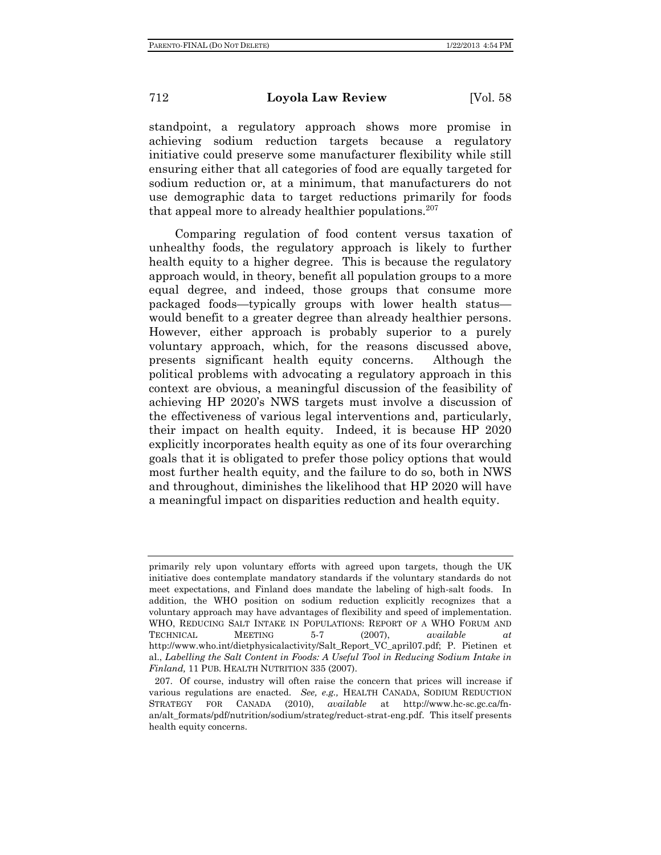standpoint, a regulatory approach shows more promise in achieving sodium reduction targets because a regulatory initiative could preserve some manufacturer flexibility while still ensuring either that all categories of food are equally targeted for sodium reduction or, at a minimum, that manufacturers do not use demographic data to target reductions primarily for foods that appeal more to already healthier populations. $207$ 

Comparing regulation of food content versus taxation of unhealthy foods, the regulatory approach is likely to further health equity to a higher degree. This is because the regulatory approach would, in theory, benefit all population groups to a more equal degree, and indeed, those groups that consume more packaged foods—typically groups with lower health status would benefit to a greater degree than already healthier persons. However, either approach is probably superior to a purely voluntary approach, which, for the reasons discussed above, presents significant health equity concerns. Although the political problems with advocating a regulatory approach in this context are obvious, a meaningful discussion of the feasibility of achieving HP 2020's NWS targets must involve a discussion of the effectiveness of various legal interventions and, particularly, their impact on health equity. Indeed, it is because HP 2020 explicitly incorporates health equity as one of its four overarching goals that it is obligated to prefer those policy options that would most further health equity, and the failure to do so, both in NWS and throughout, diminishes the likelihood that HP 2020 will have a meaningful impact on disparities reduction and health equity.

primarily rely upon voluntary efforts with agreed upon targets, though the UK initiative does contemplate mandatory standards if the voluntary standards do not meet expectations, and Finland does mandate the labeling of high-salt foods. In addition, the WHO position on sodium reduction explicitly recognizes that a voluntary approach may have advantages of flexibility and speed of implementation. WHO, REDUCING SALT INTAKE IN POPULATIONS: REPORT OF A WHO FORUM AND TECHNICAL MEETING 5-7 (2007), *available at* http://www.who.int/dietphysicalactivity/Salt\_Report\_VC\_april07.pdf; P. Pietinen et al., *Labelling the Salt Content in Foods: A Useful Tool in Reducing Sodium Intake in Finland,* 11 PUB. HEALTH NUTRITION 335 (2007).

 <sup>207.</sup> Of course, industry will often raise the concern that prices will increase if various regulations are enacted. *See, e.g.,* HEALTH CANADA, SODIUM REDUCTION STRATEGY FOR CANADA (2010), *available* at http://www.hc-sc.gc.ca/fnan/alt\_formats/pdf/nutrition/sodium/strateg/reduct-strat-eng.pdf. This itself presents health equity concerns.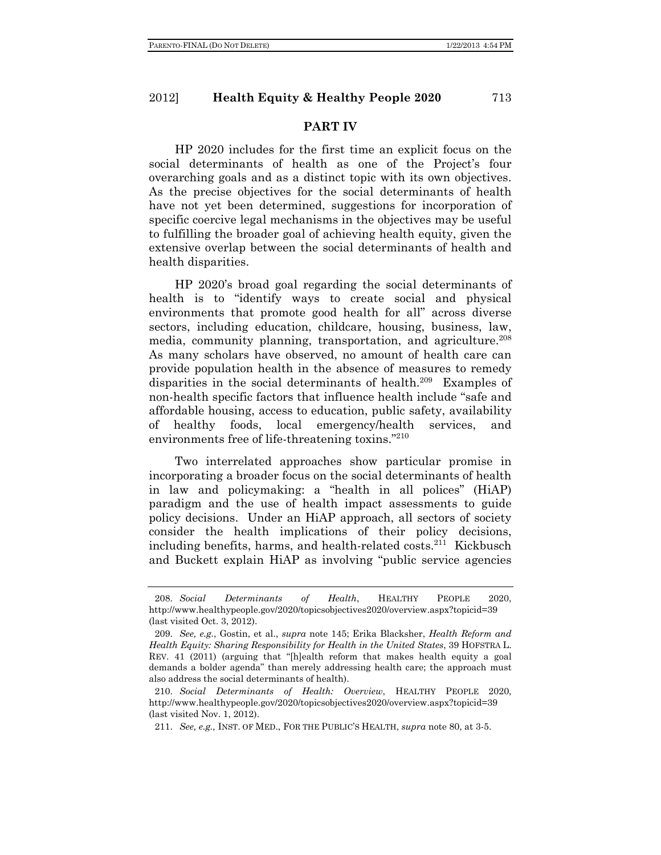### **PART IV**

HP 2020 includes for the first time an explicit focus on the social determinants of health as one of the Project's four overarching goals and as a distinct topic with its own objectives. As the precise objectives for the social determinants of health have not yet been determined, suggestions for incorporation of specific coercive legal mechanisms in the objectives may be useful to fulfilling the broader goal of achieving health equity, given the extensive overlap between the social determinants of health and health disparities.

HP 2020's broad goal regarding the social determinants of health is to "identify ways to create social and physical environments that promote good health for all" across diverse sectors, including education, childcare, housing, business, law, media, community planning, transportation, and agriculture.<sup>208</sup> As many scholars have observed, no amount of health care can provide population health in the absence of measures to remedy disparities in the social determinants of health.<sup>209</sup> Examples of non-health specific factors that influence health include "safe and affordable housing, access to education, public safety, availability of healthy foods, local emergency/health services, and environments free of life-threatening toxins."210

Two interrelated approaches show particular promise in incorporating a broader focus on the social determinants of health in law and policymaking: a "health in all polices" (HiAP) paradigm and the use of health impact assessments to guide policy decisions. Under an HiAP approach, all sectors of society consider the health implications of their policy decisions, including benefits, harms, and health-related costs.211 Kickbusch and Buckett explain HiAP as involving "public service agencies

 <sup>208.</sup> *Social Determinants of Health*, HEALTHY PEOPLE 2020, http://www.healthypeople.gov/2020/topicsobjectives2020/overview.aspx?topicid=39 (last visited Oct. 3, 2012).

 <sup>209.</sup> *See, e.g.*, Gostin, et al., *supra* note 145; Erika Blacksher, *Health Reform and Health Equity: Sharing Responsibility for Health in the United States*, 39 HOFSTRA L. REV. 41 (2011) (arguing that "[h]ealth reform that makes health equity a goal demands a bolder agenda" than merely addressing health care; the approach must also address the social determinants of health).

 <sup>210.</sup> *Social Determinants of Health: Overview*, HEALTHY PEOPLE 2020, http://www.healthypeople.gov/2020/topicsobjectives2020/overview.aspx?topicid=39 (last visited Nov. 1, 2012).

 <sup>211.</sup> *See, e.g.,* INST. OF MED., FOR THE PUBLIC'S HEALTH, *supra* note 80, at 3-5.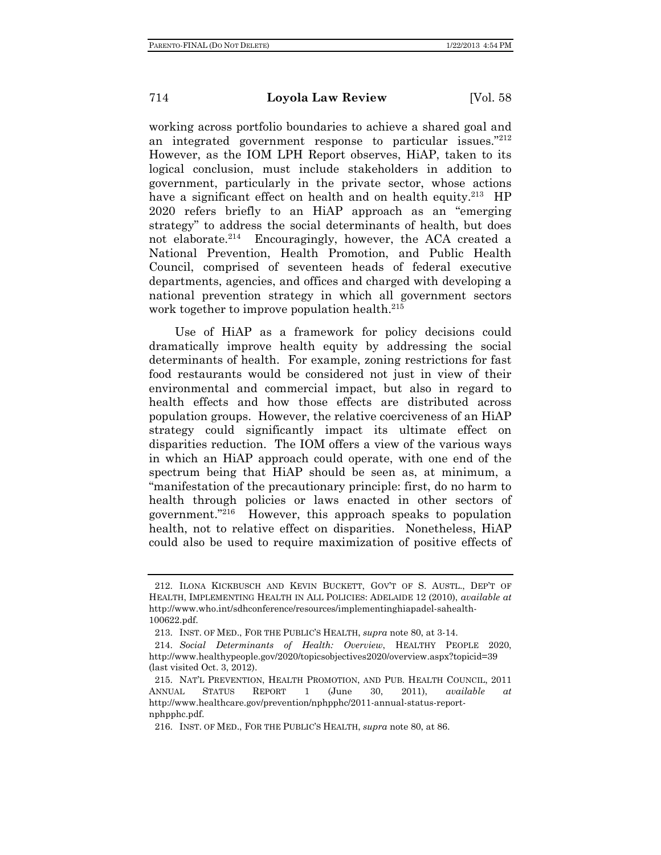working across portfolio boundaries to achieve a shared goal and an integrated government response to particular issues."212 However, as the IOM LPH Report observes, HiAP, taken to its logical conclusion, must include stakeholders in addition to government, particularly in the private sector, whose actions have a significant effect on health and on health equity.<sup>213</sup> HP 2020 refers briefly to an HiAP approach as an "emerging strategy" to address the social determinants of health, but does not elaborate.<sup>214</sup> Encouragingly, however, the ACA created a National Prevention, Health Promotion, and Public Health Council, comprised of seventeen heads of federal executive departments, agencies, and offices and charged with developing a national prevention strategy in which all government sectors work together to improve population health.<sup>215</sup>

Use of HiAP as a framework for policy decisions could dramatically improve health equity by addressing the social determinants of health. For example, zoning restrictions for fast food restaurants would be considered not just in view of their environmental and commercial impact, but also in regard to health effects and how those effects are distributed across population groups. However, the relative coerciveness of an HiAP strategy could significantly impact its ultimate effect on disparities reduction. The IOM offers a view of the various ways in which an HiAP approach could operate, with one end of the spectrum being that HiAP should be seen as, at minimum, a "manifestation of the precautionary principle: first, do no harm to health through policies or laws enacted in other sectors of government."216 However, this approach speaks to population health, not to relative effect on disparities. Nonetheless, HiAP could also be used to require maximization of positive effects of

 <sup>212.</sup> ILONA KICKBUSCH AND KEVIN BUCKETT, GOV'T OF S. AUSTL., DEP'T OF HEALTH, IMPLEMENTING HEALTH IN ALL POLICIES: ADELAIDE 12 (2010), *available at*  http://www.who.int/sdhconference/resources/implementinghiapadel-sahealth-100622.pdf.

 <sup>213.</sup> INST. OF MED., FOR THE PUBLIC'S HEALTH, *supra* note 80, at 3-14.

 <sup>214.</sup> *Social Determinants of Health: Overview*, HEALTHY PEOPLE 2020, http://www.healthypeople.gov/2020/topicsobjectives2020/overview.aspx?topicid=39 (last visited Oct. 3, 2012).

 <sup>215.</sup> NAT'L PREVENTION, HEALTH PROMOTION, AND PUB. HEALTH COUNCIL, 2011 ANNUAL STATUS REPORT 1 (June 30, 2011), *available at* http://www.healthcare.gov/prevention/nphpphc/2011-annual-status-reportnphpphc.pdf.

 <sup>216.</sup> INST. OF MED., FOR THE PUBLIC'S HEALTH, *supra* note 80, at 86.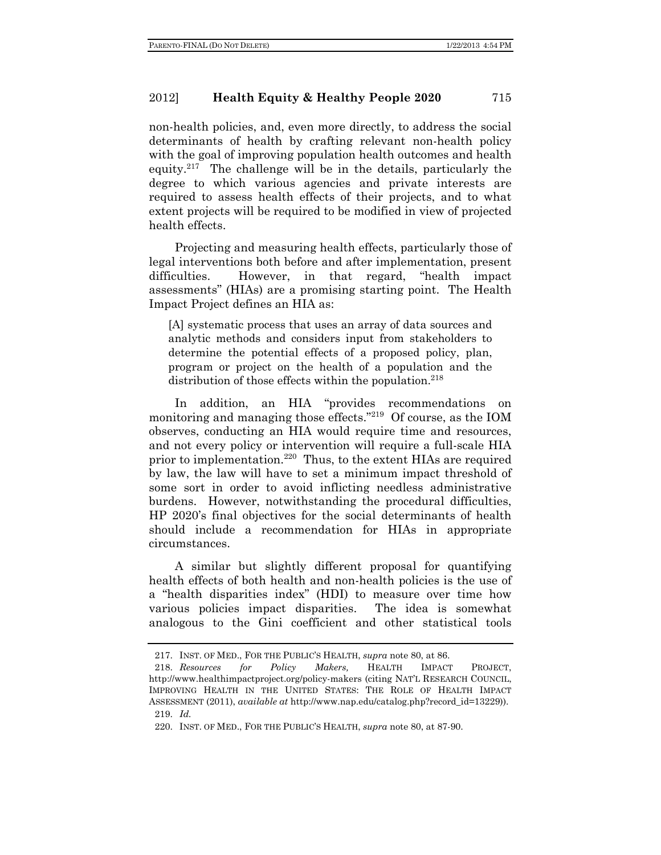non-health policies, and, even more directly, to address the social determinants of health by crafting relevant non-health policy with the goal of improving population health outcomes and health equity.217 The challenge will be in the details, particularly the degree to which various agencies and private interests are required to assess health effects of their projects, and to what extent projects will be required to be modified in view of projected health effects.

Projecting and measuring health effects, particularly those of legal interventions both before and after implementation, present difficulties. However, in that regard, "health impact assessments" (HIAs) are a promising starting point. The Health Impact Project defines an HIA as:

[A] systematic process that uses an array of data sources and analytic methods and considers input from stakeholders to determine the potential effects of a proposed policy, plan, program or project on the health of a population and the distribution of those effects within the population. $218$ 

In addition, an HIA "provides recommendations on monitoring and managing those effects."219 Of course, as the IOM observes, conducting an HIA would require time and resources, and not every policy or intervention will require a full-scale HIA prior to implementation.<sup>220</sup> Thus, to the extent HIAs are required by law, the law will have to set a minimum impact threshold of some sort in order to avoid inflicting needless administrative burdens. However, notwithstanding the procedural difficulties, HP 2020's final objectives for the social determinants of health should include a recommendation for HIAs in appropriate circumstances.

A similar but slightly different proposal for quantifying health effects of both health and non-health policies is the use of a "health disparities index" (HDI) to measure over time how various policies impact disparities. The idea is somewhat analogous to the Gini coefficient and other statistical tools

 <sup>217.</sup> INST. OF MED., FOR THE PUBLIC'S HEALTH, *supra* note 80, at 86.

 <sup>218.</sup> *Resources for Policy Makers,* HEALTH IMPACT PROJECT, http://www.healthimpactproject.org/policy-makers (citing NAT'L RESEARCH COUNCIL, IMPROVING HEALTH IN THE UNITED STATES: THE ROLE OF HEALTH IMPACT ASSESSMENT (2011), *available at* http://www.nap.edu/catalog.php?record\_id=13229)). 219. *Id.*

 <sup>220.</sup> INST. OF MED., FOR THE PUBLIC'S HEALTH, *supra* note 80, at 87-90.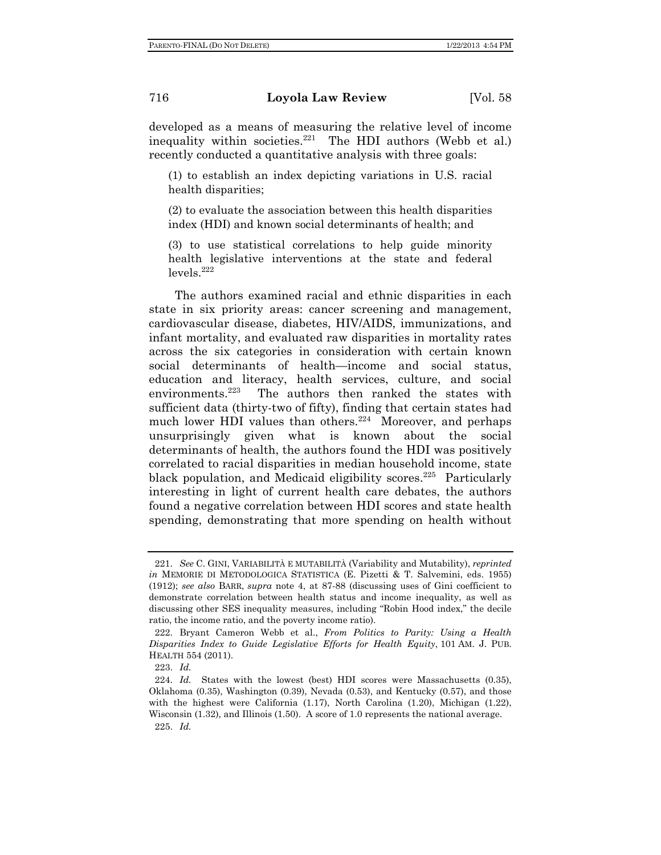developed as a means of measuring the relative level of income inequality within societies. $221$  The HDI authors (Webb et al.) recently conducted a quantitative analysis with three goals:

(1) to establish an index depicting variations in U.S. racial health disparities;

(2) to evaluate the association between this health disparities index (HDI) and known social determinants of health; and

(3) to use statistical correlations to help guide minority health legislative interventions at the state and federal  $levels.<sup>222</sup>$ 

The authors examined racial and ethnic disparities in each state in six priority areas: cancer screening and management, cardiovascular disease, diabetes, HIV/AIDS, immunizations, and infant mortality, and evaluated raw disparities in mortality rates across the six categories in consideration with certain known social determinants of health—income and social status, education and literacy, health services, culture, and social environments.<sup>223</sup> The authors then ranked the states with sufficient data (thirty-two of fifty), finding that certain states had much lower HDI values than others.<sup>224</sup> Moreover, and perhaps unsurprisingly given what is known about the social determinants of health, the authors found the HDI was positively correlated to racial disparities in median household income, state black population, and Medicaid eligibility scores.<sup>225</sup> Particularly interesting in light of current health care debates, the authors found a negative correlation between HDI scores and state health spending, demonstrating that more spending on health without

 <sup>221.</sup> *See* C. GINI, VARIABILITÀ E MUTABILITÀ (Variability and Mutability), *reprinted in* MEMORIE DI METODOLOGICA STATISTICA (E. Pizetti & T. Salvemini, eds. 1955) (1912); *see also* BARR, *supra* note 4, at 87-88 (discussing uses of Gini coefficient to demonstrate correlation between health status and income inequality, as well as discussing other SES inequality measures, including "Robin Hood index," the decile ratio, the income ratio, and the poverty income ratio).

 <sup>222.</sup> Bryant Cameron Webb et al., *From Politics to Parity: Using a Health Disparities Index to Guide Legislative Efforts for Health Equity*, 101 AM. J. PUB. HEALTH 554 (2011).

 <sup>223.</sup> *Id.*

 <sup>224.</sup> *Id.* States with the lowest (best) HDI scores were Massachusetts (0.35), Oklahoma (0.35), Washington (0.39), Nevada (0.53), and Kentucky (0.57), and those with the highest were California (1.17), North Carolina (1.20), Michigan (1.22), Wisconsin (1.32), and Illinois (1.50). A score of 1.0 represents the national average. 225. *Id.*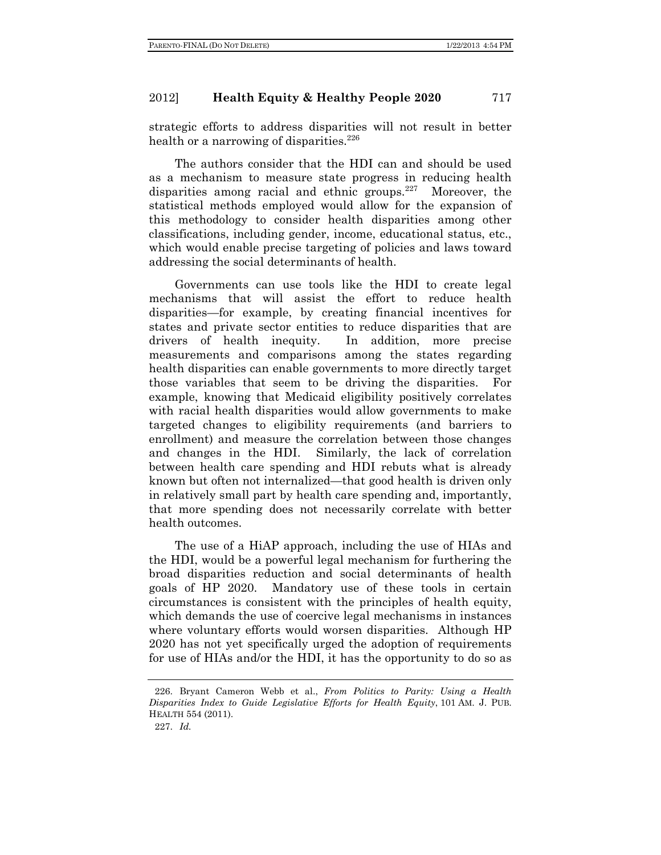strategic efforts to address disparities will not result in better health or a narrowing of disparities.<sup>226</sup>

The authors consider that the HDI can and should be used as a mechanism to measure state progress in reducing health disparities among racial and ethnic groups. $227$  Moreover, the statistical methods employed would allow for the expansion of this methodology to consider health disparities among other classifications, including gender, income, educational status, etc., which would enable precise targeting of policies and laws toward addressing the social determinants of health.

Governments can use tools like the HDI to create legal mechanisms that will assist the effort to reduce health disparities—for example, by creating financial incentives for states and private sector entities to reduce disparities that are drivers of health inequity. In addition, more precise measurements and comparisons among the states regarding health disparities can enable governments to more directly target those variables that seem to be driving the disparities. For example, knowing that Medicaid eligibility positively correlates with racial health disparities would allow governments to make targeted changes to eligibility requirements (and barriers to enrollment) and measure the correlation between those changes and changes in the HDI. Similarly, the lack of correlation between health care spending and HDI rebuts what is already known but often not internalized—that good health is driven only in relatively small part by health care spending and, importantly, that more spending does not necessarily correlate with better health outcomes.

The use of a HiAP approach, including the use of HIAs and the HDI, would be a powerful legal mechanism for furthering the broad disparities reduction and social determinants of health goals of HP 2020. Mandatory use of these tools in certain circumstances is consistent with the principles of health equity, which demands the use of coercive legal mechanisms in instances where voluntary efforts would worsen disparities. Although HP 2020 has not yet specifically urged the adoption of requirements for use of HIAs and/or the HDI, it has the opportunity to do so as

 <sup>226.</sup> Bryant Cameron Webb et al., *From Politics to Parity: Using a Health Disparities Index to Guide Legislative Efforts for Health Equity*, 101 AM. J. PUB. HEALTH 554 (2011).

 <sup>227.</sup> *Id.*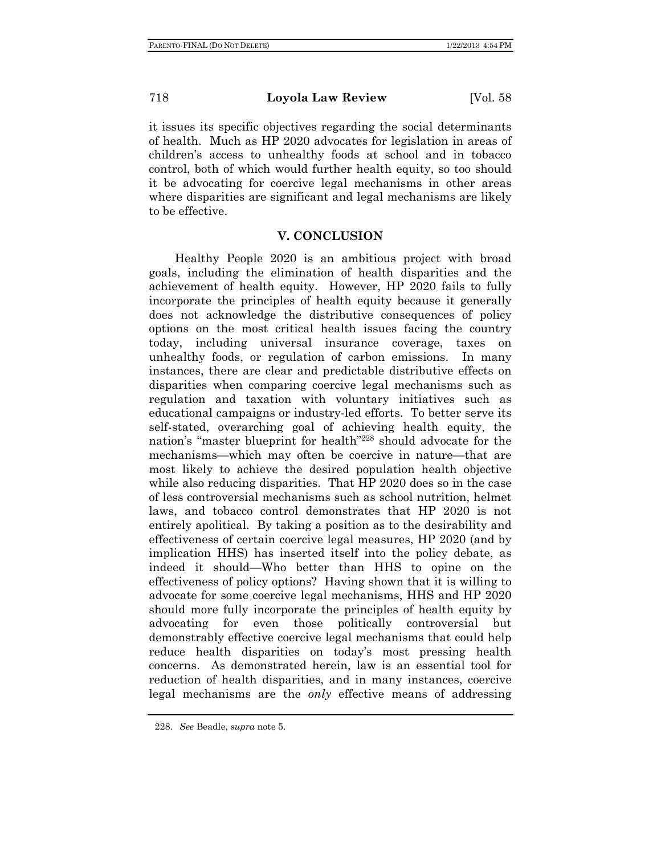it issues its specific objectives regarding the social determinants of health. Much as HP 2020 advocates for legislation in areas of children's access to unhealthy foods at school and in tobacco control, both of which would further health equity, so too should it be advocating for coercive legal mechanisms in other areas where disparities are significant and legal mechanisms are likely to be effective.

# **V. CONCLUSION**

Healthy People 2020 is an ambitious project with broad goals, including the elimination of health disparities and the achievement of health equity. However, HP 2020 fails to fully incorporate the principles of health equity because it generally does not acknowledge the distributive consequences of policy options on the most critical health issues facing the country today, including universal insurance coverage, taxes on unhealthy foods, or regulation of carbon emissions. In many instances, there are clear and predictable distributive effects on disparities when comparing coercive legal mechanisms such as regulation and taxation with voluntary initiatives such as educational campaigns or industry-led efforts. To better serve its self-stated, overarching goal of achieving health equity, the nation's "master blueprint for health"228 should advocate for the mechanisms—which may often be coercive in nature—that are most likely to achieve the desired population health objective while also reducing disparities. That HP 2020 does so in the case of less controversial mechanisms such as school nutrition, helmet laws, and tobacco control demonstrates that HP 2020 is not entirely apolitical. By taking a position as to the desirability and effectiveness of certain coercive legal measures, HP 2020 (and by implication HHS) has inserted itself into the policy debate, as indeed it should—Who better than HHS to opine on the effectiveness of policy options? Having shown that it is willing to advocate for some coercive legal mechanisms, HHS and HP 2020 should more fully incorporate the principles of health equity by advocating for even those politically controversial but demonstrably effective coercive legal mechanisms that could help reduce health disparities on today's most pressing health concerns. As demonstrated herein, law is an essential tool for reduction of health disparities, and in many instances, coercive legal mechanisms are the *only* effective means of addressing

 <sup>228.</sup> *See* Beadle, *supra* note 5.